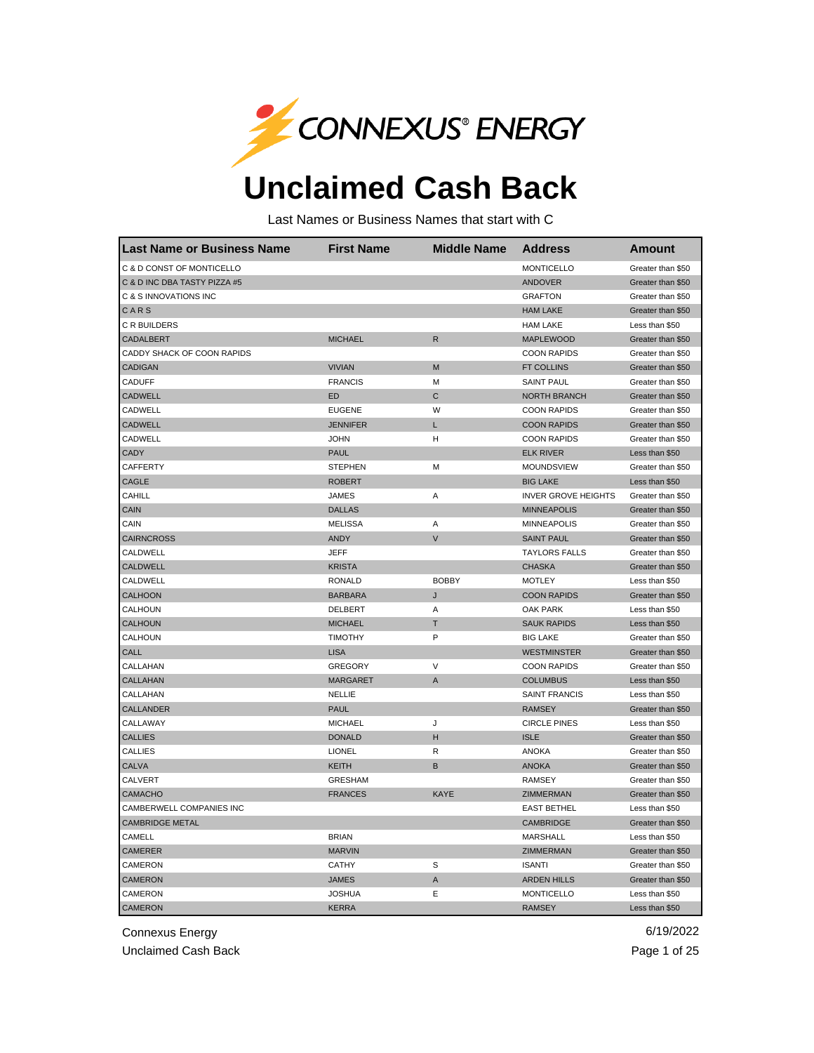

## **Unclaimed Cash Back**

Last Names or Business Names that start with C

| <b>Last Name or Business Name</b> | <b>First Name</b> | <b>Middle Name</b> | <b>Address</b>             | <b>Amount</b>     |
|-----------------------------------|-------------------|--------------------|----------------------------|-------------------|
| C & D CONST OF MONTICELLO         |                   |                    | <b>MONTICELLO</b>          | Greater than \$50 |
| C & D INC DBA TASTY PIZZA #5      |                   |                    | <b>ANDOVER</b>             | Greater than \$50 |
| C & S INNOVATIONS INC             |                   |                    | <b>GRAFTON</b>             | Greater than \$50 |
| CARS                              |                   |                    | <b>HAM LAKE</b>            | Greater than \$50 |
| C R BUILDERS                      |                   |                    | <b>HAM LAKE</b>            | Less than \$50    |
| CADALBERT                         | <b>MICHAEL</b>    | $\mathsf{R}$       | <b>MAPLEWOOD</b>           | Greater than \$50 |
| CADDY SHACK OF COON RAPIDS        |                   |                    | <b>COON RAPIDS</b>         | Greater than \$50 |
| <b>CADIGAN</b>                    | <b>VIVIAN</b>     | M                  | <b>FT COLLINS</b>          | Greater than \$50 |
| CADUFF                            | <b>FRANCIS</b>    | М                  | <b>SAINT PAUL</b>          | Greater than \$50 |
| <b>CADWELL</b>                    | ED                | C                  | <b>NORTH BRANCH</b>        | Greater than \$50 |
| CADWELL                           | <b>EUGENE</b>     | W                  | <b>COON RAPIDS</b>         | Greater than \$50 |
| CADWELL                           | <b>JENNIFER</b>   | L                  | <b>COON RAPIDS</b>         | Greater than \$50 |
| CADWELL                           | <b>JOHN</b>       | Η                  | <b>COON RAPIDS</b>         | Greater than \$50 |
| <b>CADY</b>                       | <b>PAUL</b>       |                    | <b>ELK RIVER</b>           | Less than \$50    |
| CAFFERTY                          | <b>STEPHEN</b>    | М                  | MOUNDSVIEW                 | Greater than \$50 |
| <b>CAGLE</b>                      | <b>ROBERT</b>     |                    | <b>BIG LAKE</b>            | Less than \$50    |
| CAHILL                            | <b>JAMES</b>      | Α                  | <b>INVER GROVE HEIGHTS</b> | Greater than \$50 |
| CAIN                              | <b>DALLAS</b>     |                    | <b>MINNEAPOLIS</b>         | Greater than \$50 |
| CAIN                              | <b>MELISSA</b>    | Α                  | <b>MINNEAPOLIS</b>         | Greater than \$50 |
| <b>CAIRNCROSS</b>                 | <b>ANDY</b>       | $\vee$             | <b>SAINT PAUL</b>          | Greater than \$50 |
| CALDWELL                          | <b>JEFF</b>       |                    | <b>TAYLORS FALLS</b>       | Greater than \$50 |
| CALDWELL                          | <b>KRISTA</b>     |                    | <b>CHASKA</b>              | Greater than \$50 |
| CALDWELL                          | <b>RONALD</b>     | <b>BOBBY</b>       | <b>MOTLEY</b>              | Less than \$50    |
| CALHOON                           | <b>BARBARA</b>    | J                  | <b>COON RAPIDS</b>         | Greater than \$50 |
| CALHOUN                           | DELBERT           | Α                  | OAK PARK                   | Less than \$50    |
| CALHOUN                           | <b>MICHAEL</b>    | Τ                  | <b>SAUK RAPIDS</b>         | Less than \$50    |
| CALHOUN                           | <b>TIMOTHY</b>    | P                  | <b>BIG LAKE</b>            | Greater than \$50 |
| CALL                              | <b>LISA</b>       |                    | <b>WESTMINSTER</b>         | Greater than \$50 |
| CALLAHAN                          | <b>GREGORY</b>    | V                  | <b>COON RAPIDS</b>         | Greater than \$50 |
| CALLAHAN                          | <b>MARGARET</b>   | A                  | <b>COLUMBUS</b>            | Less than \$50    |
| CALLAHAN                          | NELLIE            |                    | <b>SAINT FRANCIS</b>       | Less than \$50    |
| CALLANDER                         | <b>PAUL</b>       |                    | <b>RAMSEY</b>              | Greater than \$50 |
| CALLAWAY                          | <b>MICHAEL</b>    | J                  | <b>CIRCLE PINES</b>        | Less than \$50    |
| <b>CALLIES</b>                    | <b>DONALD</b>     | н                  | <b>ISLE</b>                | Greater than \$50 |
| <b>CALLIES</b>                    | LIONEL            | R                  | <b>ANOKA</b>               | Greater than \$50 |
| <b>CALVA</b>                      | <b>KEITH</b>      | B                  | <b>ANOKA</b>               | Greater than \$50 |
| CALVERT                           | <b>GRESHAM</b>    |                    | <b>RAMSEY</b>              | Greater than \$50 |
| <b>CAMACHO</b>                    | <b>FRANCES</b>    | <b>KAYE</b>        | ZIMMERMAN                  | Greater than \$50 |
| CAMBERWELL COMPANIES INC          |                   |                    | <b>EAST BETHEL</b>         | Less than \$50    |
| <b>CAMBRIDGE METAL</b>            |                   |                    | CAMBRIDGE                  | Greater than \$50 |
| CAMELL                            | <b>BRIAN</b>      |                    | MARSHALL                   | Less than \$50    |
| <b>CAMERER</b>                    | <b>MARVIN</b>     |                    | ZIMMERMAN                  | Greater than \$50 |
| CAMERON                           | <b>CATHY</b>      | S                  | <b>ISANTI</b>              | Greater than \$50 |
| <b>CAMERON</b>                    | <b>JAMES</b>      | Α                  | <b>ARDEN HILLS</b>         | Greater than \$50 |
| CAMERON                           | <b>JOSHUA</b>     | Ε                  | <b>MONTICELLO</b>          | Less than \$50    |
| <b>CAMERON</b>                    | <b>KERRA</b>      |                    | <b>RAMSEY</b>              | Less than \$50    |

Connexus Energy 6/19/2022

Unclaimed Cash Back **Page 1 of 25**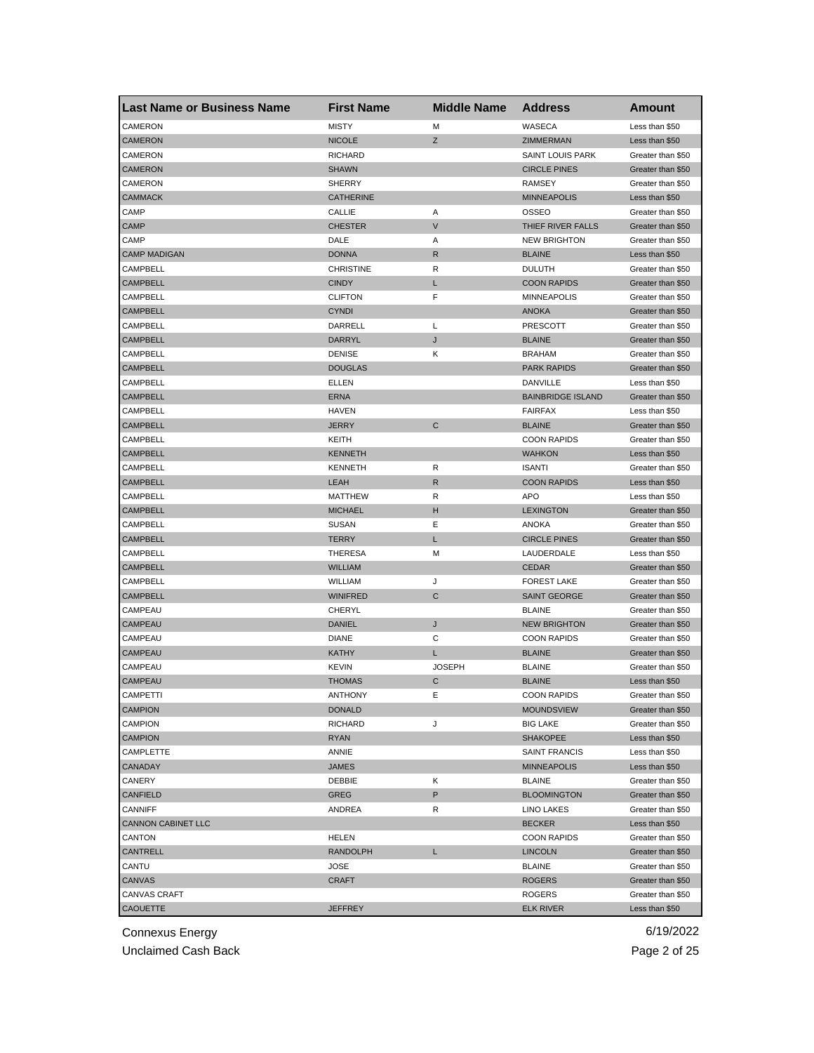| <b>Last Name or Business Name</b> | <b>First Name</b> | <b>Middle Name</b> | <b>Address</b>           | <b>Amount</b>     |
|-----------------------------------|-------------------|--------------------|--------------------------|-------------------|
| CAMERON                           | <b>MISTY</b>      | M                  | WASECA                   | Less than \$50    |
| <b>CAMERON</b>                    | <b>NICOLE</b>     | Z                  | ZIMMERMAN                | Less than \$50    |
| CAMERON                           | <b>RICHARD</b>    |                    | <b>SAINT LOUIS PARK</b>  | Greater than \$50 |
| <b>CAMERON</b>                    | <b>SHAWN</b>      |                    | <b>CIRCLE PINES</b>      | Greater than \$50 |
| CAMERON                           | <b>SHERRY</b>     |                    | <b>RAMSEY</b>            | Greater than \$50 |
| <b>CAMMACK</b>                    | <b>CATHERINE</b>  |                    | <b>MINNEAPOLIS</b>       | Less than \$50    |
| CAMP                              | CALLIE            | Α                  | OSSEO                    | Greater than \$50 |
| <b>CAMP</b>                       | <b>CHESTER</b>    | V                  | THIEF RIVER FALLS        | Greater than \$50 |
| CAMP                              | DALE              | Α                  | <b>NEW BRIGHTON</b>      | Greater than \$50 |
| <b>CAMP MADIGAN</b>               | <b>DONNA</b>      | R                  | <b>BLAINE</b>            | Less than \$50    |
| CAMPBELL                          | <b>CHRISTINE</b>  | R                  | <b>DULUTH</b>            | Greater than \$50 |
| <b>CAMPBELL</b>                   | <b>CINDY</b>      | L                  | <b>COON RAPIDS</b>       | Greater than \$50 |
| CAMPBELL                          | <b>CLIFTON</b>    | F                  | <b>MINNEAPOLIS</b>       | Greater than \$50 |
| <b>CAMPBELL</b>                   | <b>CYNDI</b>      |                    | <b>ANOKA</b>             | Greater than \$50 |
| CAMPBELL                          | DARRELL           | L                  | <b>PRESCOTT</b>          | Greater than \$50 |
| <b>CAMPBELL</b>                   | DARRYL            | J                  | <b>BLAINE</b>            | Greater than \$50 |
| CAMPBELL                          | <b>DENISE</b>     | Κ                  | <b>BRAHAM</b>            | Greater than \$50 |
| <b>CAMPBELL</b>                   | <b>DOUGLAS</b>    |                    | <b>PARK RAPIDS</b>       | Greater than \$50 |
| CAMPBELL                          | ELLEN             |                    | DANVILLE                 | Less than \$50    |
| <b>CAMPBELL</b>                   | <b>ERNA</b>       |                    | <b>BAINBRIDGE ISLAND</b> | Greater than \$50 |
| CAMPBELL                          | <b>HAVEN</b>      |                    | <b>FAIRFAX</b>           | Less than \$50    |
| <b>CAMPBELL</b>                   | <b>JERRY</b>      | $\mathsf{C}$       | <b>BLAINE</b>            | Greater than \$50 |
| CAMPBELL                          | KEITH             |                    | <b>COON RAPIDS</b>       | Greater than \$50 |
| <b>CAMPBELL</b>                   | <b>KENNETH</b>    |                    | <b>WAHKON</b>            | Less than \$50    |
| CAMPBELL                          | <b>KENNETH</b>    | R                  | <b>ISANTI</b>            | Greater than \$50 |
| <b>CAMPBELL</b>                   | LEAH              | R                  | <b>COON RAPIDS</b>       | Less than \$50    |
| CAMPBELL                          | <b>MATTHEW</b>    | R                  | <b>APO</b>               | Less than \$50    |
| <b>CAMPBELL</b>                   | <b>MICHAEL</b>    | н                  | <b>LEXINGTON</b>         | Greater than \$50 |
| CAMPBELL                          | SUSAN             | Ε                  | ANOKA                    | Greater than \$50 |
| <b>CAMPBELL</b>                   | <b>TERRY</b>      | L                  | <b>CIRCLE PINES</b>      | Greater than \$50 |
| CAMPBELL                          | <b>THERESA</b>    | M                  | LAUDERDALE               | Less than \$50    |
| <b>CAMPBELL</b>                   | <b>WILLIAM</b>    |                    | <b>CEDAR</b>             | Greater than \$50 |
| CAMPBELL                          | WILLIAM           | J                  | <b>FOREST LAKE</b>       | Greater than \$50 |
| <b>CAMPBELL</b>                   | <b>WINIFRED</b>   | C                  | <b>SAINT GEORGE</b>      | Greater than \$50 |
| CAMPEAU                           | CHERYL            |                    | <b>BLAINE</b>            | Greater than \$50 |
| CAMPEAU                           | DANIEL            | J                  | <b>NEW BRIGHTON</b>      | Greater than \$50 |
| CAMPEAU                           | <b>DIANE</b>      | С                  | <b>COON RAPIDS</b>       | Greater than \$50 |
| CAMPEAU                           | KATHY             | L                  | <b>BLAINE</b>            | Greater than \$50 |
| CAMPEAU                           | KEVIN             | <b>JOSEPH</b>      | <b>BLAINE</b>            | Greater than \$50 |
| CAMPEAU                           | THOMAS            | С                  | <b>BLAINE</b>            | Less than \$50    |
| CAMPEIII                          | <b>ANTHONY</b>    | ᄇ                  | <b>COON RAPIDS</b>       | Greater than \$50 |
| <b>CAMPION</b>                    | <b>DONALD</b>     |                    | <b>MOUNDSVIEW</b>        | Greater than \$50 |
| CAMPION                           | <b>RICHARD</b>    | J                  | <b>BIG LAKE</b>          | Greater than \$50 |
| <b>CAMPION</b>                    | RYAN              |                    | <b>SHAKOPEE</b>          | Less than \$50    |
| CAMPLETTE                         | ANNIE             |                    | <b>SAINT FRANCIS</b>     | Less than \$50    |
| <b>CANADAY</b>                    | <b>JAMES</b>      |                    | <b>MINNEAPOLIS</b>       | Less than \$50    |
| CANERY                            | DEBBIE            | Κ                  | <b>BLAINE</b>            | Greater than \$50 |
| CANFIELD                          | GREG              | P                  | <b>BLOOMINGTON</b>       | Greater than \$50 |
| <b>CANNIFF</b>                    | ANDREA            | R                  | <b>LINO LAKES</b>        | Greater than \$50 |
| <b>CANNON CABINET LLC</b>         |                   |                    | <b>BECKER</b>            | Less than \$50    |
| CANTON                            | <b>HELEN</b>      |                    | <b>COON RAPIDS</b>       | Greater than \$50 |
| CANTRELL                          | <b>RANDOLPH</b>   | L                  | <b>LINCOLN</b>           | Greater than \$50 |
| CANTU                             | JOSE              |                    | <b>BLAINE</b>            | Greater than \$50 |
| CANVAS                            | CRAFT             |                    | <b>ROGERS</b>            | Greater than \$50 |
| <b>CANVAS CRAFT</b>               |                   |                    | ROGERS                   | Greater than \$50 |
| CAOUETTE                          | <b>JEFFREY</b>    |                    | <b>ELK RIVER</b>         | Less than \$50    |
|                                   |                   |                    |                          |                   |

Unclaimed Cash Back **Page 2 of 25**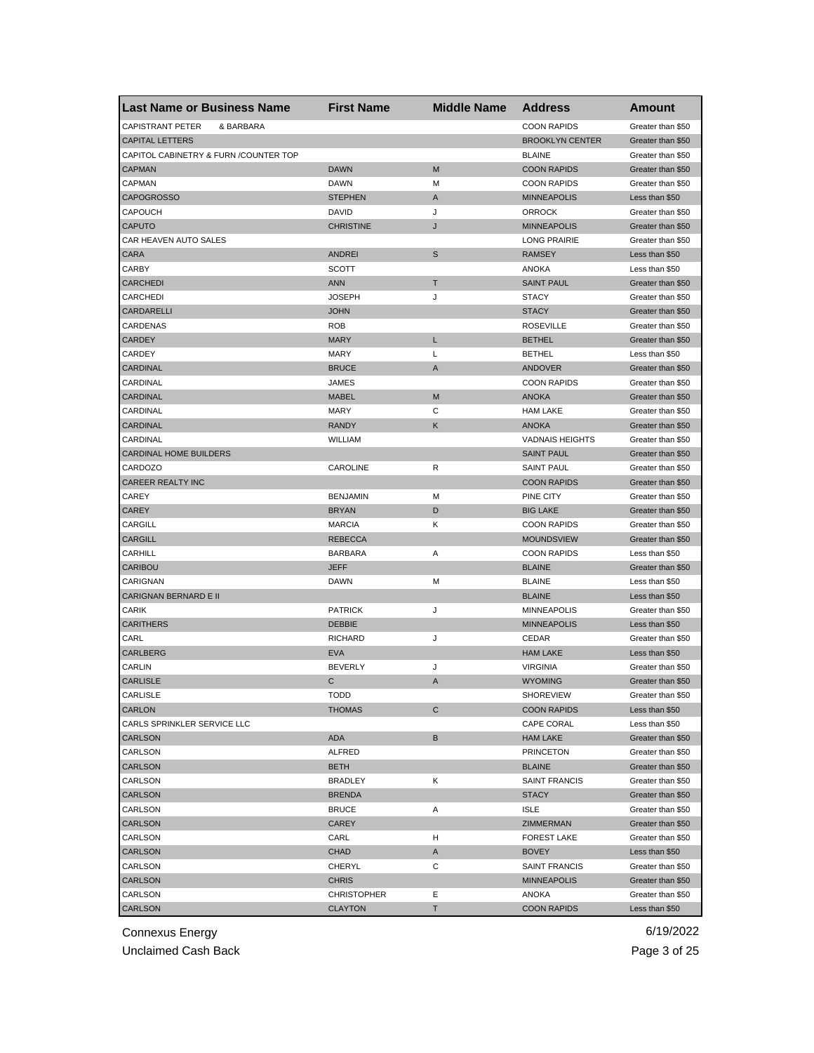| <b>Last Name or Business Name</b>     | <b>First Name</b>               | <b>Middle Name</b> | <b>Address</b>         | <b>Amount</b>     |
|---------------------------------------|---------------------------------|--------------------|------------------------|-------------------|
| <b>CAPISTRANT PETER</b><br>& BARBARA  |                                 |                    | <b>COON RAPIDS</b>     | Greater than \$50 |
| <b>CAPITAL LETTERS</b>                |                                 |                    | <b>BROOKLYN CENTER</b> | Greater than \$50 |
| CAPITOL CABINETRY & FURN /COUNTER TOP |                                 |                    | <b>BLAINE</b>          | Greater than \$50 |
| <b>CAPMAN</b>                         | <b>DAWN</b>                     | M                  | <b>COON RAPIDS</b>     | Greater than \$50 |
| <b>CAPMAN</b>                         | <b>DAWN</b>                     | М                  | <b>COON RAPIDS</b>     | Greater than \$50 |
| <b>CAPOGROSSO</b>                     | <b>STEPHEN</b>                  | Α                  | <b>MINNEAPOLIS</b>     | Less than \$50    |
| CAPOUCH                               | DAVID                           | J                  | <b>ORROCK</b>          | Greater than \$50 |
| <b>CAPUTO</b>                         | <b>CHRISTINE</b>                | J                  | <b>MINNEAPOLIS</b>     | Greater than \$50 |
| CAR HEAVEN AUTO SALES                 |                                 |                    | <b>LONG PRAIRIE</b>    | Greater than \$50 |
| <b>CARA</b>                           | <b>ANDREI</b>                   | S                  | <b>RAMSEY</b>          | Less than \$50    |
| CARBY                                 | SCOTT                           |                    | <b>ANOKA</b>           | Less than \$50    |
| <b>CARCHEDI</b>                       | <b>ANN</b>                      | Т                  | <b>SAINT PAUL</b>      | Greater than \$50 |
| CARCHEDI                              | <b>JOSEPH</b>                   | J                  | <b>STACY</b>           | Greater than \$50 |
| CARDARELLI                            | <b>JOHN</b>                     |                    | <b>STACY</b>           | Greater than \$50 |
| CARDENAS                              | <b>ROB</b>                      |                    | <b>ROSEVILLE</b>       | Greater than \$50 |
| <b>CARDEY</b>                         | <b>MARY</b>                     | Г                  | <b>BETHEL</b>          | Greater than \$50 |
| CARDEY                                | <b>MARY</b>                     | L                  | <b>BETHEL</b>          | Less than \$50    |
| <b>CARDINAL</b>                       | <b>BRUCE</b>                    | A                  | <b>ANDOVER</b>         | Greater than \$50 |
| CARDINAL                              | JAMES                           |                    | <b>COON RAPIDS</b>     | Greater than \$50 |
| <b>CARDINAL</b>                       | <b>MABEL</b>                    | M                  | <b>ANOKA</b>           | Greater than \$50 |
| CARDINAL                              | MARY                            | С                  | <b>HAM LAKE</b>        | Greater than \$50 |
| <b>CARDINAL</b>                       | <b>RANDY</b>                    | Κ                  | <b>ANOKA</b>           | Greater than \$50 |
| CARDINAL                              | <b>WILLIAM</b>                  |                    | <b>VADNAIS HEIGHTS</b> | Greater than \$50 |
| CARDINAL HOME BUILDERS                |                                 |                    | <b>SAINT PAUL</b>      | Greater than \$50 |
| CARDOZO                               | CAROLINE                        | R                  | <b>SAINT PAUL</b>      | Greater than \$50 |
| <b>CAREER REALTY INC</b>              |                                 |                    | <b>COON RAPIDS</b>     | Greater than \$50 |
| CAREY                                 | <b>BENJAMIN</b>                 | М                  | PINE CITY              | Greater than \$50 |
| <b>CAREY</b>                          | <b>BRYAN</b>                    | D                  | <b>BIG LAKE</b>        | Greater than \$50 |
| CARGILL                               | <b>MARCIA</b>                   | Κ                  | <b>COON RAPIDS</b>     | Greater than \$50 |
| <b>CARGILL</b>                        | <b>REBECCA</b>                  |                    | <b>MOUNDSVIEW</b>      | Greater than \$50 |
| CARHILL                               | <b>BARBARA</b>                  | Α                  | <b>COON RAPIDS</b>     | Less than \$50    |
| CARIBOU                               | <b>JEFF</b>                     |                    | <b>BLAINE</b>          | Greater than \$50 |
| CARIGNAN                              | <b>DAWN</b>                     | М                  | <b>BLAINE</b>          | Less than \$50    |
| CARIGNAN BERNARD E II                 |                                 |                    | <b>BLAINE</b>          | Less than \$50    |
|                                       |                                 |                    | <b>MINNEAPOLIS</b>     | Greater than \$50 |
| CARIK<br><b>CARITHERS</b>             | <b>PATRICK</b><br><b>DEBBIE</b> | J                  | <b>MINNEAPOLIS</b>     |                   |
|                                       |                                 |                    |                        | Less than \$50    |
| CARL                                  | <b>RICHARD</b>                  | J                  | CEDAR                  | Greater than \$50 |
| CARLBERG                              | <b>EVA</b>                      |                    | <b>HAM LAKE</b>        | Less than \$50    |
| CARLIN                                | <b>BEVERLY</b>                  | J                  | <b>VIRGINIA</b>        | Greater than \$50 |
| <b>CARLISLE</b>                       | С                               | A                  | <b>WYOMING</b>         | Greater than \$50 |
| <b>CARLISLE</b>                       | <b>IODD</b>                     |                    | <b>SHOREVIEW</b>       | Greater than \$50 |
| CARLON                                | <b>THOMAS</b>                   | С                  | <b>COON RAPIDS</b>     | Less than \$50    |
| CARLS SPRINKLER SERVICE LLC           |                                 |                    | CAPE CORAL             | Less than \$50    |
| <b>CARLSON</b>                        | ADA                             | B                  | <b>HAM LAKE</b>        | Greater than \$50 |
| CARLSON                               | <b>ALFRED</b>                   |                    | <b>PRINCETON</b>       | Greater than \$50 |
| <b>CARLSON</b>                        | <b>BETH</b>                     |                    | <b>BLAINE</b>          | Greater than \$50 |
| CARLSON                               | <b>BRADLEY</b>                  | Κ                  | <b>SAINT FRANCIS</b>   | Greater than \$50 |
| CARLSON                               | <b>BRENDA</b>                   |                    | <b>STACY</b>           | Greater than \$50 |
| CARLSON                               | <b>BRUCE</b>                    | Α                  | <b>ISLE</b>            | Greater than \$50 |
| CARLSON                               | <b>CAREY</b>                    |                    | ZIMMERMAN              | Greater than \$50 |
| CARLSON                               | CARL                            | н                  | <b>FOREST LAKE</b>     | Greater than \$50 |
| CARLSON                               | <b>CHAD</b>                     | A                  | <b>BOVEY</b>           | Less than \$50    |
| CARLSON                               | CHERYL                          | С                  | <b>SAINT FRANCIS</b>   | Greater than \$50 |
| CARLSON                               | <b>CHRIS</b>                    |                    | <b>MINNEAPOLIS</b>     | Greater than \$50 |
| CARLSON                               | <b>CHRISTOPHER</b>              | Ε                  | ANOKA                  | Greater than \$50 |
| CARLSON                               | <b>CLAYTON</b>                  | т                  | <b>COON RAPIDS</b>     | Less than \$50    |

Unclaimed Cash Back **Page 3 of 25**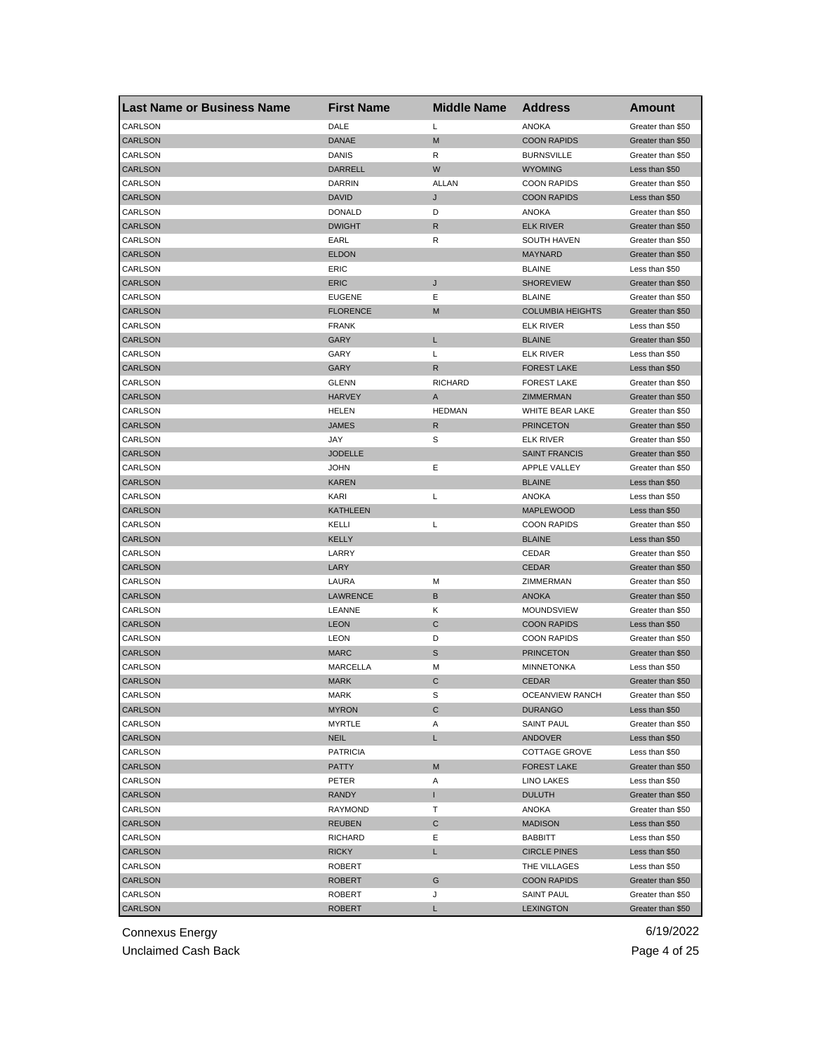| <b>Last Name or Business Name</b> | <b>First Name</b> | <b>Middle Name</b> | <b>Address</b>          | Amount            |
|-----------------------------------|-------------------|--------------------|-------------------------|-------------------|
| CARLSON                           | DALE              | L                  | <b>ANOKA</b>            | Greater than \$50 |
| <b>CARLSON</b>                    | <b>DANAE</b>      | M                  | <b>COON RAPIDS</b>      | Greater than \$50 |
| CARLSON                           | DANIS             | R                  | <b>BURNSVILLE</b>       | Greater than \$50 |
| <b>CARLSON</b>                    | <b>DARRELL</b>    | W                  | <b>WYOMING</b>          | Less than \$50    |
| CARLSON                           | DARRIN            | <b>ALLAN</b>       | <b>COON RAPIDS</b>      | Greater than \$50 |
| <b>CARLSON</b>                    | <b>DAVID</b>      | J                  | <b>COON RAPIDS</b>      | Less than \$50    |
| CARLSON                           | <b>DONALD</b>     | D                  | ANOKA                   | Greater than \$50 |
| <b>CARLSON</b>                    | <b>DWIGHT</b>     | R                  | <b>ELK RIVER</b>        | Greater than \$50 |
| CARLSON                           | EARL              | R                  | <b>SOUTH HAVEN</b>      | Greater than \$50 |
| <b>CARLSON</b>                    | <b>ELDON</b>      |                    | <b>MAYNARD</b>          | Greater than \$50 |
| CARLSON                           | ERIC              |                    | <b>BLAINE</b>           | Less than \$50    |
| <b>CARLSON</b>                    | <b>ERIC</b>       | J                  | <b>SHOREVIEW</b>        | Greater than \$50 |
| CARLSON                           | <b>EUGENE</b>     | Ε                  | <b>BLAINE</b>           | Greater than \$50 |
| <b>CARLSON</b>                    | <b>FLORENCE</b>   | M                  | <b>COLUMBIA HEIGHTS</b> | Greater than \$50 |
| CARLSON                           | <b>FRANK</b>      |                    | <b>ELK RIVER</b>        | Less than \$50    |
| <b>CARLSON</b>                    | GARY              | L                  | <b>BLAINE</b>           | Greater than \$50 |
| CARLSON                           | GARY              | L                  | <b>ELK RIVER</b>        | Less than \$50    |
| <b>CARLSON</b>                    | GARY              | R                  | <b>FOREST LAKE</b>      | Less than \$50    |
| CARLSON                           | <b>GLENN</b>      | <b>RICHARD</b>     | <b>FOREST LAKE</b>      | Greater than \$50 |
| <b>CARLSON</b>                    | <b>HARVEY</b>     | A                  | ZIMMERMAN               | Greater than \$50 |
| CARLSON                           | <b>HELEN</b>      | <b>HEDMAN</b>      | <b>WHITE BEAR LAKE</b>  | Greater than \$50 |
| <b>CARLSON</b>                    | <b>JAMES</b>      | R                  | <b>PRINCETON</b>        | Greater than \$50 |
| CARLSON                           | JAY               | S                  | <b>ELK RIVER</b>        | Greater than \$50 |
| <b>CARLSON</b>                    | <b>JODELLE</b>    |                    | <b>SAINT FRANCIS</b>    | Greater than \$50 |
| CARLSON                           | <b>JOHN</b>       | Ε                  | <b>APPLE VALLEY</b>     | Greater than \$50 |
| <b>CARLSON</b>                    | <b>KAREN</b>      |                    | <b>BLAINE</b>           | Less than \$50    |
| CARLSON                           | KARI              | Г                  | ANOKA                   | Less than \$50    |
| <b>CARLSON</b>                    | <b>KATHLEEN</b>   |                    | <b>MAPLEWOOD</b>        | Less than \$50    |
| CARLSON                           | KELLI             | L                  | <b>COON RAPIDS</b>      | Greater than \$50 |
| CARLSON                           | <b>KELLY</b>      |                    | <b>BLAINE</b>           | Less than \$50    |
| CARLSON                           | LARRY             |                    | CEDAR                   | Greater than \$50 |
| <b>CARLSON</b>                    | LARY              |                    | <b>CEDAR</b>            | Greater than \$50 |
| CARLSON                           | LAURA             | M                  | ZIMMERMAN               | Greater than \$50 |
| <b>CARLSON</b>                    | <b>LAWRENCE</b>   | В                  | <b>ANOKA</b>            | Greater than \$50 |
| CARLSON                           | LEANNE            | Κ                  | MOUNDSVIEW              | Greater than \$50 |
| CARLSON                           | <b>LEON</b>       | C                  | <b>COON RAPIDS</b>      | Less than \$50    |
| CARLSON                           | <b>LEON</b>       | D                  | <b>COON RAPIDS</b>      | Greater than \$50 |
| CARLSON                           | <b>MARC</b>       | S                  | <b>PRINCETON</b>        | Greater than \$50 |
| CARLSON                           | MARCELLA          | М                  | <b>MINNETONKA</b>       | Less than \$50    |
| <b>CARLSON</b>                    | <b>MARK</b>       | C                  | <b>CEDAR</b>            | Greater than \$50 |
| CARLSON                           | MARK              | S                  | OCEANVIEW RANCH         | Greater than \$50 |
| CARLSON                           | <b>MYRON</b>      | C                  | <b>DURANGO</b>          | Less than \$50    |
| CARLSON                           | MYRTLE            | Α                  | <b>SAINT PAUL</b>       | Greater than \$50 |
| CARLSON                           | <b>NEIL</b>       | L.                 | ANDOVER                 | Less than \$50    |
| CARLSON                           | <b>PATRICIA</b>   |                    | COTTAGE GROVE           | Less than \$50    |
| CARLSON                           | <b>PATTY</b>      | M                  | <b>FOREST LAKE</b>      | Greater than \$50 |
| CARLSON                           | PETER             | Α                  | <b>LINO LAKES</b>       | Less than \$50    |
| CARLSON                           | <b>RANDY</b>      | T.                 | <b>DULUTH</b>           | Greater than \$50 |
| CARLSON                           | RAYMOND           | т                  | ANOKA                   | Greater than \$50 |
| <b>CARLSON</b>                    | <b>REUBEN</b>     | С                  | <b>MADISON</b>          | Less than \$50    |
| CARLSON                           | <b>RICHARD</b>    | Е                  | <b>BABBITT</b>          | Less than \$50    |
| CARLSON                           | <b>RICKY</b>      | L                  | <b>CIRCLE PINES</b>     | Less than \$50    |
| CARLSON                           | ROBERT            |                    | THE VILLAGES            | Less than \$50    |
| CARLSON                           | ROBERT            | G                  | <b>COON RAPIDS</b>      | Greater than \$50 |
| CARLSON                           | ROBERT            | J                  | <b>SAINT PAUL</b>       | Greater than \$50 |
| CARLSON                           | <b>ROBERT</b>     | L.                 | <b>LEXINGTON</b>        | Greater than \$50 |
|                                   |                   |                    |                         |                   |

Unclaimed Cash Back **Page 4 of 25**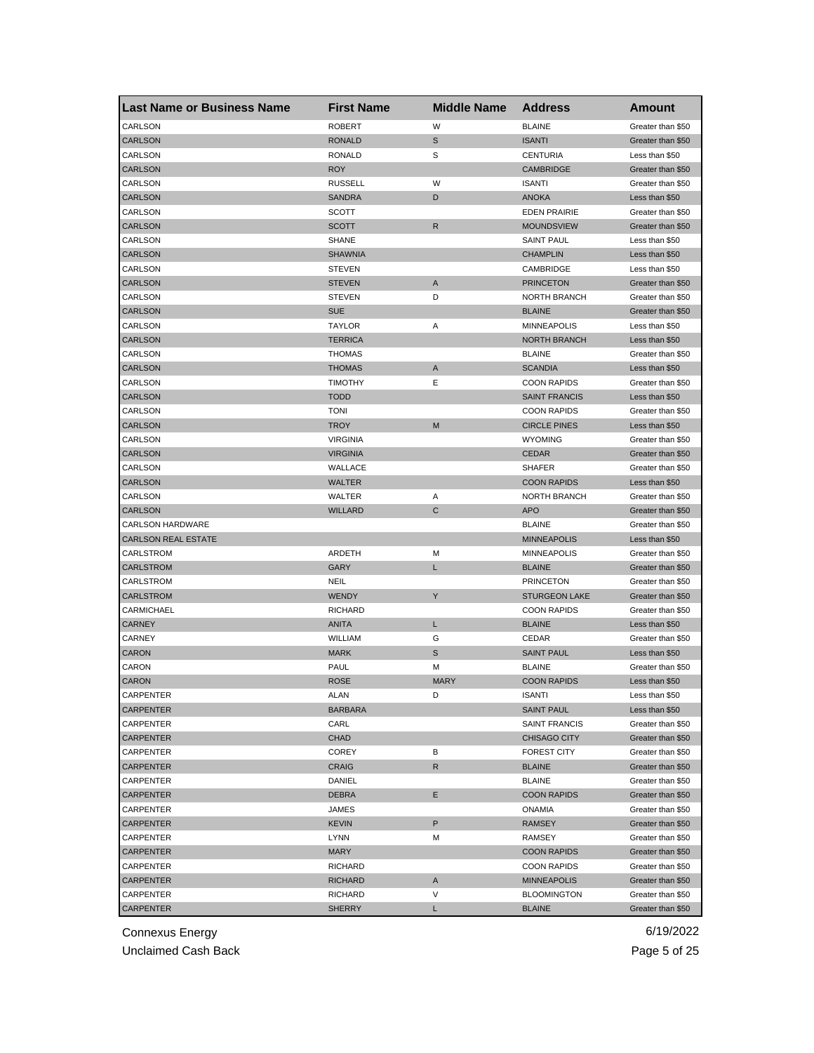| <b>Last Name or Business Name</b> | <b>First Name</b>      | <b>Middle Name</b> | <b>Address</b>       | Amount                           |
|-----------------------------------|------------------------|--------------------|----------------------|----------------------------------|
| CARLSON                           | <b>ROBERT</b>          | W                  | <b>BLAINE</b>        | Greater than \$50                |
| <b>CARLSON</b>                    | <b>RONALD</b>          | $\mathbb S$        | <b>ISANTI</b>        | Greater than \$50                |
| CARLSON                           | RONALD                 | S                  | <b>CENTURIA</b>      | Less than \$50                   |
| <b>CARLSON</b>                    | <b>ROY</b>             |                    | <b>CAMBRIDGE</b>     | Greater than \$50                |
| CARLSON                           | <b>RUSSELL</b>         | W                  | <b>ISANTI</b>        | Greater than \$50                |
| <b>CARLSON</b>                    | <b>SANDRA</b>          | D                  | <b>ANOKA</b>         | Less than \$50                   |
| CARLSON                           | SCOTT                  |                    | <b>EDEN PRAIRIE</b>  | Greater than \$50                |
| CARLSON                           | SCOTT                  | R                  | <b>MOUNDSVIEW</b>    | Greater than \$50                |
| CARLSON                           | SHANE                  |                    | <b>SAINT PAUL</b>    | Less than \$50                   |
| <b>CARLSON</b>                    | <b>SHAWNIA</b>         |                    | <b>CHAMPLIN</b>      | Less than \$50                   |
| CARLSON                           | <b>STEVEN</b>          |                    | CAMBRIDGE            | Less than \$50                   |
| <b>CARLSON</b>                    | <b>STEVEN</b>          | A                  | <b>PRINCETON</b>     | Greater than \$50                |
| CARLSON                           | <b>STEVEN</b>          | D                  | <b>NORTH BRANCH</b>  | Greater than \$50                |
| <b>CARLSON</b>                    | <b>SUE</b>             |                    | <b>BLAINE</b>        | Greater than \$50                |
| CARLSON                           | <b>TAYLOR</b>          | Α                  | <b>MINNEAPOLIS</b>   | Less than \$50                   |
| <b>CARLSON</b>                    | <b>TERRICA</b>         |                    | <b>NORTH BRANCH</b>  | Less than \$50                   |
| CARLSON                           | <b>THOMAS</b>          |                    | <b>BLAINE</b>        | Greater than \$50                |
| <b>CARLSON</b>                    | <b>THOMAS</b>          | A                  | <b>SCANDIA</b>       | Less than \$50                   |
| CARLSON                           | <b>TIMOTHY</b>         | Ε                  | <b>COON RAPIDS</b>   | Greater than \$50                |
| <b>CARLSON</b>                    | <b>TODD</b>            |                    | <b>SAINT FRANCIS</b> | Less than \$50                   |
| CARLSON                           | <b>TONI</b>            |                    | <b>COON RAPIDS</b>   | Greater than \$50                |
| <b>CARLSON</b>                    | <b>TROY</b>            | M                  | <b>CIRCLE PINES</b>  | Less than \$50                   |
| CARLSON                           | <b>VIRGINIA</b>        |                    | <b>WYOMING</b>       | Greater than \$50                |
| <b>CARLSON</b>                    | <b>VIRGINIA</b>        |                    | <b>CEDAR</b>         | Greater than \$50                |
| CARLSON                           | WALLACE                |                    | <b>SHAFER</b>        | Greater than \$50                |
| <b>CARLSON</b>                    | <b>WALTER</b>          |                    | <b>COON RAPIDS</b>   | Less than \$50                   |
| CARLSON                           | WALTER                 | Α                  | NORTH BRANCH         | Greater than \$50                |
| <b>CARLSON</b>                    | <b>WILLARD</b>         | C                  | <b>APO</b>           | Greater than \$50                |
| <b>CARLSON HARDWARE</b>           |                        |                    | <b>BLAINE</b>        | Greater than \$50                |
| <b>CARLSON REAL ESTATE</b>        |                        |                    | <b>MINNEAPOLIS</b>   | Less than \$50                   |
| CARLSTROM                         | ARDETH                 | M                  | <b>MINNEAPOLIS</b>   | Greater than \$50                |
| <b>CARLSTROM</b>                  | <b>GARY</b>            | Г                  | <b>BLAINE</b>        | Greater than \$50                |
| CARLSTROM                         | NEIL                   |                    | <b>PRINCETON</b>     | Greater than \$50                |
| <b>CARLSTROM</b>                  | <b>WENDY</b>           | Υ                  | <b>STURGEON LAKE</b> | Greater than \$50                |
| CARMICHAEL                        | <b>RICHARD</b>         |                    | <b>COON RAPIDS</b>   | Greater than \$50                |
| CARNEY                            | <b>ANITA</b>           | L                  | <b>BLAINE</b>        | Less than \$50                   |
| CARNEY                            | <b>WILLIAM</b>         | G                  | CEDAR                | Greater than \$50                |
| <b>CARON</b>                      | <b>MARK</b>            | S                  | <b>SAINT PAUL</b>    | Less than \$50                   |
| CARON                             | PAUL                   |                    | <b>BLAINE</b>        | Greater than \$50                |
| <b>CARON</b>                      | <b>ROSE</b>            | M<br><b>MARY</b>   | <b>COON RAPIDS</b>   | Less than \$50                   |
|                                   |                        |                    |                      |                                  |
| CARPENTER                         | ALAN<br><b>BARBARA</b> | D                  | ISANTI               | Less than \$50<br>Less than \$50 |
| <b>CARPENTER</b>                  |                        |                    | SAINT PAUL           |                                  |
| CARPENTER                         | CARL                   |                    | SAINT FRANCIS        | Greater than \$50                |
| CARPENTER                         | CHAD                   |                    | CHISAGO CITY         | Greater than \$50                |
| CARPENTER                         | COREY                  | в                  | <b>FOREST CITY</b>   | Greater than \$50                |
| CARPENTER                         | <b>CRAIG</b>           | $\mathsf{R}$       | <b>BLAINE</b>        | Greater than \$50                |
| CARPENTER                         | DANIEL                 |                    | <b>BLAINE</b>        | Greater than \$50                |
| <b>CARPENTER</b>                  | <b>DEBRA</b>           | Е                  | <b>COON RAPIDS</b>   | Greater than \$50                |
| CARPENTER                         | <b>JAMES</b>           |                    | <b>ONAMIA</b>        | Greater than \$50                |
| <b>CARPENTER</b>                  | <b>KEVIN</b>           | P                  | <b>RAMSEY</b>        | Greater than \$50                |
| CARPENTER                         | LYNN                   | Μ                  | RAMSEY               | Greater than \$50                |
| <b>CARPENTER</b>                  | <b>MARY</b>            |                    | <b>COON RAPIDS</b>   | Greater than \$50                |
| CARPENTER                         | RICHARD                |                    | <b>COON RAPIDS</b>   | Greater than \$50                |
| CARPENTER                         | <b>RICHARD</b>         | A                  | <b>MINNEAPOLIS</b>   | Greater than \$50                |
| CARPENTER                         | RICHARD                | V                  | <b>BLOOMINGTON</b>   | Greater than \$50                |
| CARPENTER                         | SHERRY                 | L                  | <b>BLAINE</b>        | Greater than \$50                |

Unclaimed Cash Back **Page 5 of 25**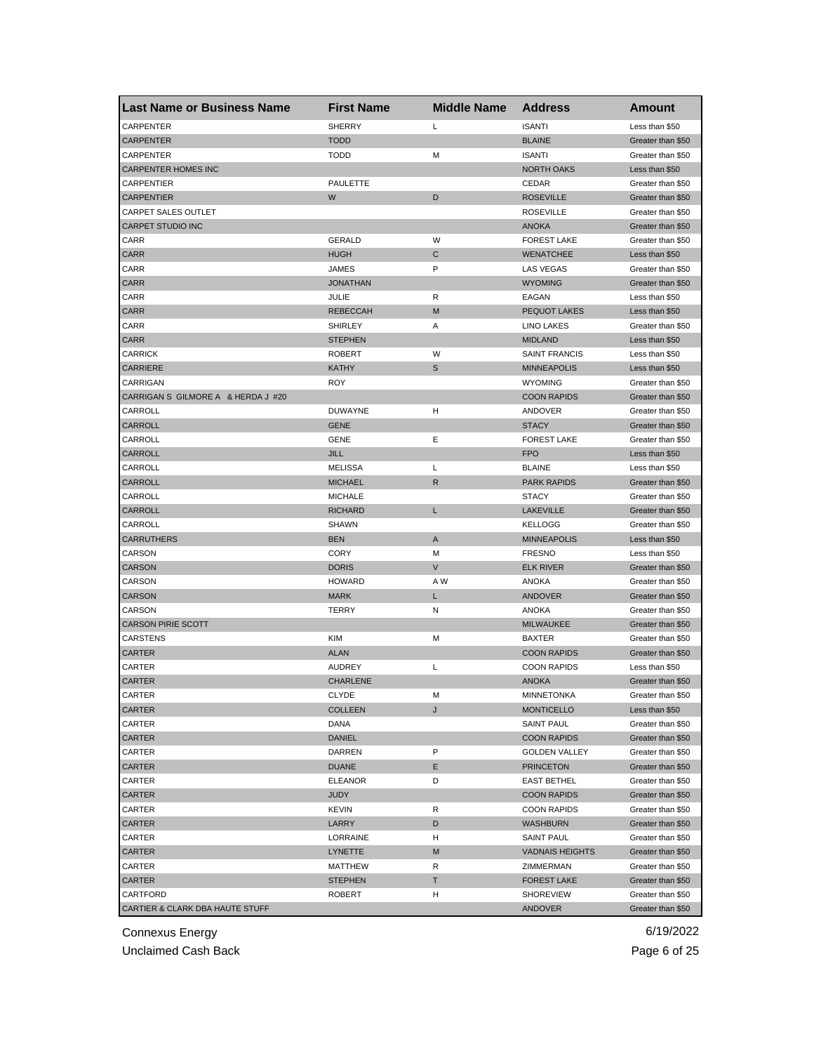| <b>Last Name or Business Name</b>  | <b>First Name</b>              | <b>Middle Name</b> | <b>Address</b>                    | Amount                              |
|------------------------------------|--------------------------------|--------------------|-----------------------------------|-------------------------------------|
| CARPENTER                          | <b>SHERRY</b>                  | L                  | <b>ISANTI</b>                     | Less than \$50                      |
| <b>CARPENTER</b>                   | <b>TODD</b>                    |                    | <b>BLAINE</b>                     | Greater than \$50                   |
| CARPENTER                          | <b>TODD</b>                    | M                  | <b>ISANTI</b>                     | Greater than \$50                   |
| CARPENTER HOMES INC                |                                |                    | <b>NORTH OAKS</b>                 | Less than \$50                      |
| CARPENTIER                         | <b>PAULETTE</b>                |                    | CEDAR                             | Greater than \$50                   |
| <b>CARPENTIER</b>                  | W                              | D                  | <b>ROSEVILLE</b>                  | Greater than \$50                   |
| CARPET SALES OUTLET                |                                |                    | <b>ROSEVILLE</b>                  | Greater than \$50                   |
| <b>CARPET STUDIO INC</b>           |                                |                    | <b>ANOKA</b>                      | Greater than \$50                   |
| CARR                               | GERALD                         | W                  | <b>FOREST LAKE</b>                | Greater than \$50                   |
| <b>CARR</b>                        | <b>HUGH</b>                    | C                  | <b>WENATCHEE</b>                  | Less than \$50                      |
| CARR                               | JAMES                          | P                  | <b>LAS VEGAS</b>                  | Greater than \$50                   |
| <b>CARR</b>                        | <b>JONATHAN</b>                |                    | <b>WYOMING</b>                    | Greater than \$50                   |
| CARR                               | JULIE                          | R                  | EAGAN                             | Less than \$50                      |
| CARR                               | <b>REBECCAH</b>                | M                  | <b>PEQUOT LAKES</b>               | Less than \$50                      |
| CARR                               | <b>SHIRLEY</b>                 | Α                  | LINO LAKES                        | Greater than \$50                   |
| <b>CARR</b>                        | <b>STEPHEN</b>                 |                    | <b>MIDLAND</b>                    | Less than \$50                      |
| CARRICK                            | <b>ROBERT</b>                  | W                  | <b>SAINT FRANCIS</b>              | Less than \$50                      |
| CARRIERE                           | <b>KATHY</b>                   | S                  | <b>MINNEAPOLIS</b>                | Less than \$50                      |
| CARRIGAN                           | <b>ROY</b>                     |                    | <b>WYOMING</b>                    | Greater than \$50                   |
| CARRIGAN S GILMORE A & HERDA J #20 |                                |                    | <b>COON RAPIDS</b>                | Greater than \$50                   |
| CARROLL                            | <b>DUWAYNE</b>                 | н                  | ANDOVER                           | Greater than \$50                   |
| <b>CARROLL</b>                     | <b>GENE</b>                    |                    | <b>STACY</b>                      | Greater than \$50                   |
| CARROLL                            | GENE                           | Е                  | <b>FOREST LAKE</b>                | Greater than \$50                   |
| CARROLL                            | <b>JILL</b>                    |                    | <b>FPO</b>                        | Less than \$50                      |
| CARROLL                            | <b>MELISSA</b>                 | L                  | <b>BLAINE</b>                     | Less than \$50                      |
| CARROLL                            | <b>MICHAEL</b>                 | R                  | <b>PARK RAPIDS</b>                | Greater than \$50                   |
| CARROLL                            | <b>MICHALE</b>                 |                    | <b>STACY</b>                      | Greater than \$50                   |
| CARROLL                            | <b>RICHARD</b>                 | L                  | <b>LAKEVILLE</b>                  | Greater than \$50                   |
| CARROLL                            | SHAWN                          |                    | <b>KELLOGG</b>                    | Greater than \$50                   |
| CARRUTHERS                         | <b>BEN</b>                     | A                  | <b>MINNEAPOLIS</b>                | Less than \$50                      |
| CARSON                             | CORY                           | M                  | <b>FRESNO</b>                     | Less than \$50                      |
| <b>CARSON</b>                      | <b>DORIS</b>                   | V                  | <b>ELK RIVER</b>                  | Greater than \$50                   |
| CARSON                             | <b>HOWARD</b>                  | A W                | ANOKA                             | Greater than \$50                   |
| CARSON                             | <b>MARK</b>                    | L                  | ANDOVER                           | Greater than \$50                   |
| CARSON                             | TERRY                          | N                  | ANOKA                             | Greater than \$50                   |
| <b>CARSON PIRIE SCOTT</b>          |                                |                    | <b>MILWAUKEE</b>                  | Greater than \$50                   |
| CARSTENS                           | <b>KIM</b>                     | М                  | <b>BAXTER</b>                     | Greater than \$50                   |
| CARTER                             | <b>ALAN</b>                    |                    | <b>COON RAPIDS</b>                | Greater than \$50                   |
| CARTER                             | <b>AUDREY</b>                  | L                  | <b>COON RAPIDS</b>                | Less than \$50                      |
| CARTER                             | <b>CHARLENE</b>                |                    | <b>ANOKA</b>                      | Greater than \$50                   |
|                                    |                                | м                  |                                   |                                     |
| CARIER<br>CARTER                   | <b>CLYDE</b><br><b>COLLEEN</b> | J                  | MINNE I ONKA<br><b>MONTICELLO</b> | Greater than \$50<br>Less than \$50 |
| CARTER                             | DANA                           |                    | <b>SAINT PAUL</b>                 | Greater than \$50                   |
| CARTER                             | DANIEL                         |                    | <b>COON RAPIDS</b>                | Greater than \$50                   |
|                                    | DARREN                         | P                  | <b>GOLDEN VALLEY</b>              | Greater than \$50                   |
| CARTER<br>CARTER                   | <b>DUANE</b>                   | Ε                  | <b>PRINCETON</b>                  | Greater than \$50                   |
|                                    | <b>ELEANOR</b>                 |                    |                                   |                                     |
| CARTER                             |                                | D                  | <b>EAST BETHEL</b>                | Greater than \$50                   |
| CARTER                             | <b>JUDY</b>                    |                    | <b>COON RAPIDS</b>                | Greater than \$50                   |
| CARTER                             | KEVIN                          | R                  | <b>COON RAPIDS</b>                | Greater than \$50                   |
| CARTER                             | LARRY                          | D                  | <b>WASHBURN</b>                   | Greater than \$50                   |
| CARTER                             | LORRAINE                       | H                  | <b>SAINT PAUL</b>                 | Greater than \$50                   |
| CARTER                             | LYNETTE                        | M                  | <b>VADNAIS HEIGHTS</b>            | Greater than \$50                   |
| CARTER                             | MATTHEW                        | R                  | ZIMMERMAN                         | Greater than \$50                   |
| CARTER                             | <b>STEPHEN</b>                 | т                  | <b>FOREST LAKE</b>                | Greater than \$50                   |
| CARTFORD                           | ROBERT                         | н                  | <b>SHOREVIEW</b>                  | Greater than \$50                   |
| CARTIER & CLARK DBA HAUTE STUFF    |                                |                    | <b>ANDOVER</b>                    | Greater than \$50                   |

Unclaimed Cash Back **Page 6 of 25**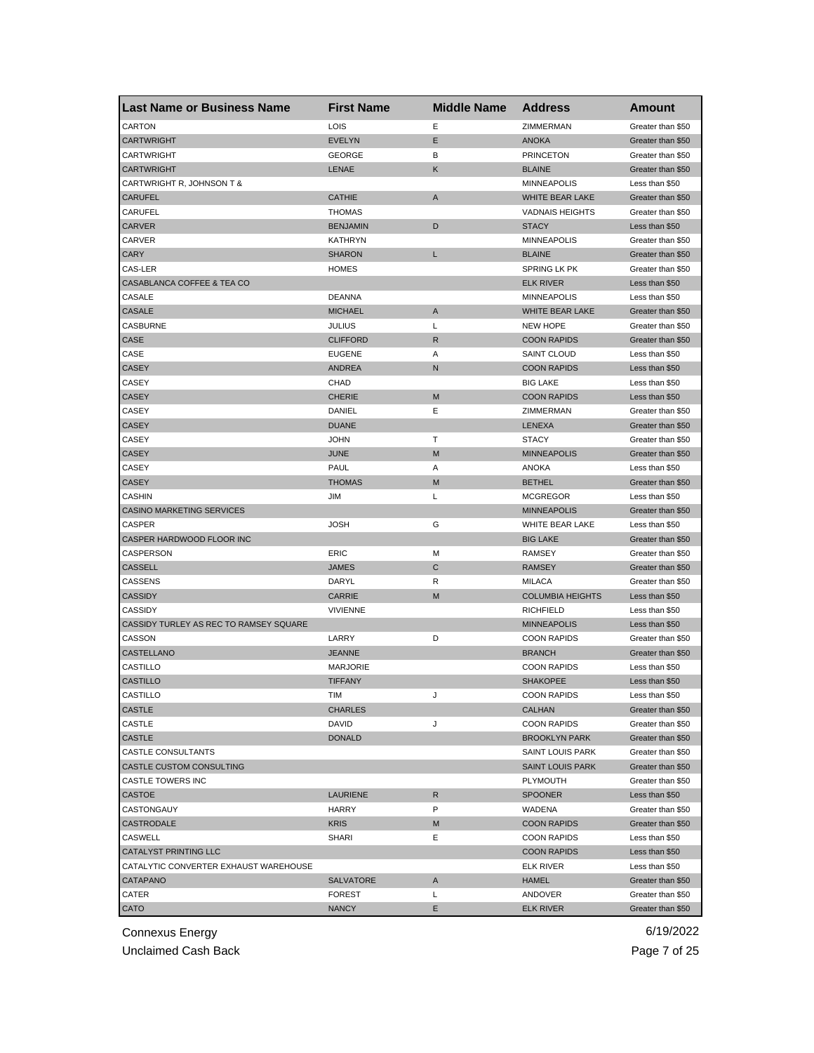| <b>Last Name or Business Name</b>      | <b>First Name</b> | <b>Middle Name</b> | <b>Address</b>               | Amount                              |
|----------------------------------------|-------------------|--------------------|------------------------------|-------------------------------------|
| <b>CARTON</b>                          | LOIS              | Е                  | ZIMMERMAN                    | Greater than \$50                   |
| <b>CARTWRIGHT</b>                      | <b>EVELYN</b>     | Ε                  | <b>ANOKA</b>                 | Greater than \$50                   |
| <b>CARTWRIGHT</b>                      | <b>GEORGE</b>     | В                  | <b>PRINCETON</b>             | Greater than \$50                   |
| <b>CARTWRIGHT</b>                      | LENAE             | Κ                  | <b>BLAINE</b>                | Greater than \$50                   |
| CARTWRIGHT R, JOHNSON T &              |                   |                    | <b>MINNEAPOLIS</b>           | Less than \$50                      |
| <b>CARUFEL</b>                         | <b>CATHIE</b>     | A                  | WHITE BEAR LAKE              | Greater than \$50                   |
| CARUFEL                                | <b>THOMAS</b>     |                    | <b>VADNAIS HEIGHTS</b>       | Greater than \$50                   |
| <b>CARVER</b>                          | <b>BENJAMIN</b>   | D                  | <b>STACY</b>                 | Less than \$50                      |
| CARVER                                 | KATHRYN           |                    | <b>MINNEAPOLIS</b>           | Greater than \$50                   |
| <b>CARY</b>                            | SHARON            | L                  | <b>BLAINE</b>                | Greater than \$50                   |
| CAS-LER                                | <b>HOMES</b>      |                    | SPRING LK PK                 | Greater than \$50                   |
| CASABLANCA COFFEE & TEA CO             |                   |                    | <b>ELK RIVER</b>             | Less than \$50                      |
| CASALE                                 | <b>DEANNA</b>     |                    | <b>MINNEAPOLIS</b>           | Less than \$50                      |
| CASALE                                 | <b>MICHAEL</b>    | A                  | WHITE BEAR LAKE              | Greater than \$50                   |
| CASBURNE                               | JULIUS            | Г                  | <b>NEW HOPE</b>              | Greater than \$50                   |
| CASE                                   | <b>CLIFFORD</b>   | R                  | <b>COON RAPIDS</b>           | Greater than \$50                   |
| CASE                                   | <b>EUGENE</b>     | Α                  | <b>SAINT CLOUD</b>           | Less than \$50                      |
| <b>CASEY</b>                           | <b>ANDREA</b>     | N                  | <b>COON RAPIDS</b>           | Less than \$50                      |
| CASEY                                  | CHAD              |                    | <b>BIG LAKE</b>              | Less than \$50                      |
| <b>CASEY</b>                           | <b>CHERIE</b>     | M                  | <b>COON RAPIDS</b>           | Less than \$50                      |
| CASEY                                  | DANIEL            | Е                  | ZIMMERMAN                    | Greater than \$50                   |
| <b>CASEY</b>                           | <b>DUANE</b>      |                    | <b>LENEXA</b>                | Greater than \$50                   |
| CASEY                                  | <b>JOHN</b>       | т                  | <b>STACY</b>                 | Greater than \$50                   |
| <b>CASEY</b>                           | JUNE              | M                  | <b>MINNEAPOLIS</b>           | Greater than \$50                   |
| CASEY                                  | PAUL              | Α                  | <b>ANOKA</b>                 | Less than \$50                      |
| <b>CASEY</b>                           | <b>THOMAS</b>     | M                  | <b>BETHEL</b>                | Greater than \$50                   |
| CASHIN                                 | JIM               | Г                  | <b>MCGREGOR</b>              | Less than \$50                      |
| <b>CASINO MARKETING SERVICES</b>       |                   |                    | <b>MINNEAPOLIS</b>           | Greater than \$50                   |
| CASPER                                 | JOSH              | G                  | WHITE BEAR LAKE              | Less than \$50                      |
| CASPER HARDWOOD FLOOR INC              |                   |                    | <b>BIG LAKE</b>              | Greater than \$50                   |
| CASPERSON                              | ERIC              | M                  | <b>RAMSEY</b>                | Greater than \$50                   |
| <b>CASSELL</b>                         | JAMES             | $\mathsf{C}$       | <b>RAMSEY</b>                | Greater than \$50                   |
| CASSENS                                | DARYL             | R                  | <b>MILACA</b>                | Greater than \$50                   |
| <b>CASSIDY</b>                         | <b>CARRIE</b>     | M                  | <b>COLUMBIA HEIGHTS</b>      | Less than \$50                      |
| <b>CASSIDY</b>                         | <b>VIVIENNE</b>   |                    | <b>RICHFIELD</b>             | Less than \$50                      |
| CASSIDY TURLEY AS REC TO RAMSEY SQUARE |                   |                    | <b>MINNEAPOLIS</b>           | Less than \$50                      |
| CASSON                                 | LARRY             | D                  | <b>COON RAPIDS</b>           | Greater than \$50                   |
| CASTELLANO                             | <b>JEANNE</b>     |                    | <b>BRANCH</b>                | Greater than \$50                   |
| CASTILLO                               | <b>MARJORIE</b>   |                    | <b>COON RAPIDS</b>           |                                     |
| <b>CASTILLO</b>                        | TIFFANY           |                    | <b>SHAKOPEE</b>              | Less than \$50<br>Less than \$50    |
|                                        |                   |                    |                              |                                     |
| CASTILLO                               | TIM               | J                  | <b>COON RAPIDS</b><br>CALHAN | Less than \$50<br>Greater than \$50 |
| <b>CASTLE</b>                          | CHARLES           |                    |                              |                                     |
| CASTLE                                 | DAVID             | J                  | <b>COON RAPIDS</b>           | Greater than \$50                   |
| <b>CASTLE</b>                          | <b>DONALD</b>     |                    | <b>BROOKLYN PARK</b>         | Greater than \$50                   |
| CASTLE CONSULTANTS                     |                   |                    | SAINT LOUIS PARK             | Greater than \$50                   |
| CASTLE CUSTOM CONSULTING               |                   |                    | <b>SAINT LOUIS PARK</b>      | Greater than \$50                   |
| CASTLE TOWERS INC                      |                   |                    | PLYMOUTH                     | Greater than \$50                   |
| CASTOE                                 | LAURIENE          | R                  | <b>SPOONER</b>               | Less than \$50                      |
| CASTONGAUY                             | HARRY             | P                  | WADENA                       | Greater than \$50                   |
| CASTRODALE                             | <b>KRIS</b>       | M                  | <b>COON RAPIDS</b>           | Greater than \$50                   |
| CASWELL                                | SHARI             | Е                  | <b>COON RAPIDS</b>           | Less than \$50                      |
| CATALYST PRINTING LLC                  |                   |                    | <b>COON RAPIDS</b>           | Less than \$50                      |
| CATALYTIC CONVERTER EXHAUST WAREHOUSE  |                   |                    | ELK RIVER                    | Less than \$50                      |
| CATAPANO                               | <b>SALVATORE</b>  | Α                  | <b>HAMEL</b>                 | Greater than \$50                   |
| CATER                                  | <b>FOREST</b>     | L                  | ANDOVER                      | Greater than \$50                   |
| CATO                                   | <b>NANCY</b>      | E                  | <b>ELK RIVER</b>             | Greater than \$50                   |

Unclaimed Cash Back **Page 7 of 25**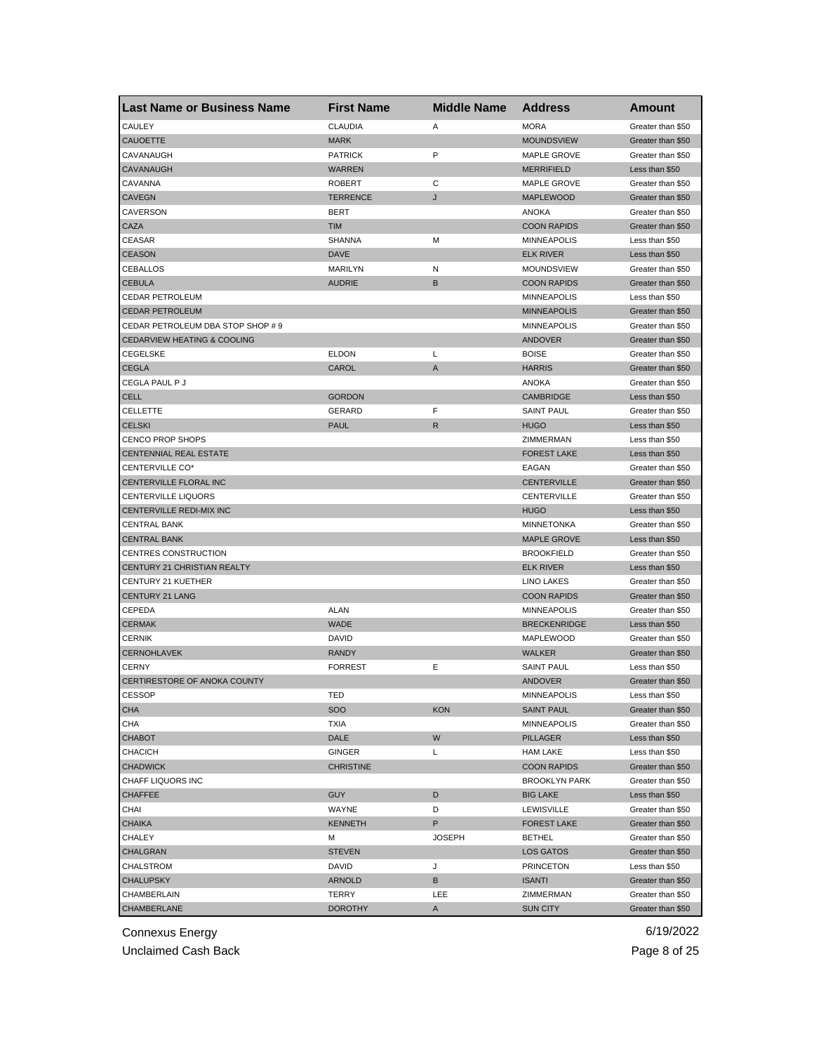| <b>Last Name or Business Name</b>                   | <b>First Name</b> | <b>Middle Name</b> | <b>Address</b>                           | <b>Amount</b>                       |
|-----------------------------------------------------|-------------------|--------------------|------------------------------------------|-------------------------------------|
| CAULEY                                              | <b>CLAUDIA</b>    | Α                  | <b>MORA</b>                              | Greater than \$50                   |
| <b>CAUOETTE</b>                                     | <b>MARK</b>       |                    | <b>MOUNDSVIEW</b>                        | Greater than \$50                   |
| CAVANAUGH                                           | <b>PATRICK</b>    | P                  | MAPLE GROVE                              | Greater than \$50                   |
| CAVANAUGH                                           | <b>WARREN</b>     |                    | <b>MERRIFIELD</b>                        | Less than \$50                      |
| CAVANNA                                             | <b>ROBERT</b>     | C                  | <b>MAPLE GROVE</b>                       | Greater than \$50                   |
| <b>CAVEGN</b>                                       | <b>TERRENCE</b>   | J                  | <b>MAPLEWOOD</b>                         | Greater than \$50                   |
| CAVERSON                                            | <b>BERT</b>       |                    | <b>ANOKA</b>                             | Greater than \$50                   |
| CAZA                                                | <b>TIM</b>        |                    | <b>COON RAPIDS</b>                       | Greater than \$50                   |
| CEASAR                                              | <b>SHANNA</b>     | M                  | <b>MINNEAPOLIS</b>                       | Less than \$50                      |
| <b>CEASON</b>                                       | <b>DAVE</b>       |                    | <b>ELK RIVER</b>                         | Less than \$50                      |
| CEBALLOS                                            | <b>MARILYN</b>    | N                  | MOUNDSVIEW                               | Greater than \$50                   |
| <b>CEBULA</b>                                       | <b>AUDRIE</b>     | B                  | <b>COON RAPIDS</b>                       | Greater than \$50                   |
| <b>CEDAR PETROLEUM</b>                              |                   |                    | <b>MINNEAPOLIS</b>                       | Less than \$50                      |
| <b>CEDAR PETROLEUM</b>                              |                   |                    | <b>MINNEAPOLIS</b>                       | Greater than \$50                   |
| CEDAR PETROLEUM DBA STOP SHOP # 9                   |                   |                    | <b>MINNEAPOLIS</b>                       | Greater than \$50                   |
| <b>CEDARVIEW HEATING &amp; COOLING</b>              |                   |                    | ANDOVER                                  | Greater than \$50                   |
| <b>CEGELSKE</b>                                     | <b>ELDON</b>      | L                  | <b>BOISE</b>                             | Greater than \$50                   |
| CEGLA                                               | CAROL             | A                  | <b>HARRIS</b>                            | Greater than \$50                   |
| CEGLA PAUL P J                                      |                   |                    | ANOKA                                    | Greater than \$50                   |
| <b>CELL</b>                                         | <b>GORDON</b>     |                    | <b>CAMBRIDGE</b>                         | Less than \$50                      |
| CELLETTE                                            | <b>GERARD</b>     | F                  | <b>SAINT PAUL</b>                        | Greater than \$50                   |
| <b>CELSKI</b>                                       | <b>PAUL</b>       | $\mathsf{R}$       | <b>HUGO</b>                              | Less than \$50                      |
| <b>CENCO PROP SHOPS</b>                             |                   |                    | ZIMMERMAN                                | Less than \$50                      |
| CENTENNIAL REAL ESTATE                              |                   |                    | <b>FOREST LAKE</b>                       | Less than \$50                      |
| CENTERVILLE CO*                                     |                   |                    | EAGAN                                    | Greater than \$50                   |
| CENTERVILLE FLORAL INC                              |                   |                    | <b>CENTERVILLE</b>                       | Greater than \$50                   |
| <b>CENTERVILLE LIQUORS</b>                          |                   |                    | CENTERVILLE                              | Greater than \$50                   |
| CENTERVILLE REDI-MIX INC                            |                   |                    | <b>HUGO</b>                              | Less than \$50                      |
| CENTRAL BANK                                        |                   |                    | <b>MINNETONKA</b>                        | Greater than \$50                   |
| <b>CENTRAL BANK</b>                                 |                   |                    | <b>MAPLE GROVE</b>                       | Less than \$50                      |
|                                                     |                   |                    |                                          |                                     |
| CENTRES CONSTRUCTION<br>CENTURY 21 CHRISTIAN REALTY |                   |                    | <b>BROOKFIELD</b><br><b>ELK RIVER</b>    | Greater than \$50<br>Less than \$50 |
|                                                     |                   |                    |                                          |                                     |
| CENTURY 21 KUETHER                                  |                   |                    | LINO LAKES                               | Greater than \$50                   |
| <b>CENTURY 21 LANG</b>                              |                   |                    | <b>COON RAPIDS</b><br><b>MINNEAPOLIS</b> | Greater than \$50                   |
| CEPEDA                                              | ALAN              |                    |                                          | Greater than \$50                   |
| <b>CERMAK</b>                                       | <b>WADE</b>       |                    | <b>BRECKENRIDGE</b>                      | Less than \$50                      |
| <b>CERNIK</b>                                       | DAVID             |                    | MAPLEWOOD                                | Greater than \$50                   |
| <b>CERNOHLAVEK</b>                                  | <b>RANDY</b>      |                    | <b>WALKER</b>                            | Greater than \$50                   |
| <b>CERNY</b>                                        | <b>FORREST</b>    | Ε                  | <b>SAINT PAUL</b>                        | Less than \$50                      |
| CERTIRESTORE OF ANOKA COUNTY                        |                   |                    | <b>ANDOVER</b>                           | Greater than \$50                   |
| CESSOP                                              | IED               |                    | <b>MINNEAPOLIS</b>                       | Less than \$50                      |
| <b>CHA</b>                                          | <b>SOO</b>        | <b>KON</b>         | <b>SAINT PAUL</b>                        | Greater than \$50                   |
| CHA                                                 | <b>TXIA</b>       |                    | <b>MINNEAPOLIS</b>                       | Greater than \$50                   |
| <b>CHABOT</b>                                       | DALE              | W                  | PILLAGER                                 | Less than \$50                      |
| <b>CHACICH</b>                                      | GINGER            | Г                  | <b>HAM LAKE</b>                          | Less than \$50                      |
| <b>CHADWICK</b>                                     | <b>CHRISTINE</b>  |                    | <b>COON RAPIDS</b>                       | Greater than \$50                   |
| <b>CHAFF LIQUORS INC</b>                            |                   |                    | <b>BROOKLYN PARK</b>                     | Greater than \$50                   |
| <b>CHAFFEE</b>                                      | <b>GUY</b>        | D                  | <b>BIG LAKE</b>                          | Less than \$50                      |
| CHAI                                                | WAYNE             | D                  | LEWISVILLE                               | Greater than \$50                   |
| <b>CHAIKA</b>                                       | <b>KENNETH</b>    | P.                 | <b>FOREST LAKE</b>                       | Greater than \$50                   |
| CHALEY                                              | м                 | <b>JOSEPH</b>      | <b>BETHEL</b>                            | Greater than \$50                   |
| CHALGRAN                                            | <b>STEVEN</b>     |                    | LOS GATOS                                | Greater than \$50                   |
| CHALSTROM                                           | DAVID             | J                  | <b>PRINCETON</b>                         | Less than \$50                      |
| <b>CHALUPSKY</b>                                    | <b>ARNOLD</b>     | в                  | <b>ISANTI</b>                            | Greater than \$50                   |
| CHAMBERLAIN                                         | TERRY             | LEE                | ZIMMERMAN                                | Greater than \$50                   |
| CHAMBERLANE                                         | <b>DOROTHY</b>    | A                  | <b>SUN CITY</b>                          | Greater than \$50                   |

Unclaimed Cash Back **Page 8 of 25**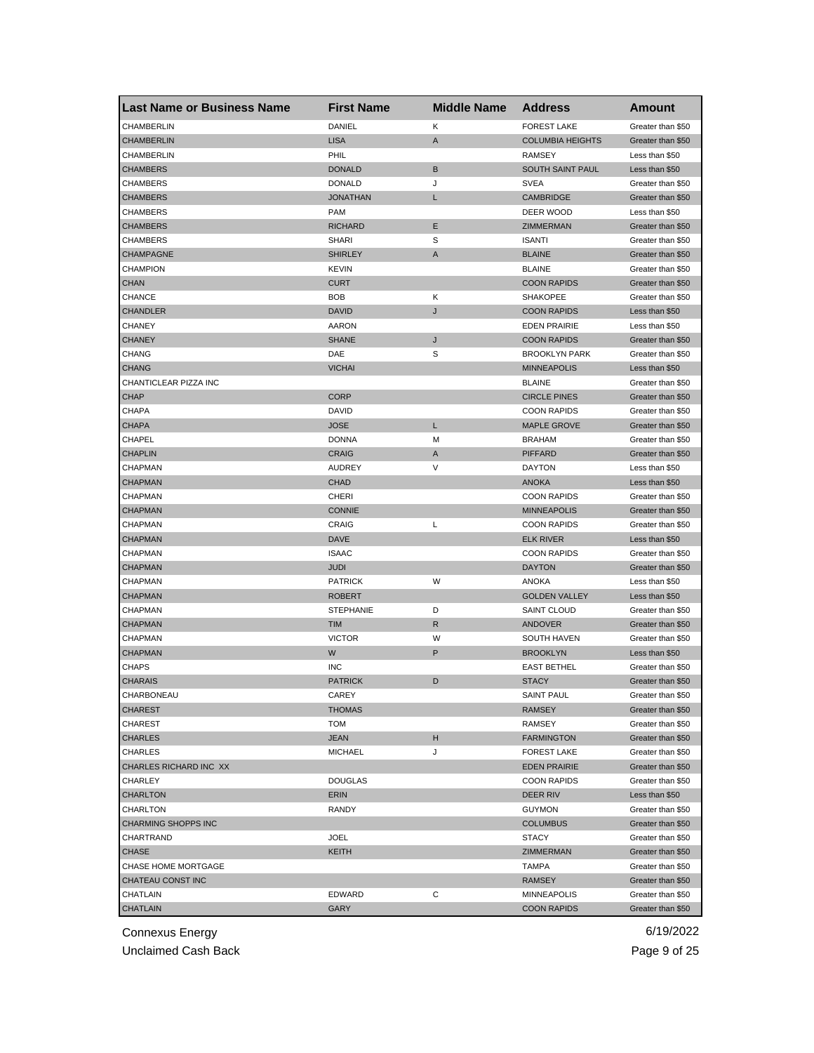| <b>Last Name or Business Name</b> | <b>First Name</b> | <b>Middle Name</b> | <b>Address</b>          | Amount            |
|-----------------------------------|-------------------|--------------------|-------------------------|-------------------|
| CHAMBERLIN                        | <b>DANIEL</b>     | Κ                  | <b>FOREST LAKE</b>      | Greater than \$50 |
| <b>CHAMBERLIN</b>                 | <b>LISA</b>       | A                  | <b>COLUMBIA HEIGHTS</b> | Greater than \$50 |
| CHAMBERLIN                        | PHIL              |                    | <b>RAMSEY</b>           | Less than \$50    |
| <b>CHAMBERS</b>                   | <b>DONALD</b>     | B                  | SOUTH SAINT PAUL        | Less than \$50    |
| <b>CHAMBERS</b>                   | <b>DONALD</b>     | J                  | SVEA                    | Greater than \$50 |
| <b>CHAMBERS</b>                   | <b>JONATHAN</b>   | L                  | <b>CAMBRIDGE</b>        | Greater than \$50 |
| <b>CHAMBERS</b>                   | <b>PAM</b>        |                    | DEER WOOD               | Less than \$50    |
| <b>CHAMBERS</b>                   | <b>RICHARD</b>    | Ε                  | ZIMMERMAN               | Greater than \$50 |
| <b>CHAMBERS</b>                   | <b>SHARI</b>      | S                  | <b>ISANTI</b>           | Greater than \$50 |
| <b>CHAMPAGNE</b>                  | <b>SHIRLEY</b>    | A                  | <b>BLAINE</b>           | Greater than \$50 |
| <b>CHAMPION</b>                   | <b>KEVIN</b>      |                    | <b>BLAINE</b>           | Greater than \$50 |
| <b>CHAN</b>                       | <b>CURT</b>       |                    | <b>COON RAPIDS</b>      | Greater than \$50 |
| <b>CHANCE</b>                     | BOB               | Κ                  | <b>SHAKOPEE</b>         | Greater than \$50 |
| <b>CHANDLER</b>                   | <b>DAVID</b>      | J                  | <b>COON RAPIDS</b>      | Less than \$50    |
| <b>CHANEY</b>                     | AARON             |                    | <b>EDEN PRAIRIE</b>     | Less than \$50    |
| <b>CHANEY</b>                     | <b>SHANE</b>      | J                  | <b>COON RAPIDS</b>      | Greater than \$50 |
| CHANG                             | DAE               | S                  | <b>BROOKLYN PARK</b>    | Greater than \$50 |
| <b>CHANG</b>                      | <b>VICHAI</b>     |                    | <b>MINNEAPOLIS</b>      | Less than \$50    |
| CHANTICLEAR PIZZA INC             |                   |                    | <b>BLAINE</b>           | Greater than \$50 |
| <b>CHAP</b>                       | <b>CORP</b>       |                    | <b>CIRCLE PINES</b>     | Greater than \$50 |
| <b>CHAPA</b>                      | DAVID             |                    | <b>COON RAPIDS</b>      | Greater than \$50 |
| <b>CHAPA</b>                      | <b>JOSE</b>       | L                  | <b>MAPLE GROVE</b>      | Greater than \$50 |
| CHAPEL                            | <b>DONNA</b>      | M                  | <b>BRAHAM</b>           | Greater than \$50 |
| <b>CHAPLIN</b>                    | <b>CRAIG</b>      | Α                  | <b>PIFFARD</b>          | Greater than \$50 |
| CHAPMAN                           | <b>AUDREY</b>     | V                  | <b>DAYTON</b>           | Less than \$50    |
| <b>CHAPMAN</b>                    | CHAD              |                    | <b>ANOKA</b>            | Less than \$50    |
| CHAPMAN                           | <b>CHERI</b>      |                    | <b>COON RAPIDS</b>      | Greater than \$50 |
| <b>CHAPMAN</b>                    | <b>CONNIE</b>     |                    | <b>MINNEAPOLIS</b>      | Greater than \$50 |
| CHAPMAN                           | CRAIG             | L                  | <b>COON RAPIDS</b>      | Greater than \$50 |
| <b>CHAPMAN</b>                    | DAVE              |                    | <b>ELK RIVER</b>        | Less than \$50    |
| CHAPMAN                           | <b>ISAAC</b>      |                    | <b>COON RAPIDS</b>      | Greater than \$50 |
| <b>CHAPMAN</b>                    | JUDI              |                    | <b>DAYTON</b>           | Greater than \$50 |
| CHAPMAN                           | <b>PATRICK</b>    | W                  | ANOKA                   | Less than \$50    |
| <b>CHAPMAN</b>                    | <b>ROBERT</b>     |                    | <b>GOLDEN VALLEY</b>    | Less than \$50    |
| CHAPMAN                           | STEPHANIE         | D                  | <b>SAINT CLOUD</b>      | Greater than \$50 |
| <b>CHAPMAN</b>                    | <b>TIM</b>        | R                  | <b>ANDOVER</b>          | Greater than \$50 |
| CHAPMAN                           | <b>VICTOR</b>     | W                  | <b>SOUTH HAVEN</b>      | Greater than \$50 |
| <b>CHAPMAN</b>                    | W                 | P                  | <b>BROOKLYN</b>         | Less than \$50    |
| <b>CHAPS</b>                      | <b>INC</b>        |                    | <b>EAST BETHEL</b>      | Greater than \$50 |
| <b>CHARAIS</b>                    | <b>PATRICK</b>    | D                  | <b>STACY</b>            | Greater than \$50 |
| CHARBONEAU                        | CAREY             |                    | SAINT PAUL              | Greater than \$50 |
| <b>CHAREST</b>                    | <b>THOMAS</b>     |                    | <b>RAMSEY</b>           | Greater than \$50 |
| <b>CHAREST</b>                    | TOM               |                    | RAMSEY                  | Greater than \$50 |
| <b>CHARLES</b>                    | JEAN              | н                  | <b>FARMINGTON</b>       | Greater than \$50 |
| <b>CHARLES</b>                    | <b>MICHAEL</b>    | J                  | <b>FOREST LAKE</b>      | Greater than \$50 |
| CHARLES RICHARD INC XX            |                   |                    | <b>EDEN PRAIRIE</b>     | Greater than \$50 |
| CHARLEY                           | <b>DOUGLAS</b>    |                    | <b>COON RAPIDS</b>      | Greater than \$50 |
| <b>CHARLTON</b>                   | ERIN              |                    | <b>DEER RIV</b>         | Less than \$50    |
| CHARLTON                          | RANDY             |                    | <b>GUYMON</b>           | Greater than \$50 |
| <b>CHARMING SHOPPS INC</b>        |                   |                    | <b>COLUMBUS</b>         | Greater than \$50 |
| CHARTRAND                         | JOEL              |                    | <b>STACY</b>            | Greater than \$50 |
|                                   |                   |                    |                         |                   |
| <b>CHASE</b>                      | KEITH             |                    | ZIMMERMAN               | Greater than \$50 |
| CHASE HOME MORTGAGE               |                   |                    | TAMPA                   | Greater than \$50 |
| CHATEAU CONST INC                 |                   |                    | <b>RAMSEY</b>           | Greater than \$50 |
| CHATLAIN                          | EDWARD            | С                  | <b>MINNEAPOLIS</b>      | Greater than \$50 |
| <b>CHATLAIN</b>                   | GARY              |                    | <b>COON RAPIDS</b>      | Greater than \$50 |

Unclaimed Cash Back **Page 9 of 25**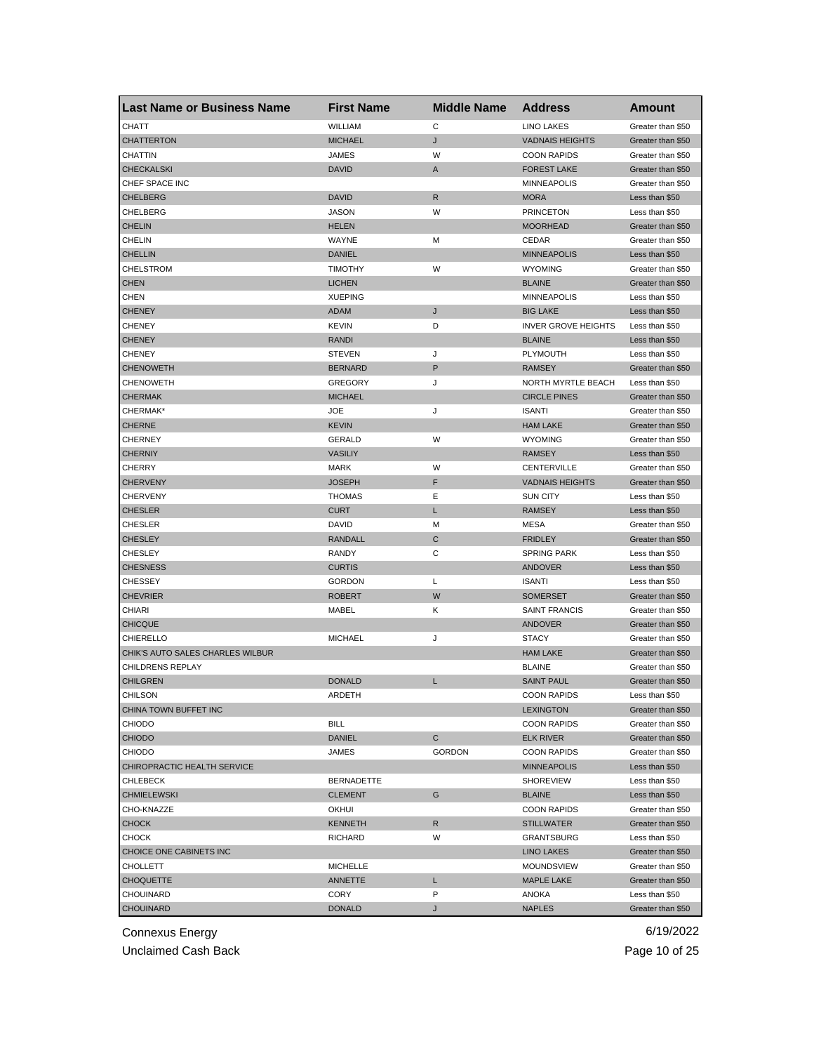| <b>Last Name or Business Name</b> | <b>First Name</b> | <b>Middle Name</b> | <b>Address</b>             | Amount            |
|-----------------------------------|-------------------|--------------------|----------------------------|-------------------|
| CHATT                             | WILLIAM           | C                  | <b>LINO LAKES</b>          | Greater than \$50 |
| <b>CHATTERTON</b>                 | <b>MICHAEL</b>    | J                  | <b>VADNAIS HEIGHTS</b>     | Greater than \$50 |
| CHATTIN                           | <b>JAMES</b>      | W                  | <b>COON RAPIDS</b>         | Greater than \$50 |
| <b>CHECKALSKI</b>                 | <b>DAVID</b>      | A                  | <b>FOREST LAKE</b>         | Greater than \$50 |
| CHEF SPACE INC                    |                   |                    | <b>MINNEAPOLIS</b>         | Greater than \$50 |
| <b>CHELBERG</b>                   | <b>DAVID</b>      | R                  | <b>MORA</b>                | Less than \$50    |
| CHELBERG                          | <b>JASON</b>      | W                  | <b>PRINCETON</b>           | Less than \$50    |
| <b>CHELIN</b>                     | <b>HELEN</b>      |                    | <b>MOORHEAD</b>            | Greater than \$50 |
| CHELIN                            | WAYNE             | М                  | CEDAR                      | Greater than \$50 |
| <b>CHELLIN</b>                    | <b>DANIEL</b>     |                    | <b>MINNEAPOLIS</b>         | Less than \$50    |
| <b>CHELSTROM</b>                  | <b>TIMOTHY</b>    | W                  | <b>WYOMING</b>             | Greater than \$50 |
| <b>CHEN</b>                       | <b>LICHEN</b>     |                    | <b>BLAINE</b>              | Greater than \$50 |
| <b>CHEN</b>                       | <b>XUEPING</b>    |                    | <b>MINNEAPOLIS</b>         | Less than \$50    |
| <b>CHENEY</b>                     | ADAM              | J                  | <b>BIG LAKE</b>            | Less than \$50    |
| <b>CHENEY</b>                     | <b>KEVIN</b>      | D                  | <b>INVER GROVE HEIGHTS</b> | Less than \$50    |
| <b>CHENEY</b>                     | <b>RANDI</b>      |                    | <b>BLAINE</b>              | Less than \$50    |
| <b>CHENEY</b>                     | <b>STEVEN</b>     | J                  | PLYMOUTH                   | Less than \$50    |
| <b>CHENOWETH</b>                  | <b>BERNARD</b>    | P                  | <b>RAMSEY</b>              | Greater than \$50 |
| <b>CHENOWETH</b>                  | GREGORY           | J                  | NORTH MYRTLE BEACH         | Less than \$50    |
| <b>CHERMAK</b>                    | <b>MICHAEL</b>    |                    | <b>CIRCLE PINES</b>        | Greater than \$50 |
| CHERMAK*                          | <b>JOE</b>        | J                  | <b>ISANTI</b>              | Greater than \$50 |
| <b>CHERNE</b>                     | <b>KEVIN</b>      |                    | <b>HAM LAKE</b>            | Greater than \$50 |
| <b>CHERNEY</b>                    | <b>GERALD</b>     | W                  | <b>WYOMING</b>             | Greater than \$50 |
| <b>CHERNIY</b>                    | <b>VASILIY</b>    |                    | <b>RAMSEY</b>              | Less than \$50    |
| CHERRY                            | <b>MARK</b>       | W                  | CENTERVILLE                | Greater than \$50 |
| <b>CHERVENY</b>                   | <b>JOSEPH</b>     | F                  | <b>VADNAIS HEIGHTS</b>     | Greater than \$50 |
| <b>CHERVENY</b>                   | <b>THOMAS</b>     | Ε                  | <b>SUN CITY</b>            | Less than \$50    |
| <b>CHESLER</b>                    | <b>CURT</b>       | Г                  | <b>RAMSEY</b>              | Less than \$50    |
| <b>CHESLER</b>                    | DAVID             | М                  | <b>MESA</b>                | Greater than \$50 |
| <b>CHESLEY</b>                    | <b>RANDALL</b>    | С                  | <b>FRIDLEY</b>             | Greater than \$50 |
| <b>CHESLEY</b>                    | <b>RANDY</b>      | С                  | <b>SPRING PARK</b>         | Less than \$50    |
| <b>CHESNESS</b>                   | <b>CURTIS</b>     |                    | <b>ANDOVER</b>             | Less than \$50    |
| <b>CHESSEY</b>                    | <b>GORDON</b>     | Г                  | <b>ISANTI</b>              | Less than \$50    |
| <b>CHEVRIER</b>                   | <b>ROBERT</b>     | W                  | <b>SOMERSET</b>            | Greater than \$50 |
| CHIARI                            | MABEL             | Κ                  | <b>SAINT FRANCIS</b>       | Greater than \$50 |
| <b>CHICQUE</b>                    |                   |                    | <b>ANDOVER</b>             | Greater than \$50 |
| CHIERELLO                         | <b>MICHAEL</b>    | J                  | <b>STACY</b>               | Greater than \$50 |
| CHIK'S AUTO SALES CHARLES WILBUR  |                   |                    | <b>HAM LAKE</b>            | Greater than \$50 |
| CHILDRENS REPLAY                  |                   |                    | <b>BLAINE</b>              | Greater than \$50 |
| <b>CHILGREN</b>                   | <b>DONALD</b>     | Г                  | <b>SAINT PAUL</b>          | Greater than \$50 |
| <b>CHILSON</b>                    | ARDETH            |                    | <b>COON RAPIDS</b>         | Less than \$50    |
| CHINA TOWN BUFFET INC             |                   |                    | <b>LEXINGTON</b>           | Greater than \$50 |
| <b>CHIODO</b>                     | <b>BILL</b>       |                    | <b>COON RAPIDS</b>         | Greater than \$50 |
| <b>CHIODO</b>                     | <b>DANIEL</b>     | C                  | <b>ELK RIVER</b>           | Greater than \$50 |
| <b>CHIODO</b>                     | JAMES             | GORDON             | <b>COON RAPIDS</b>         | Greater than \$50 |
| CHIROPRACTIC HEALTH SERVICE       |                   |                    | <b>MINNEAPOLIS</b>         | Less than \$50    |
| CHLEBECK                          | <b>BERNADETTE</b> |                    | <b>SHOREVIEW</b>           | Less than \$50    |
| <b>CHMIELEWSKI</b>                | <b>CLEMENT</b>    | G                  | <b>BLAINE</b>              | Less than \$50    |
| CHO-KNAZZE                        | OKHUI             |                    | <b>COON RAPIDS</b>         | Greater than \$50 |
| <b>CHOCK</b>                      | <b>KENNETH</b>    | R                  | <b>STILLWATER</b>          | Greater than \$50 |
| CHOCK                             | <b>RICHARD</b>    | W                  | <b>GRANTSBURG</b>          | Less than \$50    |
| CHOICE ONE CABINETS INC           |                   |                    | <b>LINO LAKES</b>          | Greater than \$50 |
| CHOLLETT                          | <b>MICHELLE</b>   |                    | MOUNDSVIEW                 | Greater than \$50 |
| <b>CHOQUETTE</b>                  | <b>ANNETTE</b>    | L                  | <b>MAPLE LAKE</b>          | Greater than \$50 |
| CHOUINARD                         | CORY              | P                  | ANOKA                      | Less than \$50    |
| CHOUINARD                         | <b>DONALD</b>     | J                  | <b>NAPLES</b>              | Greater than \$50 |
|                                   |                   |                    |                            |                   |

Unclaimed Cash Back **Page 10 of 25**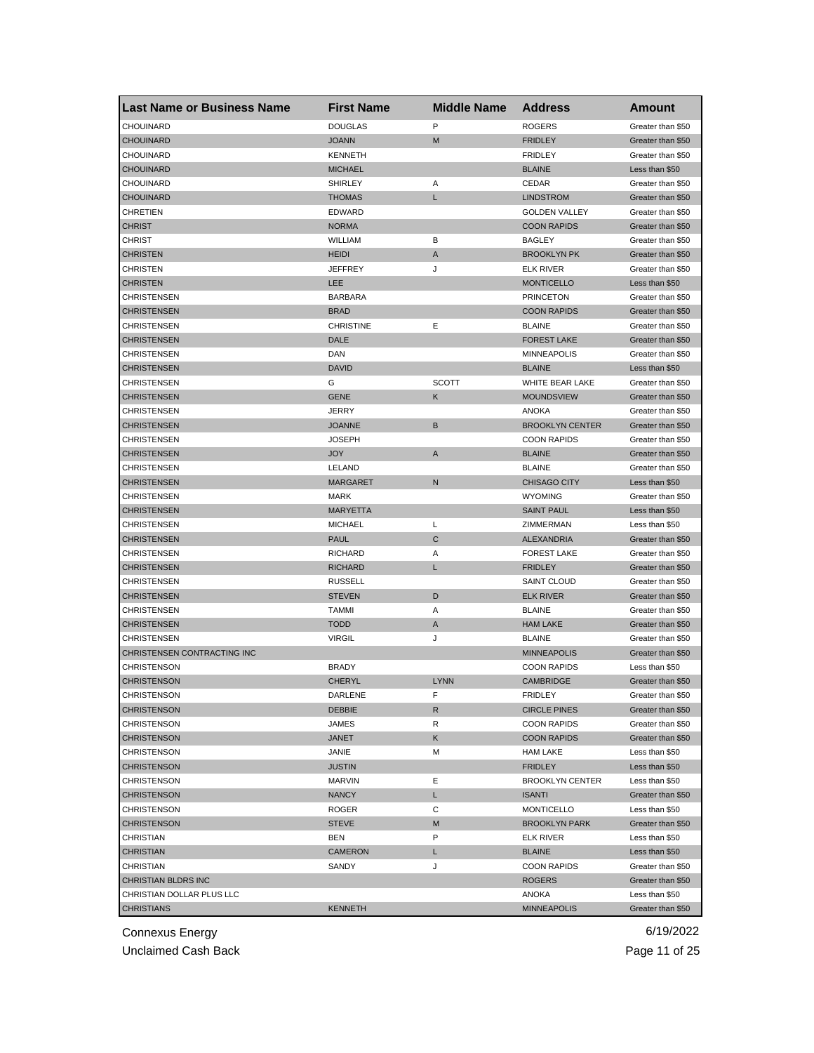| <b>Last Name or Business Name</b> | <b>First Name</b> | <b>Middle Name</b> | <b>Address</b>         | Amount            |
|-----------------------------------|-------------------|--------------------|------------------------|-------------------|
| CHOUINARD                         | <b>DOUGLAS</b>    | P                  | <b>ROGERS</b>          | Greater than \$50 |
| <b>CHOUINARD</b>                  | <b>JOANN</b>      | M                  | <b>FRIDLEY</b>         | Greater than \$50 |
| CHOUINARD                         | <b>KENNETH</b>    |                    | <b>FRIDLEY</b>         | Greater than \$50 |
| <b>CHOUINARD</b>                  | <b>MICHAEL</b>    |                    | <b>BLAINE</b>          | Less than \$50    |
| CHOUINARD                         | <b>SHIRLEY</b>    | Α                  | CEDAR                  | Greater than \$50 |
| <b>CHOUINARD</b>                  | <b>THOMAS</b>     | L                  | <b>LINDSTROM</b>       | Greater than \$50 |
| CHRETIEN                          | <b>EDWARD</b>     |                    | <b>GOLDEN VALLEY</b>   | Greater than \$50 |
| CHRIST                            | <b>NORMA</b>      |                    | <b>COON RAPIDS</b>     | Greater than \$50 |
| CHRIST                            | WILLIAM           | В                  | <b>BAGLEY</b>          | Greater than \$50 |
| CHRISTEN                          | <b>HEIDI</b>      | A                  | <b>BROOKLYN PK</b>     | Greater than \$50 |
| CHRISTEN                          | JEFFREY           | J                  | ELK RIVER              | Greater than \$50 |
| CHRISTEN                          | LEE               |                    | <b>MONTICELLO</b>      | Less than \$50    |
| CHRISTENSEN                       | <b>BARBARA</b>    |                    | <b>PRINCETON</b>       | Greater than \$50 |
| <b>CHRISTENSEN</b>                | <b>BRAD</b>       |                    | <b>COON RAPIDS</b>     | Greater than \$50 |
| CHRISTENSEN                       | <b>CHRISTINE</b>  | Ε                  | <b>BLAINE</b>          | Greater than \$50 |
| CHRISTENSEN                       | DALE              |                    | <b>FOREST LAKE</b>     | Greater than \$50 |
| CHRISTENSEN                       | DAN               |                    | <b>MINNEAPOLIS</b>     | Greater than \$50 |
| <b>CHRISTENSEN</b>                | <b>DAVID</b>      |                    | <b>BLAINE</b>          | Less than \$50    |
| CHRISTENSEN                       | G                 | <b>SCOTT</b>       | <b>WHITE BEAR LAKE</b> | Greater than \$50 |
| <b>CHRISTENSEN</b>                | <b>GENE</b>       | Κ                  | <b>MOUNDSVIEW</b>      | Greater than \$50 |
| CHRISTENSEN                       | <b>JERRY</b>      |                    | <b>ANOKA</b>           | Greater than \$50 |
| <b>CHRISTENSEN</b>                | <b>JOANNE</b>     | B                  | <b>BROOKLYN CENTER</b> | Greater than \$50 |
| CHRISTENSEN                       | <b>JOSEPH</b>     |                    | <b>COON RAPIDS</b>     | Greater than \$50 |
| CHRISTENSEN                       | <b>JOY</b>        | $\mathsf{A}$       | <b>BLAINE</b>          | Greater than \$50 |
| CHRISTENSEN                       | LELAND            |                    | <b>BLAINE</b>          | Greater than \$50 |
| CHRISTENSEN                       | <b>MARGARET</b>   | N                  | <b>CHISAGO CITY</b>    | Less than \$50    |
| CHRISTENSEN                       | MARK              |                    | <b>WYOMING</b>         | Greater than \$50 |
| <b>CHRISTENSEN</b>                | <b>MARYETTA</b>   |                    | <b>SAINT PAUL</b>      | Less than \$50    |
| CHRISTENSEN                       | <b>MICHAEL</b>    | L                  | ZIMMERMAN              | Less than \$50    |
| CHRISTENSEN                       | <b>PAUL</b>       | $\mathsf{C}$       | ALEXANDRIA             | Greater than \$50 |
| CHRISTENSEN                       | RICHARD           | Α                  | <b>FOREST LAKE</b>     | Greater than \$50 |
| CHRISTENSEN                       | <b>RICHARD</b>    | Г                  | <b>FRIDLEY</b>         | Greater than \$50 |
| CHRISTENSEN                       | <b>RUSSELL</b>    |                    | SAINT CLOUD            | Greater than \$50 |
| <b>CHRISTENSEN</b>                | <b>STEVEN</b>     | D                  | <b>ELK RIVER</b>       | Greater than \$50 |
| CHRISTENSEN                       | TAMMI             | Α                  | <b>BLAINE</b>          | Greater than \$50 |
| <b>CHRISTENSEN</b>                | <b>TODD</b>       | A                  | <b>HAM LAKE</b>        | Greater than \$50 |
| CHRISTENSEN                       | <b>VIRGIL</b>     | J                  | <b>BLAINE</b>          | Greater than \$50 |
| CHRISTENSEN CONTRACTING INC       |                   |                    | <b>MINNEAPOLIS</b>     | Greater than \$50 |
| CHRISTENSON                       | <b>BRADY</b>      |                    | <b>COON RAPIDS</b>     | Less than \$50    |
| CHRISTENSON                       | <b>CHERYL</b>     | <b>LYNN</b>        | <b>CAMBRIDGE</b>       | Greater than \$50 |
| CHRISTENSON                       | DARLENE           | F                  | <b>FRIDLEY</b>         | Greater than \$50 |
| <b>CHRISTENSON</b>                | <b>DEBBIE</b>     | R                  | <b>CIRCLE PINES</b>    | Greater than \$50 |
| <b>CHRISTENSON</b>                | JAMES             | R                  | <b>COON RAPIDS</b>     | Greater than \$50 |
| CHRISTENSON                       | JANET             | Κ                  | <b>COON RAPIDS</b>     | Greater than \$50 |
| CHRISTENSON                       | JANIE             | М                  | <b>HAM LAKE</b>        | Less than \$50    |
| <b>CHRISTENSON</b>                | <b>JUSTIN</b>     |                    | <b>FRIDLEY</b>         | Less than \$50    |
| CHRISTENSON                       | <b>MARVIN</b>     | Ε                  | <b>BROOKLYN CENTER</b> | Less than \$50    |
| <b>CHRISTENSON</b>                | <b>NANCY</b>      | L.                 | <b>ISANTI</b>          | Greater than \$50 |
| CHRISTENSON                       | ROGER             | С                  | <b>MONTICELLO</b>      | Less than \$50    |
| <b>CHRISTENSON</b>                | <b>STEVE</b>      | M                  | <b>BROOKLYN PARK</b>   | Greater than \$50 |
| CHRISTIAN                         | BEN               | P                  | <b>ELK RIVER</b>       | Less than \$50    |
| <b>CHRISTIAN</b>                  | <b>CAMERON</b>    | L                  | <b>BLAINE</b>          | Less than \$50    |
| CHRISTIAN                         | SANDY             | J                  | <b>COON RAPIDS</b>     | Greater than \$50 |
| CHRISTIAN BLDRS INC               |                   |                    | <b>ROGERS</b>          | Greater than \$50 |
| CHRISTIAN DOLLAR PLUS LLC         |                   |                    | ANOKA                  | Less than \$50    |
| <b>CHRISTIANS</b>                 | <b>KENNETH</b>    |                    | <b>MINNEAPOLIS</b>     | Greater than \$50 |
|                                   |                   |                    |                        |                   |

Unclaimed Cash Back **Page 11 of 25**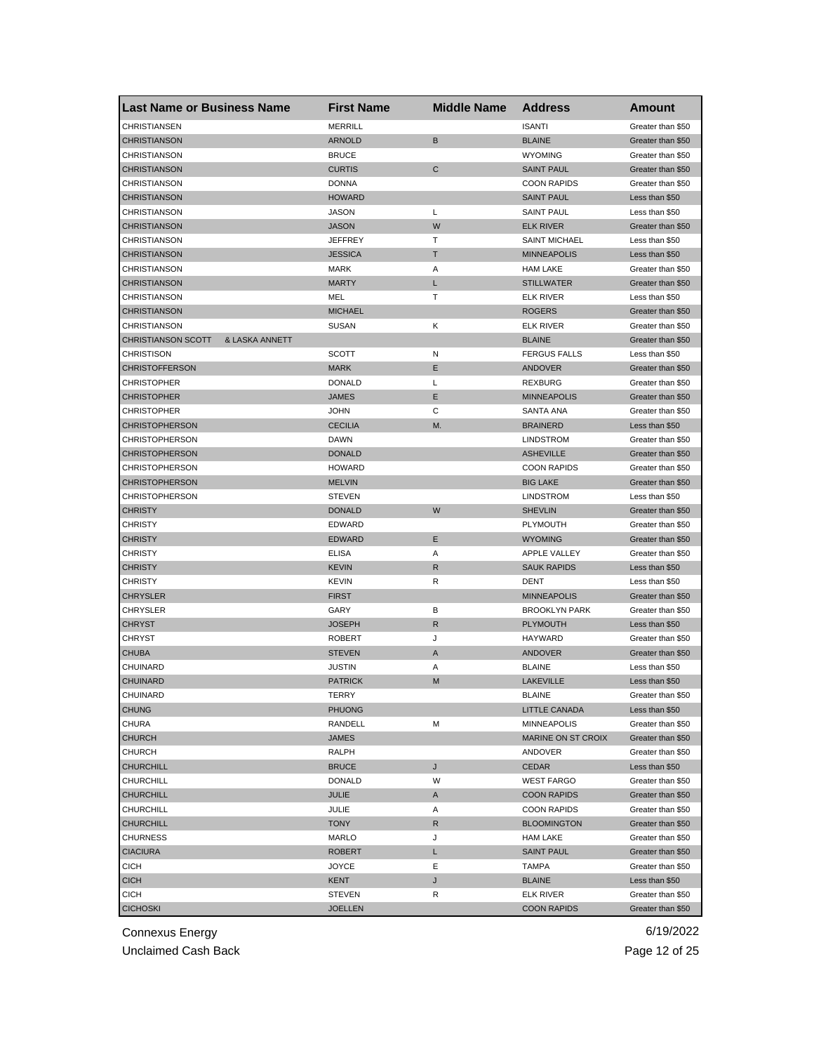| <b>Last Name or Business Name</b>           | <b>First Name</b> | <b>Middle Name</b> | <b>Address</b>       | Amount            |
|---------------------------------------------|-------------------|--------------------|----------------------|-------------------|
| <b>CHRISTIANSEN</b>                         | <b>MERRILL</b>    |                    | <b>ISANTI</b>        | Greater than \$50 |
| <b>CHRISTIANSON</b>                         | <b>ARNOLD</b>     | B                  | <b>BLAINE</b>        | Greater than \$50 |
| CHRISTIANSON                                | <b>BRUCE</b>      |                    | <b>WYOMING</b>       | Greater than \$50 |
| <b>CHRISTIANSON</b>                         | <b>CURTIS</b>     | $\mathbf C$        | <b>SAINT PAUL</b>    | Greater than \$50 |
| <b>CHRISTIANSON</b>                         | <b>DONNA</b>      |                    | <b>COON RAPIDS</b>   | Greater than \$50 |
| <b>CHRISTIANSON</b>                         | <b>HOWARD</b>     |                    | <b>SAINT PAUL</b>    | Less than \$50    |
| CHRISTIANSON                                | JASON             | Г                  | <b>SAINT PAUL</b>    | Less than \$50    |
| <b>CHRISTIANSON</b>                         | <b>JASON</b>      | W                  | <b>ELK RIVER</b>     | Greater than \$50 |
| CHRISTIANSON                                | <b>JEFFREY</b>    | т                  | <b>SAINT MICHAEL</b> | Less than \$50    |
| <b>CHRISTIANSON</b>                         | <b>JESSICA</b>    | т                  | <b>MINNEAPOLIS</b>   | Less than \$50    |
| CHRISTIANSON                                | MARK              | Α                  | <b>HAM LAKE</b>      | Greater than \$50 |
| <b>CHRISTIANSON</b>                         | <b>MARTY</b>      | L                  | <b>STILLWATER</b>    | Greater than \$50 |
| <b>CHRISTIANSON</b>                         | MEL               | т                  | <b>ELK RIVER</b>     | Less than \$50    |
| <b>CHRISTIANSON</b>                         | <b>MICHAEL</b>    |                    | <b>ROGERS</b>        | Greater than \$50 |
| CHRISTIANSON                                | <b>SUSAN</b>      | Κ                  | <b>ELK RIVER</b>     | Greater than \$50 |
| & LASKA ANNETT<br><b>CHRISTIANSON SCOTT</b> |                   |                    | <b>BLAINE</b>        | Greater than \$50 |
| <b>CHRISTISON</b>                           | <b>SCOTT</b>      | N                  | <b>FERGUS FALLS</b>  | Less than \$50    |
| <b>CHRISTOFFERSON</b>                       | <b>MARK</b>       | Ε                  | <b>ANDOVER</b>       | Greater than \$50 |
| <b>CHRISTOPHER</b>                          | <b>DONALD</b>     | L                  | REXBURG              | Greater than \$50 |
| <b>CHRISTOPHER</b>                          | <b>JAMES</b>      | Ε                  | <b>MINNEAPOLIS</b>   | Greater than \$50 |
| <b>CHRISTOPHER</b>                          | <b>JOHN</b>       | С                  | SANTA ANA            | Greater than \$50 |
| <b>CHRISTOPHERSON</b>                       | <b>CECILIA</b>    | M.                 | <b>BRAINERD</b>      | Less than \$50    |
| <b>CHRISTOPHERSON</b>                       | <b>DAWN</b>       |                    | <b>LINDSTROM</b>     | Greater than \$50 |
| <b>CHRISTOPHERSON</b>                       | <b>DONALD</b>     |                    | <b>ASHEVILLE</b>     | Greater than \$50 |
| <b>CHRISTOPHERSON</b>                       | <b>HOWARD</b>     |                    | <b>COON RAPIDS</b>   |                   |
|                                             |                   |                    |                      | Greater than \$50 |
| <b>CHRISTOPHERSON</b>                       | <b>MELVIN</b>     |                    | <b>BIG LAKE</b>      | Greater than \$50 |
| <b>CHRISTOPHERSON</b>                       | <b>STEVEN</b>     |                    | <b>LINDSTROM</b>     | Less than \$50    |
| <b>CHRISTY</b>                              | <b>DONALD</b>     | W                  | <b>SHEVLIN</b>       | Greater than \$50 |
| <b>CHRISTY</b>                              | <b>EDWARD</b>     |                    | PLYMOUTH             | Greater than \$50 |
| <b>CHRISTY</b>                              | <b>EDWARD</b>     | Ε                  | <b>WYOMING</b>       | Greater than \$50 |
| <b>CHRISTY</b>                              | <b>ELISA</b>      | Α                  | APPLE VALLEY         | Greater than \$50 |
| <b>CHRISTY</b>                              | <b>KEVIN</b>      | $\mathsf{R}$       | <b>SAUK RAPIDS</b>   | Less than \$50    |
| CHRISTY                                     | KEVIN             | R                  | DENT                 | Less than \$50    |
| <b>CHRYSLER</b>                             | <b>FIRST</b>      |                    | <b>MINNEAPOLIS</b>   | Greater than \$50 |
| <b>CHRYSLER</b>                             | GARY              | в                  | <b>BROOKLYN PARK</b> | Greater than \$50 |
| <b>CHRYST</b>                               | <b>JOSEPH</b>     | R                  | PLYMOUTH             | Less than \$50    |
| <b>CHRYST</b>                               | <b>ROBERT</b>     | J                  | HAYWARD              | Greater than \$50 |
| <b>CHUBA</b>                                | <b>STEVEN</b>     | A                  | <b>ANDOVER</b>       | Greater than \$50 |
| CHUINARD                                    | JUSTIN            | Α                  | <b>BLAINE</b>        | Less than \$50    |
| <b>CHUINARD</b>                             | <b>PATRICK</b>    | M                  | <b>LAKEVILLE</b>     | Less than \$50    |
| CHUINARD                                    | TERRY             |                    | <b>BLAINE</b>        | Greater than \$50 |
| <b>CHUNG</b>                                | PHUONG            |                    | LITTLE CANADA        | Less than \$50    |
| CHURA                                       | RANDELL           | М                  | <b>MINNEAPOLIS</b>   | Greater than \$50 |
| <b>CHURCH</b>                               | JAMES             |                    | MARINE ON ST CROIX   | Greater than \$50 |
| <b>CHURCH</b>                               | RALPH             |                    | ANDOVER              | Greater than \$50 |
| <b>CHURCHILL</b>                            | <b>BRUCE</b>      | J                  | CEDAR                | Less than \$50    |
| <b>CHURCHILL</b>                            | <b>DONALD</b>     | W                  | <b>WEST FARGO</b>    | Greater than \$50 |
| <b>CHURCHILL</b>                            | JULIE             | A                  | <b>COON RAPIDS</b>   | Greater than \$50 |
| CHURCHILL                                   | JULIE             | Α                  | <b>COON RAPIDS</b>   | Greater than \$50 |
| <b>CHURCHILL</b>                            | <b>TONY</b>       | R                  | <b>BLOOMINGTON</b>   | Greater than \$50 |
| <b>CHURNESS</b>                             | MARLO             | J                  | <b>HAM LAKE</b>      | Greater than \$50 |
| <b>CIACIURA</b>                             | <b>ROBERT</b>     | L                  | <b>SAINT PAUL</b>    | Greater than \$50 |
| <b>CICH</b>                                 | JOYCE             | Ε                  | TAMPA                | Greater than \$50 |
| <b>CICH</b>                                 | KENT              | J                  | <b>BLAINE</b>        | Less than \$50    |
| <b>CICH</b>                                 | STEVEN            | R                  | <b>ELK RIVER</b>     | Greater than \$50 |
| <b>CICHOSKI</b>                             | <b>JOELLEN</b>    |                    | <b>COON RAPIDS</b>   | Greater than \$50 |

Unclaimed Cash Back **Page 12 of 25**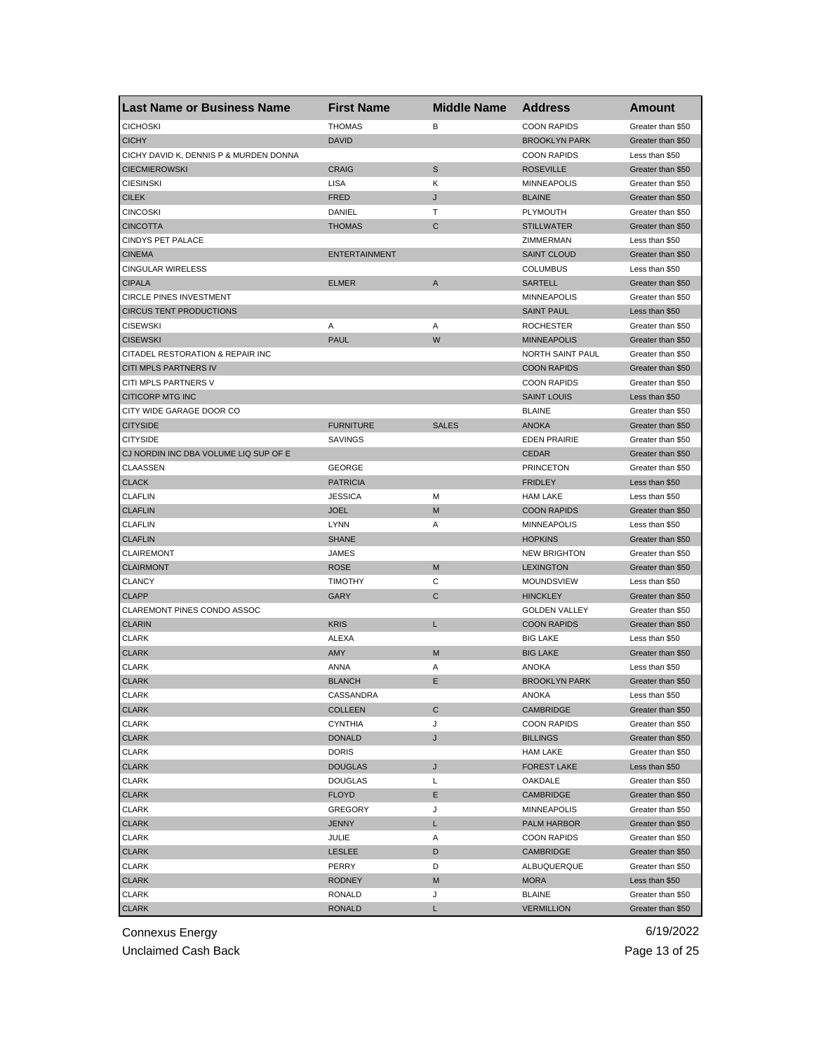| <b>Last Name or Business Name</b>      | <b>First Name</b>           | <b>Middle Name</b> | <b>Address</b>                       | <b>Amount</b>                          |
|----------------------------------------|-----------------------------|--------------------|--------------------------------------|----------------------------------------|
| <b>CICHOSKI</b>                        | <b>THOMAS</b>               | B                  | <b>COON RAPIDS</b>                   | Greater than \$50                      |
| <b>CICHY</b>                           | <b>DAVID</b>                |                    | <b>BROOKLYN PARK</b>                 | Greater than \$50                      |
| CICHY DAVID K, DENNIS P & MURDEN DONNA |                             |                    | <b>COON RAPIDS</b>                   | Less than \$50                         |
| <b>CIECMIEROWSKI</b>                   | <b>CRAIG</b>                | $\mathbb S$        | <b>ROSEVILLE</b>                     | Greater than \$50                      |
| <b>CIESINSKI</b>                       | <b>LISA</b>                 | Κ                  | <b>MINNEAPOLIS</b>                   | Greater than \$50                      |
| <b>CILEK</b>                           | <b>FRED</b>                 | J                  | <b>BLAINE</b>                        | Greater than \$50                      |
| <b>CINCOSKI</b>                        | DANIEL                      | т                  | PLYMOUTH                             | Greater than \$50                      |
| <b>CINCOTTA</b>                        | <b>THOMAS</b>               | C                  | <b>STILLWATER</b>                    | Greater than \$50                      |
| CINDYS PET PALACE                      |                             |                    | ZIMMERMAN                            | Less than \$50                         |
| <b>CINEMA</b>                          | <b>ENTERTAINMENT</b>        |                    | <b>SAINT CLOUD</b>                   | Greater than \$50                      |
| <b>CINGULAR WIRELESS</b>               |                             |                    | <b>COLUMBUS</b>                      | Less than \$50                         |
| <b>CIPALA</b>                          | <b>ELMER</b>                | A                  | <b>SARTELL</b>                       | Greater than \$50                      |
| <b>CIRCLE PINES INVESTMENT</b>         |                             |                    | <b>MINNEAPOLIS</b>                   | Greater than \$50                      |
| <b>CIRCUS TENT PRODUCTIONS</b>         |                             |                    | <b>SAINT PAUL</b>                    | Less than \$50                         |
| <b>CISEWSKI</b>                        | Α                           | Α                  | <b>ROCHESTER</b>                     | Greater than \$50                      |
| <b>CISEWSKI</b>                        | <b>PAUL</b>                 | W                  | <b>MINNEAPOLIS</b>                   | Greater than \$50                      |
| CITADEL RESTORATION & REPAIR INC       |                             |                    | NORTH SAINT PAUL                     | Greater than \$50                      |
| CITI MPLS PARTNERS IV                  |                             |                    | <b>COON RAPIDS</b>                   | Greater than \$50                      |
| CITI MPLS PARTNERS V                   |                             |                    | <b>COON RAPIDS</b>                   | Greater than \$50                      |
| <b>CITICORP MTG INC</b>                |                             |                    | <b>SAINT LOUIS</b>                   | Less than \$50                         |
| CITY WIDE GARAGE DOOR CO               |                             |                    | <b>BLAINE</b>                        | Greater than \$50                      |
| <b>CITYSIDE</b>                        | <b>FURNITURE</b>            | <b>SALES</b>       | <b>ANOKA</b>                         | Greater than \$50                      |
| <b>CITYSIDE</b>                        | <b>SAVINGS</b>              |                    | <b>EDEN PRAIRIE</b>                  | Greater than \$50                      |
| CJ NORDIN INC DBA VOLUME LIQ SUP OF E  |                             |                    | <b>CEDAR</b>                         | Greater than \$50                      |
| CLAASSEN                               | <b>GEORGE</b>               |                    | <b>PRINCETON</b>                     | Greater than \$50                      |
| <b>CLACK</b>                           | <b>PATRICIA</b>             |                    | <b>FRIDLEY</b>                       | Less than \$50                         |
| <b>CLAFLIN</b>                         | <b>JESSICA</b>              | М                  | <b>HAM LAKE</b>                      | Less than \$50                         |
| <b>CLAFLIN</b>                         | <b>JOEL</b>                 | M                  | <b>COON RAPIDS</b>                   | Greater than \$50                      |
| <b>CLAFLIN</b>                         | <b>LYNN</b>                 | Α                  | <b>MINNEAPOLIS</b>                   | Less than \$50                         |
| <b>CLAFLIN</b>                         | <b>SHANE</b>                |                    | <b>HOPKINS</b>                       | Greater than \$50                      |
| <b>CLAIREMONT</b>                      | JAMES                       |                    | <b>NEW BRIGHTON</b>                  | Greater than \$50                      |
| <b>CLAIRMONT</b>                       | <b>ROSE</b>                 | M                  | <b>LEXINGTON</b>                     | Greater than \$50                      |
| <b>CLANCY</b>                          | <b>TIMOTHY</b>              | C                  |                                      |                                        |
| <b>CLAPP</b>                           | <b>GARY</b>                 | C                  | <b>MOUNDSVIEW</b><br><b>HINCKLEY</b> | Less than \$50<br>Greater than \$50    |
| CLAREMONT PINES CONDO ASSOC            |                             |                    |                                      |                                        |
|                                        |                             | L                  | <b>GOLDEN VALLEY</b>                 | Greater than \$50<br>Greater than \$50 |
| <b>CLARIN</b>                          | <b>KRIS</b><br><b>ALEXA</b> |                    | <b>COON RAPIDS</b>                   | Less than \$50                         |
| <b>CLARK</b>                           |                             |                    | <b>BIG LAKE</b>                      |                                        |
| <b>CLARK</b>                           | AMY                         | M                  | <b>BIG LAKE</b>                      | Greater than \$50                      |
| <b>CLARK</b>                           | ANNA                        | Α                  | <b>ANOKA</b>                         | Less than \$50                         |
| <b>CLARK</b>                           | <b>BLANCH</b>               | Е                  | <b>BROOKLYN PARK</b>                 | Greater than \$50                      |
| CLARK                                  | CASSANDRA                   |                    | ANOKA                                | Less than \$50                         |
| <b>CLARK</b>                           | <b>COLLEEN</b>              | С                  | CAMBRIDGE                            | Greater than \$50                      |
| CLARK                                  | <b>CYNTHIA</b>              | J                  | <b>COON RAPIDS</b>                   | Greater than \$50                      |
| <b>CLARK</b>                           | DONALD                      | J                  | <b>BILLINGS</b>                      | Greater than \$50                      |
| CLARK                                  | <b>DORIS</b>                |                    | <b>HAM LAKE</b>                      | Greater than \$50                      |
| <b>CLARK</b>                           | <b>DOUGLAS</b>              | J                  | <b>FOREST LAKE</b>                   | Less than \$50                         |
| <b>CLARK</b>                           | <b>DOUGLAS</b>              | L                  | OAKDALE                              | Greater than \$50                      |
| <b>CLARK</b>                           | <b>FLOYD</b>                | Е                  | CAMBRIDGE                            | Greater than \$50                      |
| CLARK                                  | <b>GREGORY</b>              | J                  | <b>MINNEAPOLIS</b>                   | Greater than \$50                      |
| <b>CLARK</b>                           | <b>JENNY</b>                | L                  | <b>PALM HARBOR</b>                   | Greater than \$50                      |
| <b>CLARK</b>                           | JULIE                       | Α                  | <b>COON RAPIDS</b>                   | Greater than \$50                      |
| <b>CLARK</b>                           | LESLEE                      | D                  | CAMBRIDGE                            | Greater than \$50                      |
| CLARK                                  | PERRY                       | D                  | ALBUQUERQUE                          | Greater than \$50                      |
| <b>CLARK</b>                           | <b>RODNEY</b>               | M                  | <b>MORA</b>                          | Less than \$50                         |
| CLARK                                  | <b>RONALD</b>               | J                  | <b>BLAINE</b>                        | Greater than \$50                      |
| <b>CLARK</b>                           | <b>RONALD</b>               | L                  | <b>VERMILLION</b>                    | Greater than \$50                      |

Unclaimed Cash Back **Page 13 of 25**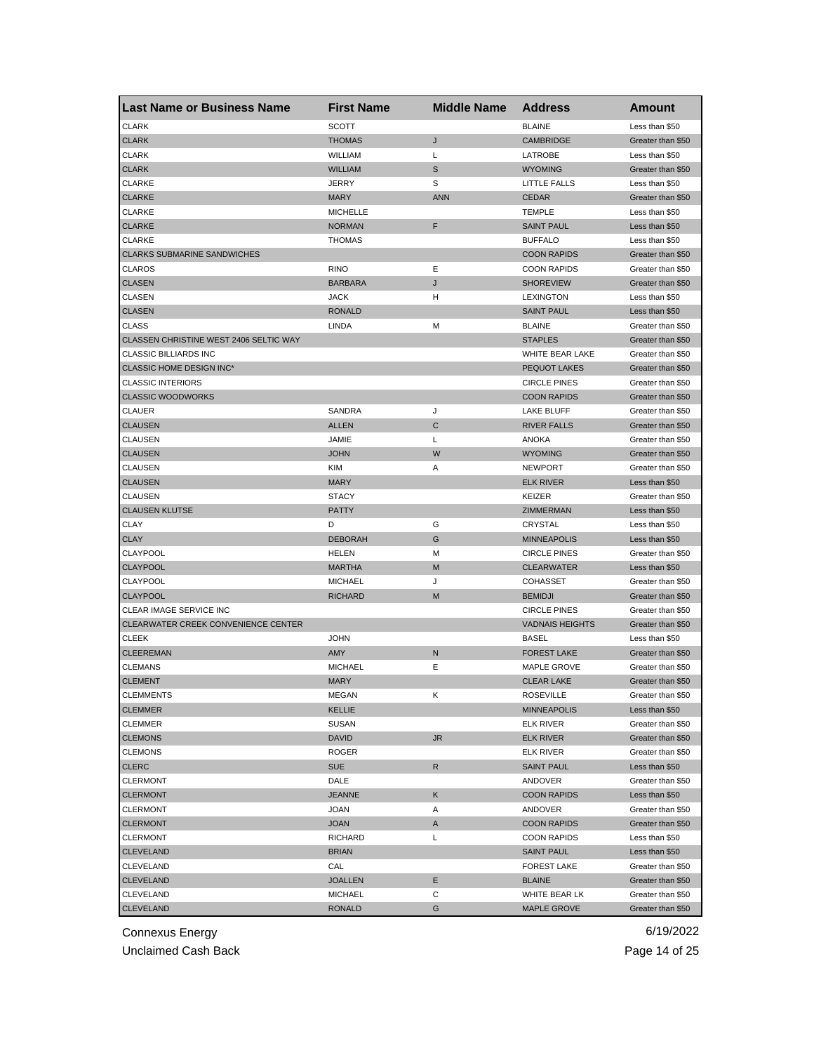| <b>Last Name or Business Name</b>      | <b>First Name</b> | <b>Middle Name</b> | <b>Address</b>         | <b>Amount</b>     |
|----------------------------------------|-------------------|--------------------|------------------------|-------------------|
| <b>CLARK</b>                           | <b>SCOTT</b>      |                    | <b>BLAINE</b>          | Less than \$50    |
| <b>CLARK</b>                           | <b>THOMAS</b>     | J                  | <b>CAMBRIDGE</b>       | Greater than \$50 |
| <b>CLARK</b>                           | WILLIAM           | Г                  | LATROBE                | Less than \$50    |
| <b>CLARK</b>                           | <b>WILLIAM</b>    | S                  | <b>WYOMING</b>         | Greater than \$50 |
| <b>CLARKE</b>                          | <b>JERRY</b>      | S                  | <b>LITTLE FALLS</b>    | Less than \$50    |
| <b>CLARKE</b>                          | <b>MARY</b>       | <b>ANN</b>         | <b>CEDAR</b>           | Greater than \$50 |
| CLARKE                                 | <b>MICHELLE</b>   |                    | <b>TEMPLE</b>          | Less than \$50    |
| <b>CLARKE</b>                          | <b>NORMAN</b>     | F                  | <b>SAINT PAUL</b>      | Less than \$50    |
| <b>CLARKE</b>                          | <b>THOMAS</b>     |                    | <b>BUFFALO</b>         | Less than \$50    |
| <b>CLARKS SUBMARINE SANDWICHES</b>     |                   |                    | <b>COON RAPIDS</b>     | Greater than \$50 |
| <b>CLAROS</b>                          | <b>RINO</b>       | Ε                  | <b>COON RAPIDS</b>     | Greater than \$50 |
| <b>CLASEN</b>                          | <b>BARBARA</b>    | J                  | <b>SHOREVIEW</b>       | Greater than \$50 |
| <b>CLASEN</b>                          | <b>JACK</b>       | н                  | <b>LEXINGTON</b>       | Less than \$50    |
| <b>CLASEN</b>                          | <b>RONALD</b>     |                    | <b>SAINT PAUL</b>      | Less than \$50    |
| <b>CLASS</b>                           | LINDA             | М                  | <b>BLAINE</b>          | Greater than \$50 |
| CLASSEN CHRISTINE WEST 2406 SELTIC WAY |                   |                    | <b>STAPLES</b>         | Greater than \$50 |
| <b>CLASSIC BILLIARDS INC</b>           |                   |                    | WHITE BEAR LAKE        | Greater than \$50 |
| CLASSIC HOME DESIGN INC*               |                   |                    | <b>PEQUOT LAKES</b>    | Greater than \$50 |
| <b>CLASSIC INTERIORS</b>               |                   |                    | <b>CIRCLE PINES</b>    | Greater than \$50 |
| <b>CLASSIC WOODWORKS</b>               |                   |                    | <b>COON RAPIDS</b>     | Greater than \$50 |
| <b>CLAUER</b>                          | SANDRA            | J                  | <b>LAKE BLUFF</b>      | Greater than \$50 |
| <b>CLAUSEN</b>                         | <b>ALLEN</b>      | C                  | <b>RIVER FALLS</b>     | Greater than \$50 |
| <b>CLAUSEN</b>                         | JAMIE             | Г                  | <b>ANOKA</b>           | Greater than \$50 |
| <b>CLAUSEN</b>                         | <b>JOHN</b>       | W                  | <b>WYOMING</b>         | Greater than \$50 |
| CLAUSEN                                | <b>KIM</b>        | Α                  | <b>NEWPORT</b>         | Greater than \$50 |
| <b>CLAUSEN</b>                         | <b>MARY</b>       |                    | <b>ELK RIVER</b>       | Less than \$50    |
| CLAUSEN                                | <b>STACY</b>      |                    | KEIZER                 | Greater than \$50 |
| <b>CLAUSEN KLUTSE</b>                  | <b>PATTY</b>      |                    | ZIMMERMAN              | Less than \$50    |
| <b>CLAY</b>                            | D                 | G                  | CRYSTAL                | Less than \$50    |
| <b>CLAY</b>                            | <b>DEBORAH</b>    | G                  | <b>MINNEAPOLIS</b>     | Less than \$50    |
| CLAYPOOL                               | HELEN             | М                  | <b>CIRCLE PINES</b>    | Greater than \$50 |
| <b>CLAYPOOL</b>                        | <b>MARTHA</b>     | M                  | <b>CLEARWATER</b>      | Less than \$50    |
| CLAYPOOL                               | <b>MICHAEL</b>    | J                  | <b>COHASSET</b>        | Greater than \$50 |
| <b>CLAYPOOL</b>                        | <b>RICHARD</b>    | M                  | <b>BEMIDJI</b>         | Greater than \$50 |
| CLEAR IMAGE SERVICE INC                |                   |                    | <b>CIRCLE PINES</b>    | Greater than \$50 |
| CLEARWATER CREEK CONVENIENCE CENTER    |                   |                    | <b>VADNAIS HEIGHTS</b> | Greater than \$50 |
| <b>CLEEK</b>                           | <b>JOHN</b>       |                    | BASEL                  | Less than \$50    |
| <b>CLEEREMAN</b>                       | AMY               | N                  | <b>FOREST LAKE</b>     | Greater than \$50 |
| <b>CLEMANS</b>                         | <b>MICHAEL</b>    | Ε                  | <b>MAPLE GROVE</b>     | Greater than \$50 |
| <b>CLEMENT</b>                         | <b>MARY</b>       |                    | <b>CLEAR LAKE</b>      | Greater than \$50 |
| <b>CLEMMENIS</b>                       | MEGAN             | ĸ                  | ROSEVILLE              | Greater than \$50 |
| <b>CLEMMER</b>                         | KELLIE            |                    | <b>MINNEAPOLIS</b>     | Less than \$50    |
| CLEMMER                                | SUSAN             |                    | <b>ELK RIVER</b>       | Greater than \$50 |
| <b>CLEMONS</b>                         | DAVID             | <b>JR</b>          | ELK RIVER              | Greater than \$50 |
| <b>CLEMONS</b>                         | ROGER             |                    | <b>ELK RIVER</b>       | Greater than \$50 |
| <b>CLERC</b>                           | <b>SUE</b>        | R                  | <b>SAINT PAUL</b>      | Less than \$50    |
| <b>CLERMONT</b>                        | DALE              |                    | ANDOVER                | Greater than \$50 |
| <b>CLERMONT</b>                        | <b>JEANNE</b>     | Κ                  | <b>COON RAPIDS</b>     | Less than \$50    |
| CLERMONT                               | <b>JOAN</b>       | Α                  | ANDOVER                | Greater than \$50 |
| <b>CLERMONT</b>                        | <b>JOAN</b>       | A                  | <b>COON RAPIDS</b>     | Greater than \$50 |
| <b>CLERMONT</b>                        | <b>RICHARD</b>    | Г                  | <b>COON RAPIDS</b>     | Less than \$50    |
| <b>CLEVELAND</b>                       | <b>BRIAN</b>      |                    | SAINT PAUL             | Less than \$50    |
| CLEVELAND                              | CAL               |                    | <b>FOREST LAKE</b>     | Greater than \$50 |
| <b>CLEVELAND</b>                       | <b>JOALLEN</b>    | Ε                  | <b>BLAINE</b>          | Greater than \$50 |
| CLEVELAND                              | <b>MICHAEL</b>    | С                  | WHITE BEAR LK          | Greater than \$50 |
| <b>CLEVELAND</b>                       | <b>RONALD</b>     | G                  | <b>MAPLE GROVE</b>     | Greater than \$50 |
|                                        |                   |                    |                        |                   |

Unclaimed Cash Back **Page 14 of 25**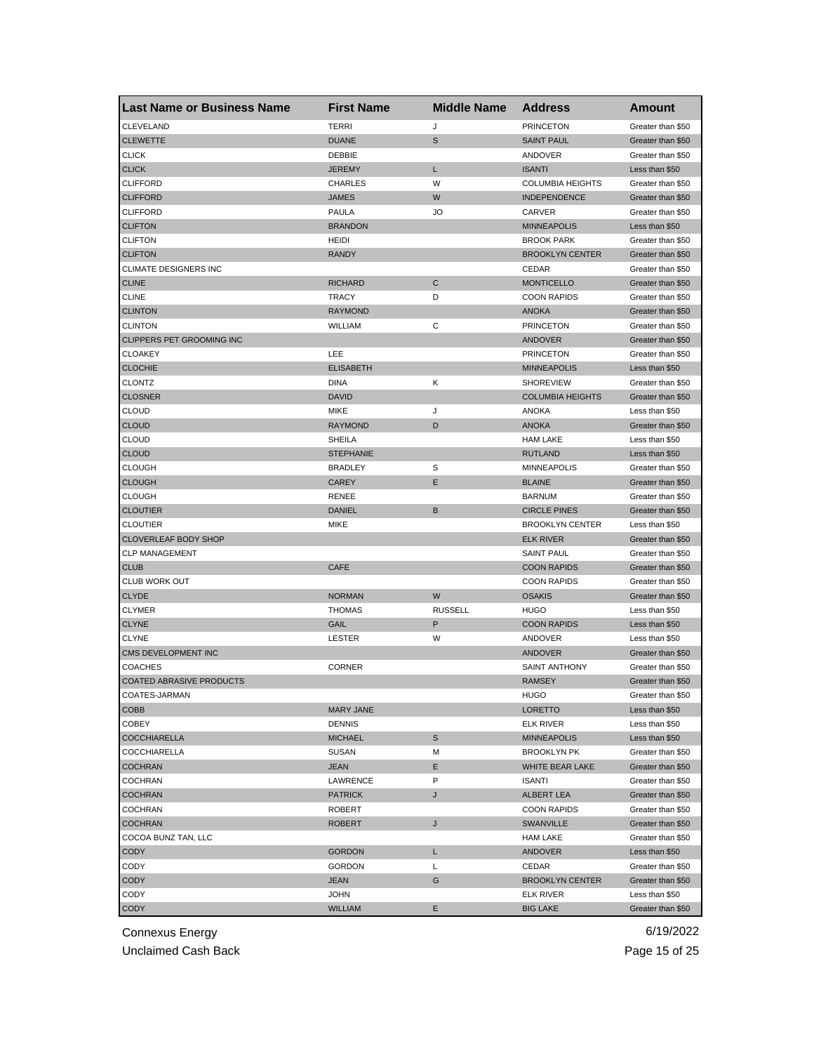| <b>Last Name or Business Name</b> | <b>First Name</b> | <b>Middle Name</b> | <b>Address</b>             | Amount            |
|-----------------------------------|-------------------|--------------------|----------------------------|-------------------|
| CLEVELAND                         | <b>TERRI</b>      | J                  | <b>PRINCETON</b>           | Greater than \$50 |
| <b>CLEWETTE</b>                   | <b>DUANE</b>      | $\mathbb S$        | <b>SAINT PAUL</b>          | Greater than \$50 |
| <b>CLICK</b>                      | DEBBIE            |                    | ANDOVER                    | Greater than \$50 |
| <b>CLICK</b>                      | JEREMY            | L                  | <b>ISANTI</b>              | Less than \$50    |
| <b>CLIFFORD</b>                   | <b>CHARLES</b>    | W                  | <b>COLUMBIA HEIGHTS</b>    | Greater than \$50 |
| <b>CLIFFORD</b>                   | <b>JAMES</b>      | W                  | <b>INDEPENDENCE</b>        | Greater than \$50 |
| <b>CLIFFORD</b>                   | PAULA             | JO                 | CARVER                     | Greater than \$50 |
| <b>CLIFTON</b>                    | <b>BRANDON</b>    |                    | <b>MINNEAPOLIS</b>         | Less than \$50    |
| <b>CLIFTON</b>                    | HEIDI             |                    | <b>BROOK PARK</b>          | Greater than \$50 |
| <b>CLIFTON</b>                    | <b>RANDY</b>      |                    | <b>BROOKLYN CENTER</b>     | Greater than \$50 |
| <b>CLIMATE DESIGNERS INC</b>      |                   |                    | CEDAR                      | Greater than \$50 |
| <b>CLINE</b>                      | <b>RICHARD</b>    | C                  | <b>MONTICELLO</b>          | Greater than \$50 |
| <b>CLINE</b>                      | <b>TRACY</b>      | D                  | <b>COON RAPIDS</b>         | Greater than \$50 |
| <b>CLINTON</b>                    | <b>RAYMOND</b>    |                    | <b>ANOKA</b>               | Greater than \$50 |
| <b>CLINTON</b>                    | WILLIAM           | С                  | <b>PRINCETON</b>           | Greater than \$50 |
| CLIPPERS PET GROOMING INC         |                   |                    | ANDOVER                    | Greater than \$50 |
| <b>CLOAKEY</b>                    | LEE               |                    | <b>PRINCETON</b>           | Greater than \$50 |
| <b>CLOCHIE</b>                    | <b>ELISABETH</b>  |                    | <b>MINNEAPOLIS</b>         | Less than \$50    |
| CLONTZ                            | DINA              | Κ                  | <b>SHOREVIEW</b>           | Greater than \$50 |
| <b>CLOSNER</b>                    | <b>DAVID</b>      |                    | <b>COLUMBIA HEIGHTS</b>    | Greater than \$50 |
| <b>CLOUD</b>                      | MIKE              | J                  | <b>ANOKA</b>               | Less than \$50    |
| <b>CLOUD</b>                      | <b>RAYMOND</b>    | D                  | <b>ANOKA</b>               | Greater than \$50 |
| <b>CLOUD</b>                      | SHEILA            |                    | <b>HAM LAKE</b>            | Less than \$50    |
| <b>CLOUD</b>                      | <b>STEPHANIE</b>  |                    | <b>RUTLAND</b>             | Less than \$50    |
| <b>CLOUGH</b>                     | <b>BRADLEY</b>    | S                  | <b>MINNEAPOLIS</b>         | Greater than \$50 |
| <b>CLOUGH</b>                     | CAREY             | Ε                  | <b>BLAINE</b>              | Greater than \$50 |
| <b>CLOUGH</b>                     | RENEE             |                    | <b>BARNUM</b>              | Greater than \$50 |
| <b>CLOUTIER</b>                   | <b>DANIEL</b>     | B                  | <b>CIRCLE PINES</b>        | Greater than \$50 |
| <b>CLOUTIER</b>                   | MIKE              |                    | <b>BROOKLYN CENTER</b>     | Less than \$50    |
| <b>CLOVERLEAF BODY SHOP</b>       |                   |                    | <b>ELK RIVER</b>           | Greater than \$50 |
| <b>CLP MANAGEMENT</b>             |                   |                    | <b>SAINT PAUL</b>          | Greater than \$50 |
| <b>CLUB</b>                       | CAFE              |                    | <b>COON RAPIDS</b>         | Greater than \$50 |
| <b>CLUB WORK OUT</b>              |                   |                    | <b>COON RAPIDS</b>         | Greater than \$50 |
| <b>CLYDE</b>                      | <b>NORMAN</b>     | W                  | <b>OSAKIS</b>              | Greater than \$50 |
| <b>CLYMER</b>                     | <b>THOMAS</b>     | <b>RUSSELL</b>     | <b>HUGO</b>                | Less than \$50    |
| <b>CLYNE</b>                      | GAIL              | P                  | <b>COON RAPIDS</b>         | Less than \$50    |
| <b>CLYNE</b>                      | <b>LESTER</b>     | W                  | ANDOVER                    | Less than \$50    |
| CMS DEVELOPMENT INC               |                   |                    | ANDOVER                    | Greater than \$50 |
| <b>COACHES</b>                    | <b>CORNER</b>     |                    | <b>SAINT ANTHONY</b>       | Greater than \$50 |
| <b>COATED ABRASIVE PRODUCTS</b>   |                   |                    | <b>RAMSEY</b>              | Greater than \$50 |
| COATES-JARMAN                     |                   |                    | HUGO                       | Greater than \$50 |
| COBB                              | MARY JANE         |                    | LORETTO                    | Less than \$50    |
| <b>COBEY</b>                      | <b>DENNIS</b>     |                    | ELK RIVER                  | Less than \$50    |
| <b>COCCHIARELLA</b>               | <b>MICHAEL</b>    | S                  | <b>MINNEAPOLIS</b>         | Less than \$50    |
| <b>COCCHIARELLA</b>               | SUSAN             | Μ                  | <b>BROOKLYN PK</b>         | Greater than \$50 |
| <b>COCHRAN</b>                    | JEAN              | E                  | WHITE BEAR LAKE            | Greater than \$50 |
| COCHRAN                           | LAWRENCE          | P                  | <b>ISANTI</b>              | Greater than \$50 |
| <b>COCHRAN</b>                    | <b>PATRICK</b>    | J                  | <b>ALBERT LEA</b>          | Greater than \$50 |
| COCHRAN                           | ROBERT            |                    | <b>COON RAPIDS</b>         | Greater than \$50 |
| <b>COCHRAN</b>                    | <b>ROBERT</b>     | J                  | <b>SWANVILLE</b>           | Greater than \$50 |
| COCOA BUNZ TAN, LLC               |                   |                    |                            |                   |
| CODY                              | <b>GORDON</b>     |                    | <b>HAM LAKE</b><br>ANDOVER | Greater than \$50 |
|                                   |                   | L                  |                            | Less than \$50    |
| CODY                              | GORDON            | L                  | CEDAR                      | Greater than \$50 |
| <b>CODY</b>                       | JEAN              | G                  | <b>BROOKLYN CENTER</b>     | Greater than \$50 |
| CODY                              | JOHN              |                    | ELK RIVER                  | Less than \$50    |
| <b>CODY</b>                       | WILLIAM           | E.                 | <b>BIG LAKE</b>            | Greater than \$50 |

Unclaimed Cash Back **Page 15 of 25**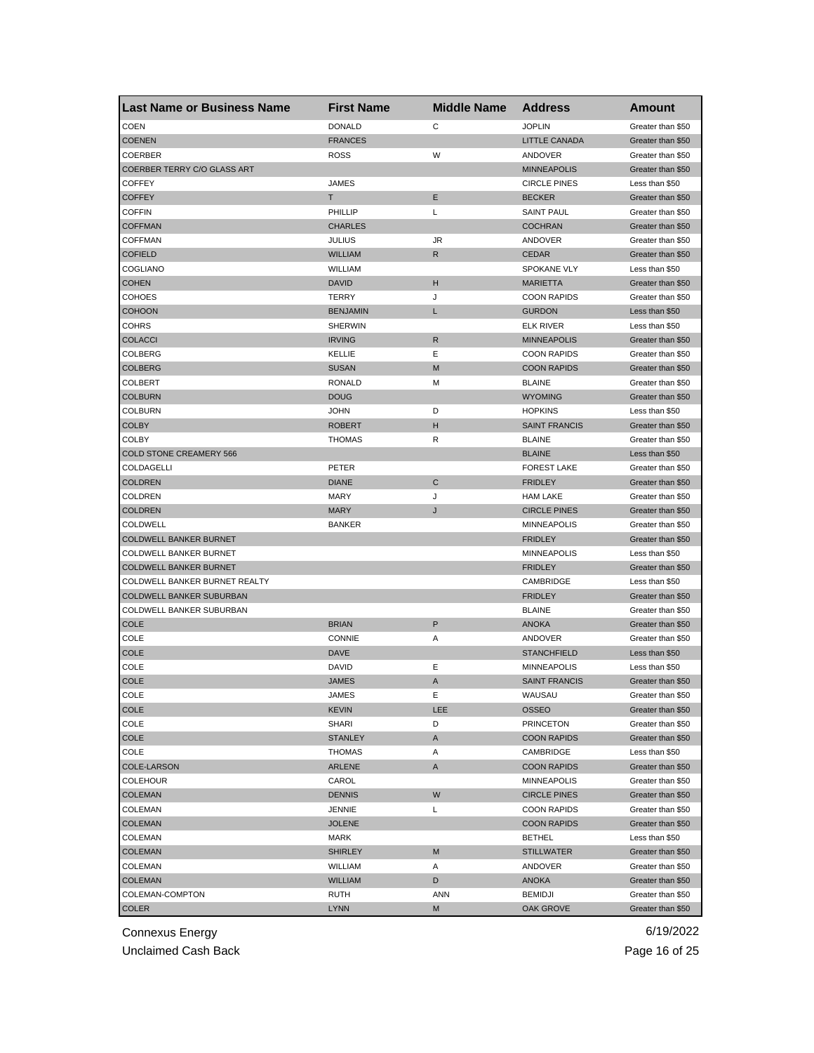| <b>Last Name or Business Name</b> | <b>First Name</b> | <b>Middle Name</b> | <b>Address</b>       | Amount            |
|-----------------------------------|-------------------|--------------------|----------------------|-------------------|
| <b>COEN</b>                       | <b>DONALD</b>     | C                  | <b>JOPLIN</b>        | Greater than \$50 |
| <b>COENEN</b>                     | <b>FRANCES</b>    |                    | <b>LITTLE CANADA</b> | Greater than \$50 |
| <b>COERBER</b>                    | ROSS              | W                  | ANDOVER              | Greater than \$50 |
| COERBER TERRY C/O GLASS ART       |                   |                    | <b>MINNEAPOLIS</b>   | Greater than \$50 |
| <b>COFFEY</b>                     | <b>JAMES</b>      |                    | <b>CIRCLE PINES</b>  | Less than \$50    |
| <b>COFFEY</b>                     | т                 | Ε                  | <b>BECKER</b>        | Greater than \$50 |
| <b>COFFIN</b>                     | PHILLIP           | Г                  | <b>SAINT PAUL</b>    | Greater than \$50 |
| <b>COFFMAN</b>                    | <b>CHARLES</b>    |                    | <b>COCHRAN</b>       | Greater than \$50 |
| <b>COFFMAN</b>                    | <b>JULIUS</b>     | JR                 | ANDOVER              | Greater than \$50 |
| <b>COFIELD</b>                    | <b>WILLIAM</b>    | R                  | <b>CEDAR</b>         | Greater than \$50 |
| COGLIANO                          | WILLIAM           |                    | <b>SPOKANE VLY</b>   | Less than \$50    |
| <b>COHEN</b>                      | <b>DAVID</b>      | н                  | <b>MARIETTA</b>      | Greater than \$50 |
| <b>COHOES</b>                     | TERRY             | J                  | <b>COON RAPIDS</b>   | Greater than \$50 |
| <b>COHOON</b>                     | <b>BENJAMIN</b>   | L                  | <b>GURDON</b>        | Less than \$50    |
| <b>COHRS</b>                      | <b>SHERWIN</b>    |                    | <b>ELK RIVER</b>     | Less than \$50    |
| <b>COLACCI</b>                    | <b>IRVING</b>     | $\mathsf{R}$       | <b>MINNEAPOLIS</b>   | Greater than \$50 |
| COLBERG                           | KELLIE            | Ε                  | <b>COON RAPIDS</b>   | Greater than \$50 |
| <b>COLBERG</b>                    | <b>SUSAN</b>      | M                  | <b>COON RAPIDS</b>   | Greater than \$50 |
| COLBERT                           | RONALD            | М                  | <b>BLAINE</b>        | Greater than \$50 |
| <b>COLBURN</b>                    | <b>DOUG</b>       |                    | <b>WYOMING</b>       | Greater than \$50 |
| COLBURN                           | <b>JOHN</b>       | D                  | <b>HOPKINS</b>       | Less than \$50    |
| <b>COLBY</b>                      | <b>ROBERT</b>     | н                  | <b>SAINT FRANCIS</b> | Greater than \$50 |
| COLBY                             | <b>THOMAS</b>     | R                  | <b>BLAINE</b>        | Greater than \$50 |
| <b>COLD STONE CREAMERY 566</b>    |                   |                    | <b>BLAINE</b>        | Less than \$50    |
| COLDAGELLI                        | PETER             |                    | <b>FOREST LAKE</b>   | Greater than \$50 |
| <b>COLDREN</b>                    | <b>DIANE</b>      | $\mathsf{C}$       | <b>FRIDLEY</b>       | Greater than \$50 |
| <b>COLDREN</b>                    | MARY              | J                  | <b>HAM LAKE</b>      | Greater than \$50 |
| <b>COLDREN</b>                    | <b>MARY</b>       | J                  | <b>CIRCLE PINES</b>  | Greater than \$50 |
| <b>COLDWELL</b>                   | <b>BANKER</b>     |                    | <b>MINNEAPOLIS</b>   | Greater than \$50 |
| COLDWELL BANKER BURNET            |                   |                    | <b>FRIDLEY</b>       | Greater than \$50 |
| COLDWELL BANKER BURNET            |                   |                    | <b>MINNEAPOLIS</b>   | Less than \$50    |
| COLDWELL BANKER BURNET            |                   |                    | <b>FRIDLEY</b>       | Greater than \$50 |
| COLDWELL BANKER BURNET REALTY     |                   |                    | CAMBRIDGE            | Less than \$50    |
| COLDWELL BANKER SUBURBAN          |                   |                    | <b>FRIDLEY</b>       | Greater than \$50 |
| COLDWELL BANKER SUBURBAN          |                   |                    | <b>BLAINE</b>        | Greater than \$50 |
| <b>COLE</b>                       | <b>BRIAN</b>      | P                  | <b>ANOKA</b>         | Greater than \$50 |
| COLE                              | CONNIE            | Α                  | ANDOVER              | Greater than \$50 |
| <b>COLE</b>                       | <b>DAVE</b>       |                    | <b>STANCHFIELD</b>   | Less than \$50    |
| COLE                              | <b>DAVID</b>      | Ε                  | <b>MINNEAPOLIS</b>   | Less than \$50    |
| <b>COLE</b>                       | <b>JAMES</b>      | A                  | <b>SAINT FRANCIS</b> | Greater than \$50 |
| COLE                              | JAMES             | Е                  | WAUSAU               | Greater than \$50 |
| <b>COLE</b>                       | <b>KEVIN</b>      | LEE.               | OSSEO                | Greater than \$50 |
| COLE                              | SHARI             | D                  | <b>PRINCETON</b>     | Greater than \$50 |
| COLE                              | <b>STANLEY</b>    | A                  | <b>COON RAPIDS</b>   | Greater than \$50 |
| COLE                              | THOMAS            | Α                  | CAMBRIDGE            | Less than \$50    |
| COLE-LARSON                       | ARLENE            | A                  | <b>COON RAPIDS</b>   | Greater than \$50 |
| <b>COLEHOUR</b>                   | CAROL             |                    | <b>MINNEAPOLIS</b>   | Greater than \$50 |
| <b>COLEMAN</b>                    | <b>DENNIS</b>     | W                  | <b>CIRCLE PINES</b>  | Greater than \$50 |
| COLEMAN                           | JENNIE            | Г                  | <b>COON RAPIDS</b>   | Greater than \$50 |
| <b>COLEMAN</b>                    | <b>JOLENE</b>     |                    | <b>COON RAPIDS</b>   | Greater than \$50 |
| COLEMAN                           | MARK              |                    | <b>BETHEL</b>        | Less than \$50    |
| <b>COLEMAN</b>                    | <b>SHIRLEY</b>    | M                  | <b>STILLWATER</b>    | Greater than \$50 |
| COLEMAN                           | WILLIAM           | Α                  | ANDOVER              | Greater than \$50 |
| <b>COLEMAN</b>                    | <b>WILLIAM</b>    | D                  | ANOKA                | Greater than \$50 |
| COLEMAN-COMPTON                   | RUTH              | ANN                | <b>BEMIDJI</b>       | Greater than \$50 |
| <b>COLER</b>                      | <b>LYNN</b>       | М                  | OAK GROVE            | Greater than \$50 |
|                                   |                   |                    |                      |                   |

Unclaimed Cash Back **Page 16 of 25**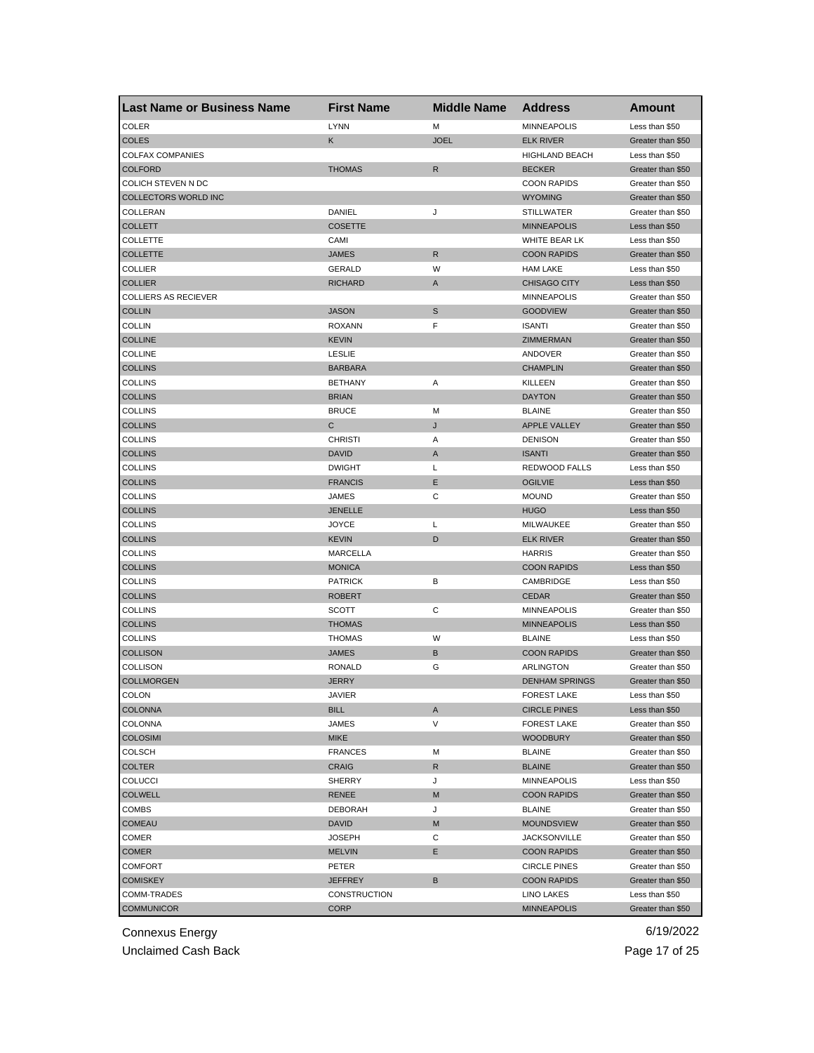| <b>Last Name or Business Name</b> | <b>First Name</b> | <b>Middle Name</b> | <b>Address</b>                      | Amount                                 |
|-----------------------------------|-------------------|--------------------|-------------------------------------|----------------------------------------|
| <b>COLER</b>                      | <b>LYNN</b>       | M                  | <b>MINNEAPOLIS</b>                  | Less than \$50                         |
| <b>COLES</b>                      | Κ                 | <b>JOEL</b>        | <b>ELK RIVER</b>                    | Greater than \$50                      |
| <b>COLFAX COMPANIES</b>           |                   |                    | <b>HIGHLAND BEACH</b>               | Less than \$50                         |
| <b>COLFORD</b>                    | <b>THOMAS</b>     | $\mathsf{R}$       | <b>BECKER</b>                       | Greater than \$50                      |
| COLICH STEVEN N DC                |                   |                    | <b>COON RAPIDS</b>                  | Greater than \$50                      |
| COLLECTORS WORLD INC              |                   |                    | <b>WYOMING</b>                      | Greater than \$50                      |
| COLLERAN                          | DANIEL            | J                  | <b>STILLWATER</b>                   | Greater than \$50                      |
| <b>COLLETT</b>                    | <b>COSETTE</b>    |                    | <b>MINNEAPOLIS</b>                  | Less than \$50                         |
| <b>COLLETTE</b>                   | CAMI              |                    | WHITE BEAR LK                       | Less than \$50                         |
| <b>COLLETTE</b>                   | <b>JAMES</b>      | R                  | <b>COON RAPIDS</b>                  | Greater than \$50                      |
| COLLIER                           | <b>GERALD</b>     | W                  | <b>HAM LAKE</b>                     | Less than \$50                         |
| <b>COLLIER</b>                    | <b>RICHARD</b>    | A                  | <b>CHISAGO CITY</b>                 | Less than \$50                         |
| <b>COLLIERS AS RECIEVER</b>       |                   |                    | <b>MINNEAPOLIS</b>                  | Greater than \$50                      |
| <b>COLLIN</b>                     | <b>JASON</b>      | S                  | <b>GOODVIEW</b>                     | Greater than \$50                      |
| <b>COLLIN</b>                     | <b>ROXANN</b>     | F                  | <b>ISANTI</b>                       | Greater than \$50                      |
| <b>COLLINE</b>                    | <b>KEVIN</b>      |                    | ZIMMERMAN                           | Greater than \$50                      |
| <b>COLLINE</b>                    | <b>LESLIE</b>     |                    | ANDOVER                             | Greater than \$50                      |
| <b>COLLINS</b>                    | <b>BARBARA</b>    |                    | <b>CHAMPLIN</b>                     | Greater than \$50                      |
| COLLINS                           | <b>BETHANY</b>    | Α                  | KILLEEN                             | Greater than \$50                      |
| <b>COLLINS</b>                    | <b>BRIAN</b>      |                    | <b>DAYTON</b>                       | Greater than \$50                      |
| <b>COLLINS</b>                    | <b>BRUCE</b>      | M                  | <b>BLAINE</b>                       | Greater than \$50                      |
| <b>COLLINS</b>                    | С                 | J                  | <b>APPLE VALLEY</b>                 | Greater than \$50                      |
| <b>COLLINS</b>                    | <b>CHRISTI</b>    | Α                  | <b>DENISON</b>                      | Greater than \$50                      |
| <b>COLLINS</b>                    | <b>DAVID</b>      | A                  | <b>ISANTI</b>                       | Greater than \$50                      |
| <b>COLLINS</b>                    | <b>DWIGHT</b>     | Г                  | REDWOOD FALLS                       | Less than \$50                         |
| <b>COLLINS</b>                    | <b>FRANCIS</b>    | Ε                  | <b>OGILVIE</b>                      | Less than \$50                         |
| <b>COLLINS</b>                    | JAMES             | С                  | <b>MOUND</b>                        | Greater than \$50                      |
| <b>COLLINS</b>                    | JENELLE           |                    | <b>HUGO</b>                         | Less than \$50                         |
| <b>COLLINS</b>                    | JOYCE             | L                  | MILWAUKEE                           | Greater than \$50                      |
| <b>COLLINS</b>                    | <b>KEVIN</b>      | D                  | <b>ELK RIVER</b>                    | Greater than \$50                      |
| <b>COLLINS</b>                    | MARCELLA          |                    | <b>HARRIS</b>                       | Greater than \$50                      |
| <b>COLLINS</b>                    | <b>MONICA</b>     |                    | <b>COON RAPIDS</b>                  | Less than \$50                         |
| COLLINS                           | <b>PATRICK</b>    | В                  | CAMBRIDGE                           | Less than \$50                         |
| <b>COLLINS</b>                    | ROBERT            |                    | <b>CEDAR</b>                        | Greater than \$50                      |
| <b>COLLINS</b>                    | <b>SCOTT</b>      | С                  | <b>MINNEAPOLIS</b>                  | Greater than \$50                      |
| <b>COLLINS</b>                    | <b>THOMAS</b>     |                    | <b>MINNEAPOLIS</b>                  | Less than \$50                         |
| <b>COLLINS</b>                    | <b>THOMAS</b>     | W                  | <b>BLAINE</b>                       | Less than \$50                         |
| <b>COLLISON</b>                   | JAMES             | В                  | <b>COON RAPIDS</b>                  | Greater than \$50                      |
| COLLISON                          | <b>RONALD</b>     | G                  | ARLINGTON                           | Greater than \$50                      |
| <b>COLLMORGEN</b>                 | JERRY             |                    | <b>DENHAM SPRINGS</b>               | Greater than \$50                      |
| COLON                             | JAVIER            |                    | <b>FOREST LAKE</b>                  | Less than \$50                         |
| <b>COLONNA</b>                    | BILL              | A                  | <b>CIRCLE PINES</b>                 | Less than \$50                         |
| COLONNA                           | JAMES             | V                  | <b>FOREST LAKE</b>                  | Greater than \$50                      |
| <b>COLOSIMI</b>                   | <b>MIKE</b>       |                    | <b>WOODBURY</b>                     | Greater than \$50                      |
| <b>COLSCH</b>                     | <b>FRANCES</b>    | М                  | <b>BLAINE</b>                       | Greater than \$50                      |
| <b>COLTER</b>                     | <b>CRAIG</b>      | R                  | <b>BLAINE</b>                       | Greater than \$50                      |
| <b>COLUCCI</b>                    |                   |                    | <b>MINNEAPOLIS</b>                  | Less than \$50                         |
|                                   | SHERRY            | J                  |                                     |                                        |
| <b>COLWELL</b>                    | RENEE             | M                  | <b>COON RAPIDS</b><br><b>BLAINE</b> | Greater than \$50<br>Greater than \$50 |
| COMBS                             | DEBORAH           | J                  |                                     |                                        |
| <b>COMEAU</b>                     | <b>DAVID</b>      | M                  | <b>MOUNDSVIEW</b>                   | Greater than \$50                      |
| COMER                             | <b>JOSEPH</b>     | С                  | <b>JACKSONVILLE</b>                 | Greater than \$50                      |
| <b>COMER</b>                      | <b>MELVIN</b>     | Е                  | <b>COON RAPIDS</b>                  | Greater than \$50                      |
| <b>COMFORT</b>                    | PETER             |                    | <b>CIRCLE PINES</b>                 | Greater than \$50                      |
| <b>COMISKEY</b>                   | JEFFREY           | В                  | <b>COON RAPIDS</b>                  | Greater than \$50                      |
| COMM-TRADES                       | CONSTRUCTION      |                    | LINO LAKES                          | Less than \$50                         |
| <b>COMMUNICOR</b>                 | CORP              |                    | <b>MINNEAPOLIS</b>                  | Greater than \$50                      |

Unclaimed Cash Back **Page 17 of 25**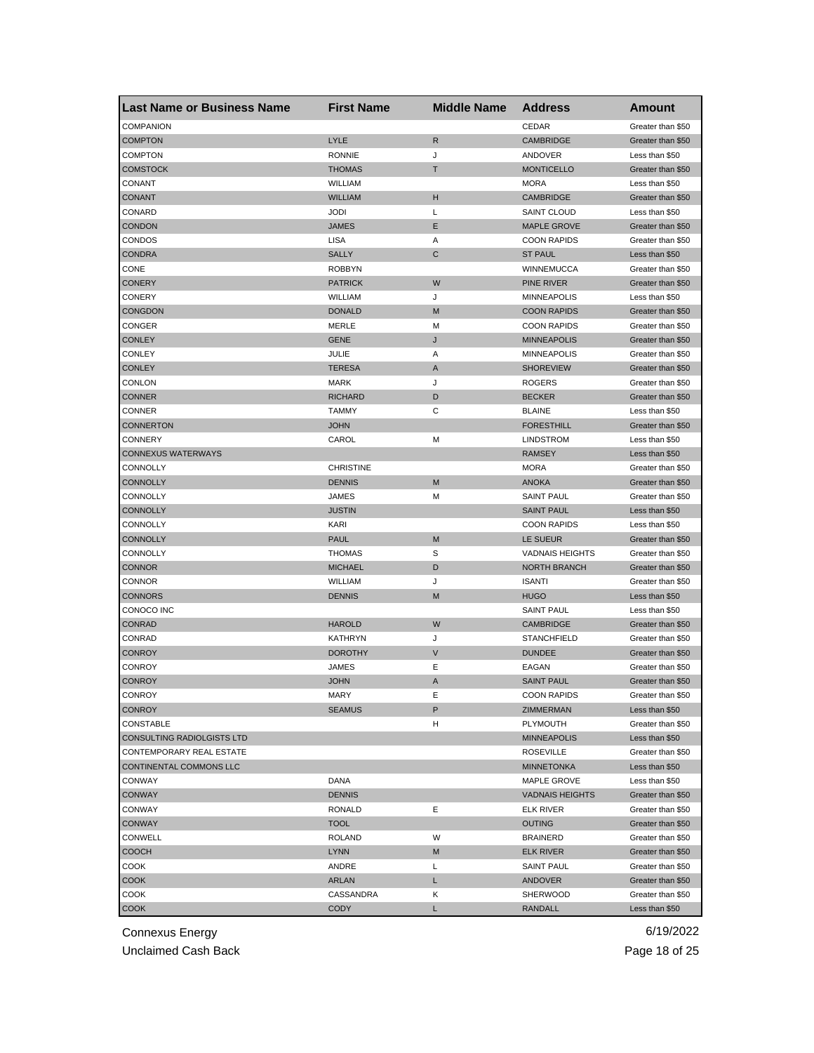| <b>Last Name or Business Name</b> | <b>First Name</b> | <b>Middle Name</b> | <b>Address</b>         | <b>Amount</b>     |
|-----------------------------------|-------------------|--------------------|------------------------|-------------------|
| <b>COMPANION</b>                  |                   |                    | CEDAR                  | Greater than \$50 |
| <b>COMPTON</b>                    | LYLE              | R                  | <b>CAMBRIDGE</b>       | Greater than \$50 |
| <b>COMPTON</b>                    | <b>RONNIE</b>     | J                  | ANDOVER                | Less than \$50    |
| <b>COMSTOCK</b>                   | <b>THOMAS</b>     | Т                  | <b>MONTICELLO</b>      | Greater than \$50 |
| CONANT                            | WILLIAM           |                    | <b>MORA</b>            | Less than \$50    |
| <b>CONANT</b>                     | <b>WILLIAM</b>    | н                  | <b>CAMBRIDGE</b>       | Greater than \$50 |
| CONARD                            | <b>JODI</b>       | Г                  | <b>SAINT CLOUD</b>     | Less than \$50    |
| <b>CONDON</b>                     | <b>JAMES</b>      | E                  | <b>MAPLE GROVE</b>     | Greater than \$50 |
| <b>CONDOS</b>                     | LISA              | Α                  | <b>COON RAPIDS</b>     | Greater than \$50 |
| <b>CONDRA</b>                     | <b>SALLY</b>      | C                  | <b>ST PAUL</b>         | Less than \$50    |
| CONE                              | <b>ROBBYN</b>     |                    | WINNEMUCCA             | Greater than \$50 |
| <b>CONERY</b>                     | <b>PATRICK</b>    | W                  | PINE RIVER             | Greater than \$50 |
| <b>CONERY</b>                     | WILLIAM           | J                  | <b>MINNEAPOLIS</b>     | Less than \$50    |
| <b>CONGDON</b>                    | <b>DONALD</b>     | M                  | <b>COON RAPIDS</b>     | Greater than \$50 |
| CONGER                            | MERLE             | М                  | <b>COON RAPIDS</b>     | Greater than \$50 |
| <b>CONLEY</b>                     | <b>GENE</b>       | J                  | <b>MINNEAPOLIS</b>     | Greater than \$50 |
| <b>CONLEY</b>                     | JULIE             | Α                  | <b>MINNEAPOLIS</b>     | Greater than \$50 |
| <b>CONLEY</b>                     | <b>TERESA</b>     | A                  | <b>SHOREVIEW</b>       | Greater than \$50 |
| <b>CONLON</b>                     | <b>MARK</b>       | J                  | <b>ROGERS</b>          | Greater than \$50 |
| <b>CONNER</b>                     | <b>RICHARD</b>    | D                  | <b>BECKER</b>          | Greater than \$50 |
| CONNER                            | <b>TAMMY</b>      | С                  | <b>BLAINE</b>          | Less than \$50    |
| <b>CONNERTON</b>                  | <b>JOHN</b>       |                    | <b>FORESTHILL</b>      | Greater than \$50 |
| CONNERY                           | CAROL             | M                  | <b>LINDSTROM</b>       | Less than \$50    |
| <b>CONNEXUS WATERWAYS</b>         |                   |                    | <b>RAMSEY</b>          | Less than \$50    |
| CONNOLLY                          | <b>CHRISTINE</b>  |                    | <b>MORA</b>            | Greater than \$50 |
| <b>CONNOLLY</b>                   | <b>DENNIS</b>     | M                  | <b>ANOKA</b>           | Greater than \$50 |
| CONNOLLY                          | JAMES             | М                  | <b>SAINT PAUL</b>      | Greater than \$50 |
| <b>CONNOLLY</b>                   | JUSTIN            |                    | <b>SAINT PAUL</b>      | Less than \$50    |
| CONNOLLY                          | <b>KARI</b>       |                    | <b>COON RAPIDS</b>     | Less than \$50    |
| <b>CONNOLLY</b>                   | <b>PAUL</b>       | M                  | LE SUEUR               |                   |
|                                   | <b>THOMAS</b>     | S                  |                        | Greater than \$50 |
| CONNOLLY                          |                   |                    | <b>VADNAIS HEIGHTS</b> | Greater than \$50 |
| <b>CONNOR</b>                     | <b>MICHAEL</b>    | D                  | <b>NORTH BRANCH</b>    | Greater than \$50 |
| <b>CONNOR</b>                     | WILLIAM           | J                  | <b>ISANTI</b>          | Greater than \$50 |
| <b>CONNORS</b>                    | <b>DENNIS</b>     | M                  | <b>HUGO</b>            | Less than \$50    |
| CONOCO INC                        |                   |                    | <b>SAINT PAUL</b>      | Less than \$50    |
| CONRAD                            | <b>HAROLD</b>     | W                  | <b>CAMBRIDGE</b>       | Greater than \$50 |
| CONRAD                            | <b>KATHRYN</b>    | J                  | <b>STANCHFIELD</b>     | Greater than \$50 |
| <b>CONROY</b>                     | <b>DOROTHY</b>    | $\vee$             | <b>DUNDEE</b>          | Greater than \$50 |
| CONROY                            | JAMES             | Е                  | EAGAN                  | Greater than \$50 |
| <b>CONROY</b>                     | <b>JOHN</b>       | A                  | <b>SAINT PAUL</b>      | Greater than \$50 |
| <b>CONROY</b>                     | MARY              | Е                  | <b>COON RAPIDS</b>     | Greater than \$50 |
| <b>CONROY</b>                     | <b>SEAMUS</b>     | P                  | ZIMMERMAN              | Less than \$50    |
| CONSTABLE                         |                   | н                  | PLYMOUTH               | Greater than \$50 |
| CONSULTING RADIOLGISTS LTD        |                   |                    | <b>MINNEAPOLIS</b>     | Less than \$50    |
| CONTEMPORARY REAL ESTATE          |                   |                    | <b>ROSEVILLE</b>       | Greater than \$50 |
| CONTINENTAL COMMONS LLC           |                   |                    | <b>MINNETONKA</b>      | Less than \$50    |
| <b>CONWAY</b>                     | DANA              |                    | MAPLE GROVE            | Less than \$50    |
| <b>CONWAY</b>                     | <b>DENNIS</b>     |                    | <b>VADNAIS HEIGHTS</b> | Greater than \$50 |
| <b>CONWAY</b>                     | RONALD            | Е                  | <b>ELK RIVER</b>       | Greater than \$50 |
| <b>CONWAY</b>                     | <b>TOOL</b>       |                    | <b>OUTING</b>          | Greater than \$50 |
| CONWELL                           | ROLAND            | W                  | <b>BRAINERD</b>        | Greater than \$50 |
| <b>COOCH</b>                      | <b>LYNN</b>       | M                  | <b>ELK RIVER</b>       | Greater than \$50 |
| COOK                              | ANDRE             | Г                  | <b>SAINT PAUL</b>      | Greater than \$50 |
| <b>COOK</b>                       | ARLAN             | L                  | ANDOVER                | Greater than \$50 |
| COOK                              | CASSANDRA         | Κ                  | <b>SHERWOOD</b>        | Greater than \$50 |
| <b>COOK</b>                       | CODY              | Г                  | RANDALL                | Less than \$50    |

Unclaimed Cash Back **Page 18 of 25**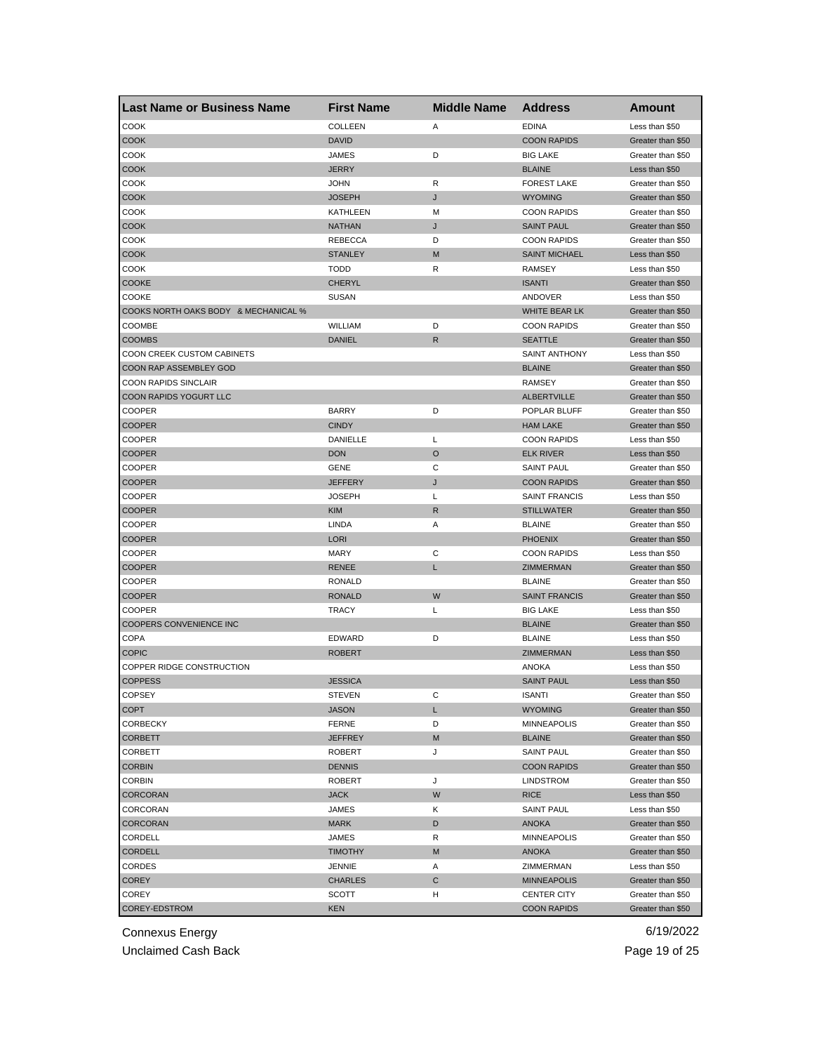| <b>Last Name or Business Name</b>    | <b>First Name</b>              | <b>Middle Name</b> | <b>Address</b>           | Amount                                 |
|--------------------------------------|--------------------------------|--------------------|--------------------------|----------------------------------------|
| COOK                                 | <b>COLLEEN</b>                 | Α                  | <b>EDINA</b>             | Less than \$50                         |
| <b>COOK</b>                          | <b>DAVID</b>                   |                    | <b>COON RAPIDS</b>       | Greater than \$50                      |
| COOK                                 | <b>JAMES</b>                   | D                  | <b>BIG LAKE</b>          | Greater than \$50                      |
| <b>COOK</b>                          | <b>JERRY</b>                   |                    | <b>BLAINE</b>            | Less than \$50                         |
| <b>COOK</b>                          | <b>JOHN</b>                    | R                  | <b>FOREST LAKE</b>       | Greater than \$50                      |
| <b>COOK</b>                          | <b>JOSEPH</b>                  | J                  | <b>WYOMING</b>           | Greater than \$50                      |
| COOK                                 | KATHLEEN                       | М                  | <b>COON RAPIDS</b>       | Greater than \$50                      |
| COOK                                 | <b>NATHAN</b>                  | J                  | <b>SAINT PAUL</b>        | Greater than \$50                      |
| COOK                                 | <b>REBECCA</b>                 | D                  | <b>COON RAPIDS</b>       | Greater than \$50                      |
| <b>COOK</b>                          | <b>STANLEY</b>                 | M                  | <b>SAINT MICHAEL</b>     | Less than \$50                         |
| COOK                                 | <b>TODD</b>                    | R                  | RAMSEY                   | Less than \$50                         |
| <b>COOKE</b>                         | <b>CHERYL</b>                  |                    | <b>ISANTI</b>            | Greater than \$50                      |
| COOKE                                | <b>SUSAN</b>                   |                    | ANDOVER                  | Less than \$50                         |
| COOKS NORTH OAKS BODY & MECHANICAL % |                                |                    | WHITE BEAR LK            | Greater than \$50                      |
| COOMBE                               | WILLIAM                        | D                  | <b>COON RAPIDS</b>       | Greater than \$50                      |
| <b>COOMBS</b>                        | <b>DANIEL</b>                  | $\mathsf{R}$       | <b>SEATTLE</b>           | Greater than \$50                      |
| COON CREEK CUSTOM CABINETS           |                                |                    | <b>SAINT ANTHONY</b>     | Less than \$50                         |
| COON RAP ASSEMBLEY GOD               |                                |                    | <b>BLAINE</b>            | Greater than \$50                      |
| COON RAPIDS SINCLAIR                 |                                |                    | <b>RAMSEY</b>            | Greater than \$50                      |
| COON RAPIDS YOGURT LLC               |                                |                    | <b>ALBERTVILLE</b>       | Greater than \$50                      |
| COOPER                               | <b>BARRY</b>                   | D                  | POPLAR BLUFF             | Greater than \$50                      |
| <b>COOPER</b>                        | <b>CINDY</b>                   |                    | <b>HAM LAKE</b>          | Greater than \$50                      |
| COOPER                               | DANIELLE                       | Г                  | <b>COON RAPIDS</b>       | Less than \$50                         |
| <b>COOPER</b>                        | <b>DON</b>                     | O                  | <b>ELK RIVER</b>         | Less than \$50                         |
| COOPER                               | <b>GENE</b>                    | С                  | <b>SAINT PAUL</b>        | Greater than \$50                      |
| <b>COOPER</b>                        | <b>JEFFERY</b>                 | J                  | <b>COON RAPIDS</b>       | Greater than \$50                      |
| <b>COOPER</b>                        | <b>JOSEPH</b>                  | Г                  | <b>SAINT FRANCIS</b>     | Less than \$50                         |
| <b>COOPER</b>                        | <b>KIM</b>                     | R                  | <b>STILLWATER</b>        | Greater than \$50                      |
| COOPER                               | LINDA                          | Α                  | <b>BLAINE</b>            | Greater than \$50                      |
| <b>COOPER</b>                        | <b>LORI</b>                    |                    | <b>PHOENIX</b>           | Greater than \$50                      |
| COOPER                               | <b>MARY</b>                    | С                  | <b>COON RAPIDS</b>       | Less than \$50                         |
| <b>COOPER</b>                        | <b>RENEE</b>                   | Г                  | ZIMMERMAN                | Greater than \$50                      |
| COOPER                               | <b>RONALD</b>                  |                    | <b>BLAINE</b>            | Greater than \$50                      |
| <b>COOPER</b>                        | <b>RONALD</b>                  | W                  | <b>SAINT FRANCIS</b>     | Greater than \$50                      |
| <b>COOPER</b>                        | <b>TRACY</b>                   | Г                  | <b>BIG LAKE</b>          | Less than \$50                         |
| COOPERS CONVENIENCE INC              |                                |                    | <b>BLAINE</b>            | Greater than \$50                      |
| <b>COPA</b>                          | EDWARD                         | D                  | <b>BLAINE</b>            | Less than \$50                         |
| <b>COPIC</b>                         | <b>ROBERT</b>                  |                    | ZIMMERMAN                | Less than \$50                         |
| COPPER RIDGE CONSTRUCTION            |                                |                    | <b>ANOKA</b>             | Less than \$50                         |
| <b>COPPESS</b>                       | <b>JESSICA</b>                 |                    | <b>SAINT PAUL</b>        | Less than \$50                         |
|                                      |                                |                    |                          |                                        |
| <b>COPSEY</b><br><b>COPT</b>         | STEVEN<br><b>JASON</b>         | С<br>L             | ISANTI<br><b>WYOMING</b> | Greater than \$50<br>Greater than \$50 |
|                                      |                                |                    |                          | Greater than \$50                      |
| CORBECKY<br><b>CORBETT</b>           | <b>FERNE</b><br><b>JEFFREY</b> | D                  | <b>MINNEAPOLIS</b>       |                                        |
|                                      |                                | M                  | <b>BLAINE</b>            | Greater than \$50                      |
| CORBETT                              | ROBERT                         | J                  | <b>SAINT PAUL</b>        | Greater than \$50                      |
| <b>CORBIN</b>                        | <b>DENNIS</b>                  |                    | <b>COON RAPIDS</b>       | Greater than \$50                      |
| <b>CORBIN</b>                        | <b>ROBERT</b>                  | J                  | LINDSTROM                | Greater than \$50                      |
| CORCORAN                             | <b>JACK</b>                    | W                  | <b>RICE</b>              | Less than \$50                         |
| CORCORAN                             | JAMES                          | Κ                  | <b>SAINT PAUL</b>        | Less than \$50                         |
| CORCORAN                             | <b>MARK</b>                    | D                  | <b>ANOKA</b>             | Greater than \$50                      |
| CORDELL                              | JAMES                          | R                  | <b>MINNEAPOLIS</b>       | Greater than \$50                      |
| CORDELL                              | <b>TIMOTHY</b>                 | M                  | <b>ANOKA</b>             | Greater than \$50                      |
| CORDES                               | JENNIE                         | Α                  | ZIMMERMAN                | Less than \$50                         |
| COREY                                | <b>CHARLES</b>                 | С                  | <b>MINNEAPOLIS</b>       | Greater than \$50                      |
| COREY                                | SCOTT                          | н                  | <b>CENTER CITY</b>       | Greater than \$50                      |
| COREY-EDSTROM                        | KEN                            |                    | <b>COON RAPIDS</b>       | Greater than \$50                      |

Unclaimed Cash Back **Page 19 of 25**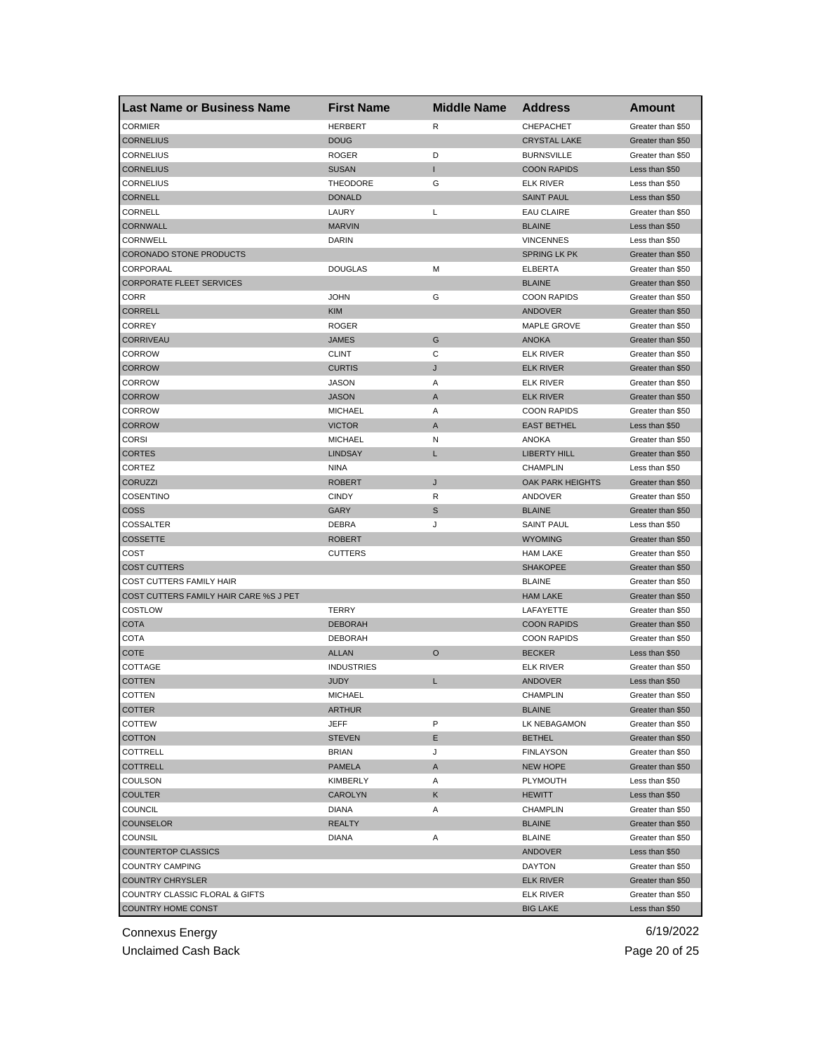| <b>Last Name or Business Name</b>      | <b>First Name</b> | <b>Middle Name</b> | <b>Address</b>          | <b>Amount</b>     |
|----------------------------------------|-------------------|--------------------|-------------------------|-------------------|
| <b>CORMIER</b>                         | <b>HERBERT</b>    | R                  | CHEPACHET               | Greater than \$50 |
| <b>CORNELIUS</b>                       | <b>DOUG</b>       |                    | <b>CRYSTAL LAKE</b>     | Greater than \$50 |
| <b>CORNELIUS</b>                       | <b>ROGER</b>      | D                  | <b>BURNSVILLE</b>       | Greater than \$50 |
| <b>CORNELIUS</b>                       | <b>SUSAN</b>      | T                  | <b>COON RAPIDS</b>      | Less than \$50    |
| <b>CORNELIUS</b>                       | <b>THEODORE</b>   | G                  | <b>ELK RIVER</b>        | Less than \$50    |
| <b>CORNELL</b>                         | <b>DONALD</b>     |                    | <b>SAINT PAUL</b>       | Less than \$50    |
| CORNELL                                | LAURY             | Г                  | <b>EAU CLAIRE</b>       | Greater than \$50 |
| <b>CORNWALL</b>                        | <b>MARVIN</b>     |                    | <b>BLAINE</b>           | Less than \$50    |
| CORNWELL                               | DARIN             |                    | <b>VINCENNES</b>        | Less than \$50    |
| <b>CORONADO STONE PRODUCTS</b>         |                   |                    | <b>SPRING LK PK</b>     | Greater than \$50 |
| CORPORAAL                              | <b>DOUGLAS</b>    | М                  | ELBERTA                 | Greater than \$50 |
| <b>CORPORATE FLEET SERVICES</b>        |                   |                    | <b>BLAINE</b>           | Greater than \$50 |
| CORR                                   | <b>JOHN</b>       | G                  | <b>COON RAPIDS</b>      | Greater than \$50 |
| <b>CORRELL</b>                         | <b>KIM</b>        |                    | ANDOVER                 | Greater than \$50 |
| <b>CORREY</b>                          | <b>ROGER</b>      |                    | <b>MAPLE GROVE</b>      | Greater than \$50 |
| <b>CORRIVEAU</b>                       | <b>JAMES</b>      | G                  | <b>ANOKA</b>            | Greater than \$50 |
| CORROW                                 | <b>CLINT</b>      | С                  | <b>ELK RIVER</b>        | Greater than \$50 |
| <b>CORROW</b>                          | <b>CURTIS</b>     | J                  | <b>ELK RIVER</b>        | Greater than \$50 |
| <b>CORROW</b>                          | <b>JASON</b>      | Α                  | <b>ELK RIVER</b>        | Greater than \$50 |
| <b>CORROW</b>                          | <b>JASON</b>      | Α                  | <b>ELK RIVER</b>        | Greater than \$50 |
| CORROW                                 | <b>MICHAEL</b>    | Α                  | <b>COON RAPIDS</b>      | Greater than \$50 |
| <b>CORROW</b>                          | <b>VICTOR</b>     | Α                  | <b>EAST BETHEL</b>      | Less than \$50    |
| <b>CORSI</b>                           | <b>MICHAEL</b>    | Ν                  | <b>ANOKA</b>            | Greater than \$50 |
| <b>CORTES</b>                          | <b>LINDSAY</b>    | L                  | <b>LIBERTY HILL</b>     | Greater than \$50 |
| CORTEZ                                 | <b>NINA</b>       |                    | <b>CHAMPLIN</b>         | Less than \$50    |
| <b>CORUZZI</b>                         | <b>ROBERT</b>     | J                  | <b>OAK PARK HEIGHTS</b> | Greater than \$50 |
| COSENTINO                              | <b>CINDY</b>      | R                  | ANDOVER                 | Greater than \$50 |
| <b>COSS</b>                            | GARY              | S                  | <b>BLAINE</b>           | Greater than \$50 |
| COSSALTER                              | DEBRA             | J                  | <b>SAINT PAUL</b>       | Less than \$50    |
|                                        |                   |                    |                         |                   |
| <b>COSSETTE</b>                        | <b>ROBERT</b>     |                    | <b>WYOMING</b>          | Greater than \$50 |
| COST                                   | <b>CUTTERS</b>    |                    | <b>HAM LAKE</b>         | Greater than \$50 |
| <b>COST CUTTERS</b>                    |                   |                    | <b>SHAKOPEE</b>         | Greater than \$50 |
| COST CUTTERS FAMILY HAIR               |                   |                    | <b>BLAINE</b>           | Greater than \$50 |
| COST CUTTERS FAMILY HAIR CARE %S J PET |                   |                    | <b>HAM LAKE</b>         | Greater than \$50 |
| COSTLOW                                | <b>TERRY</b>      |                    | LAFAYETTE               | Greater than \$50 |
| <b>COTA</b>                            | <b>DEBORAH</b>    |                    | <b>COON RAPIDS</b>      | Greater than \$50 |
| COTA                                   | <b>DEBORAH</b>    |                    | <b>COON RAPIDS</b>      | Greater than \$50 |
| COTE                                   | <b>ALLAN</b>      | O                  | <b>BECKER</b>           | Less than \$50    |
| COTTAGE                                | <b>INDUSTRIES</b> |                    | <b>ELK RIVER</b>        | Greater than \$50 |
| <b>COTTEN</b>                          | <b>JUDY</b>       | L                  | <b>ANDOVER</b>          | Less than \$50    |
| COLLEN                                 | MICHAEL           |                    | <b>CHAMPLIN</b>         | Greater than \$50 |
| <b>COTTER</b>                          | ARTHUR            |                    | <b>BLAINE</b>           | Greater than \$50 |
| COTTEW                                 | JEFF              | P                  | LK NEBAGAMON            | Greater than \$50 |
| <b>COTTON</b>                          | <b>STEVEN</b>     | Е                  | <b>BETHEL</b>           | Greater than \$50 |
| COTTRELL                               | <b>BRIAN</b>      | J                  | <b>FINLAYSON</b>        | Greater than \$50 |
| <b>COTTRELL</b>                        | <b>PAMELA</b>     | A                  | <b>NEW HOPE</b>         | Greater than \$50 |
| COULSON                                | KIMBERLY          | Α                  | PLYMOUTH                | Less than \$50    |
| <b>COULTER</b>                         | <b>CAROLYN</b>    | Κ                  | <b>HEWITT</b>           | Less than \$50    |
| COUNCIL                                | <b>DIANA</b>      | Α                  | <b>CHAMPLIN</b>         | Greater than \$50 |
| COUNSELOR                              | <b>REALTY</b>     |                    | <b>BLAINE</b>           | Greater than \$50 |
| <b>COUNSIL</b>                         | <b>DIANA</b>      | Α                  | <b>BLAINE</b>           | Greater than \$50 |
| <b>COUNTERTOP CLASSICS</b>             |                   |                    | <b>ANDOVER</b>          | Less than \$50    |
| COUNTRY CAMPING                        |                   |                    | DAYTON                  | Greater than \$50 |
| <b>COUNTRY CHRYSLER</b>                |                   |                    | <b>ELK RIVER</b>        | Greater than \$50 |
| COUNTRY CLASSIC FLORAL & GIFTS         |                   |                    | <b>ELK RIVER</b>        | Greater than \$50 |
| COUNTRY HOME CONST                     |                   |                    | <b>BIG LAKE</b>         | Less than \$50    |

Unclaimed Cash Back **Page 20 of 25**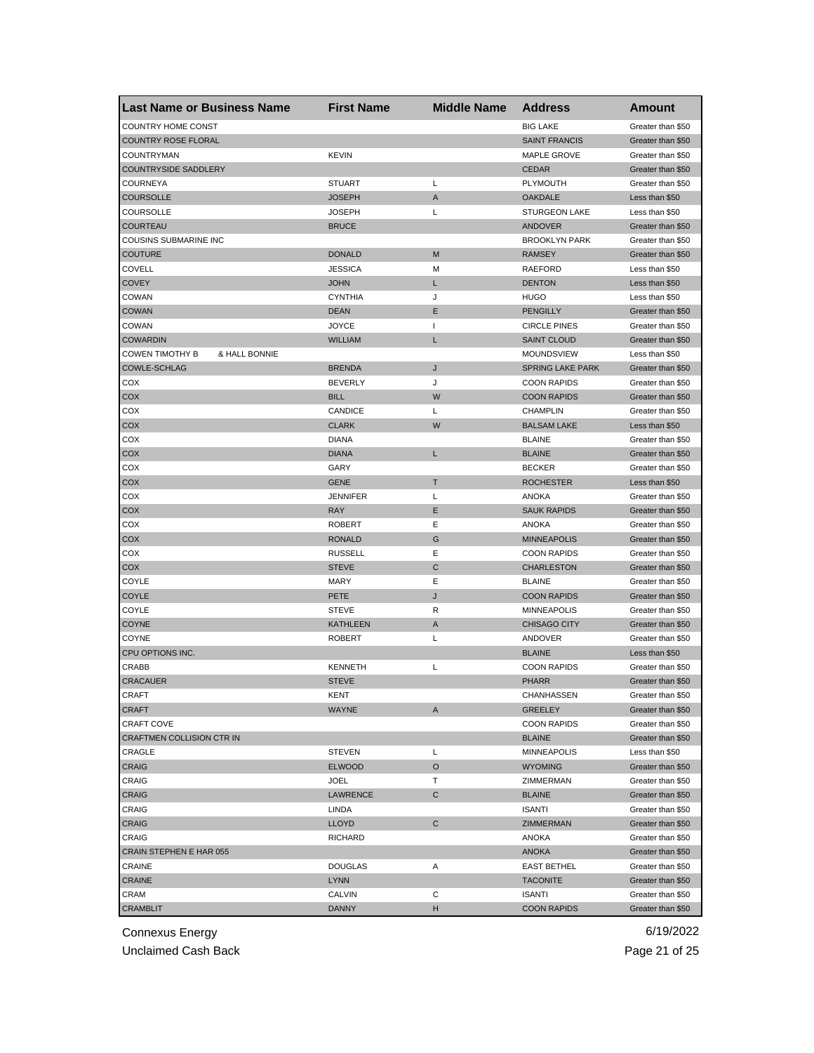| <b>Last Name or Business Name</b>              | <b>First Name</b>    | <b>Middle Name</b> | <b>Address</b>                      | Amount                                 |
|------------------------------------------------|----------------------|--------------------|-------------------------------------|----------------------------------------|
| COUNTRY HOME CONST                             |                      |                    | <b>BIG LAKE</b>                     | Greater than \$50                      |
| <b>COUNTRY ROSE FLORAL</b>                     |                      |                    | <b>SAINT FRANCIS</b>                | Greater than \$50                      |
| <b>COUNTRYMAN</b>                              | <b>KEVIN</b>         |                    | <b>MAPLE GROVE</b>                  | Greater than \$50                      |
| <b>COUNTRYSIDE SADDLERY</b>                    |                      |                    | <b>CEDAR</b>                        | Greater than \$50                      |
| <b>COURNEYA</b>                                | <b>STUART</b>        | L                  | <b>PLYMOUTH</b>                     | Greater than \$50                      |
| <b>COURSOLLE</b>                               | <b>JOSEPH</b>        | A                  | <b>OAKDALE</b>                      | Less than \$50                         |
| COURSOLLE                                      | <b>JOSEPH</b>        | Г                  | <b>STURGEON LAKE</b>                | Less than \$50                         |
| COURTEAU                                       | <b>BRUCE</b>         |                    | <b>ANDOVER</b>                      | Greater than \$50                      |
| COUSINS SUBMARINE INC                          |                      |                    | <b>BROOKLYN PARK</b>                | Greater than \$50                      |
| <b>COUTURE</b>                                 | <b>DONALD</b>        | M                  | <b>RAMSEY</b>                       | Greater than \$50                      |
| COVELL                                         | <b>JESSICA</b>       | М                  | RAEFORD                             | Less than \$50                         |
| <b>COVEY</b>                                   | <b>JOHN</b>          | L                  | <b>DENTON</b>                       | Less than \$50                         |
| COWAN                                          | <b>CYNTHIA</b>       | J                  | <b>HUGO</b>                         | Less than \$50                         |
| <b>COWAN</b>                                   | <b>DEAN</b>          | Ε                  | <b>PENGILLY</b>                     | Greater than \$50                      |
| COWAN                                          | <b>JOYCE</b>         | $\mathbf{I}$       | <b>CIRCLE PINES</b>                 | Greater than \$50                      |
| <b>COWARDIN</b>                                | <b>WILLIAM</b>       | L                  | <b>SAINT CLOUD</b>                  | Greater than \$50                      |
| <b>COWEN TIMOTHY B</b><br>& HALL BONNIE        |                      |                    | <b>MOUNDSVIEW</b>                   | Less than \$50                         |
| <b>COWLE-SCHLAG</b>                            | <b>BRENDA</b>        | J                  | <b>SPRING LAKE PARK</b>             | Greater than \$50                      |
| COX                                            | <b>BEVERLY</b>       | J                  | <b>COON RAPIDS</b>                  | Greater than \$50                      |
| COX                                            | <b>BILL</b>          | W                  | <b>COON RAPIDS</b>                  | Greater than \$50                      |
| COX                                            | CANDICE              | Г                  | <b>CHAMPLIN</b>                     | Greater than \$50                      |
| COX                                            | <b>CLARK</b>         | W                  | <b>BALSAM LAKE</b>                  | Less than \$50                         |
| COX                                            | <b>DIANA</b>         |                    | <b>BLAINE</b>                       | Greater than \$50                      |
| COX                                            | <b>DIANA</b>         | L                  | <b>BLAINE</b>                       | Greater than \$50                      |
| COX                                            | GARY                 |                    | <b>BECKER</b>                       | Greater than \$50                      |
| COX                                            | <b>GENE</b>          | Т                  | <b>ROCHESTER</b>                    | Less than \$50                         |
| COX                                            | <b>JENNIFER</b>      | Г                  | ANOKA                               | Greater than \$50                      |
| COX                                            | <b>RAY</b>           | Ε                  | <b>SAUK RAPIDS</b>                  | Greater than \$50                      |
| COX                                            | <b>ROBERT</b>        | Ε                  | <b>ANOKA</b>                        | Greater than \$50                      |
| COX                                            | <b>RONALD</b>        | G                  | <b>MINNEAPOLIS</b>                  | Greater than \$50                      |
| COX                                            | <b>RUSSELL</b>       | Ε                  | <b>COON RAPIDS</b>                  | Greater than \$50                      |
| COX                                            | <b>STEVE</b>         | C                  | <b>CHARLESTON</b>                   | Greater than \$50                      |
| COYLE                                          | MARY                 | Е                  | <b>BLAINE</b>                       | Greater than \$50                      |
| COYLE                                          | PETE                 | J                  | <b>COON RAPIDS</b>                  | Greater than \$50                      |
| COYLE                                          | <b>STEVE</b>         | R                  | <b>MINNEAPOLIS</b>                  | Greater than \$50                      |
| <b>COYNE</b>                                   | <b>KATHLEEN</b>      | Α                  | <b>CHISAGO CITY</b>                 | Greater than \$50                      |
| COYNE                                          | <b>ROBERT</b>        | Г                  | ANDOVER                             | Greater than \$50                      |
| CPU OPTIONS INC.                               |                      |                    | <b>BLAINE</b>                       | Less than \$50                         |
| CRABB                                          | <b>KENNETH</b>       | Г                  | <b>COON RAPIDS</b>                  | Greater than \$50                      |
| <b>CRACAUER</b>                                | <b>STEVE</b>         |                    | <b>PHARR</b>                        | Greater than \$50                      |
|                                                |                      |                    |                                     |                                        |
| CRAFT<br><b>CRAFT</b>                          | KENT<br><b>WAYNE</b> | A                  | CHANHASSEN<br><b>GREELEY</b>        | Greater than \$50<br>Greater than \$50 |
|                                                |                      |                    |                                     |                                        |
| <b>CRAFT COVE</b><br>CRAFTMEN COLLISION CTR IN |                      |                    | <b>COON RAPIDS</b><br><b>BLAINE</b> | Greater than \$50<br>Greater than \$50 |
| CRAGLE                                         | <b>STEVEN</b>        |                    | <b>MINNEAPOLIS</b>                  |                                        |
|                                                |                      | Г                  |                                     | Less than \$50<br>Greater than \$50    |
| CRAIG                                          | <b>ELWOOD</b>        | $\circ$            | <b>WYOMING</b>                      |                                        |
| CRAIG                                          | <b>JOEL</b>          | т                  | ZIMMERMAN                           | Greater than \$50                      |
| <b>CRAIG</b>                                   | <b>LAWRENCE</b>      | С                  | <b>BLAINE</b>                       | Greater than \$50                      |
| CRAIG                                          | LINDA                |                    | <b>ISANTI</b>                       | Greater than \$50                      |
| <b>CRAIG</b>                                   | <b>LLOYD</b>         | C                  | ZIMMERMAN                           | Greater than \$50                      |
| CRAIG                                          | <b>RICHARD</b>       |                    | <b>ANOKA</b>                        | Greater than \$50                      |
| CRAIN STEPHEN E HAR 055                        |                      |                    | <b>ANOKA</b>                        | Greater than \$50                      |
| CRAINE                                         | <b>DOUGLAS</b>       | Α                  | <b>EAST BETHEL</b>                  | Greater than \$50                      |
| CRAINE                                         | <b>LYNN</b>          |                    | <b>TACONITE</b>                     | Greater than \$50                      |
| CRAM                                           | CALVIN               | С                  | <b>ISANTI</b>                       | Greater than \$50                      |
| <b>CRAMBLIT</b>                                | <b>DANNY</b>         | H                  | <b>COON RAPIDS</b>                  | Greater than \$50                      |

Unclaimed Cash Back **Page 21 of 25**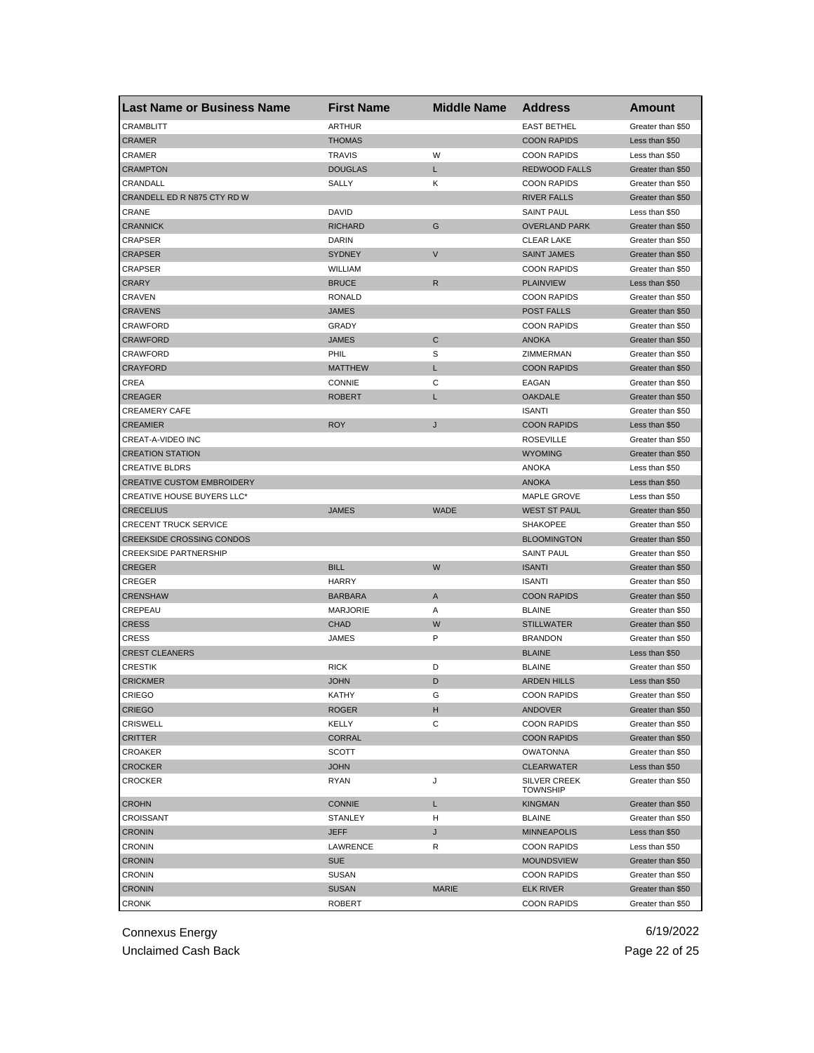| <b>Last Name or Business Name</b> | <b>First Name</b> | <b>Middle Name</b> | <b>Address</b>                         | Amount            |
|-----------------------------------|-------------------|--------------------|----------------------------------------|-------------------|
| CRAMBLITT                         | <b>ARTHUR</b>     |                    | <b>EAST BETHEL</b>                     | Greater than \$50 |
| <b>CRAMER</b>                     | <b>THOMAS</b>     |                    | <b>COON RAPIDS</b>                     | Less than \$50    |
| CRAMER                            | <b>TRAVIS</b>     | W                  | <b>COON RAPIDS</b>                     | Less than \$50    |
| <b>CRAMPTON</b>                   | <b>DOUGLAS</b>    | L.                 | <b>REDWOOD FALLS</b>                   | Greater than \$50 |
| CRANDALL                          | SALLY             | Κ                  | <b>COON RAPIDS</b>                     | Greater than \$50 |
| CRANDELL ED R N875 CTY RD W       |                   |                    | <b>RIVER FALLS</b>                     | Greater than \$50 |
| CRANE                             | DAVID             |                    | <b>SAINT PAUL</b>                      | Less than \$50    |
| <b>CRANNICK</b>                   | <b>RICHARD</b>    | G                  | <b>OVERLAND PARK</b>                   | Greater than \$50 |
| CRAPSER                           | DARIN             |                    | <b>CLEAR LAKE</b>                      | Greater than \$50 |
| <b>CRAPSER</b>                    | SYDNEY            | V                  | <b>SAINT JAMES</b>                     | Greater than \$50 |
| CRAPSER                           | WILLIAM           |                    | <b>COON RAPIDS</b>                     | Greater than \$50 |
| <b>CRARY</b>                      | <b>BRUCE</b>      | R                  | <b>PLAINVIEW</b>                       | Less than \$50    |
| CRAVEN                            | <b>RONALD</b>     |                    | <b>COON RAPIDS</b>                     | Greater than \$50 |
| <b>CRAVENS</b>                    | JAMES             |                    | <b>POST FALLS</b>                      | Greater than \$50 |
| CRAWFORD                          | GRADY             |                    | <b>COON RAPIDS</b>                     | Greater than \$50 |
| <b>CRAWFORD</b>                   | <b>JAMES</b>      | С                  | <b>ANOKA</b>                           | Greater than \$50 |
| CRAWFORD                          | PHIL              | S                  | ZIMMERMAN                              | Greater than \$50 |
| <b>CRAYFORD</b>                   | <b>MATTHEW</b>    | L                  | <b>COON RAPIDS</b>                     | Greater than \$50 |
| CREA                              | <b>CONNIE</b>     | С                  | EAGAN                                  | Greater than \$50 |
| <b>CREAGER</b>                    | <b>ROBERT</b>     | Г                  | <b>OAKDALE</b>                         | Greater than \$50 |
| <b>CREAMERY CAFE</b>              |                   |                    | <b>ISANTI</b>                          | Greater than \$50 |
| <b>CREAMIER</b>                   | <b>ROY</b>        | J                  | <b>COON RAPIDS</b>                     | Less than \$50    |
| CREAT-A-VIDEO INC                 |                   |                    | <b>ROSEVILLE</b>                       | Greater than \$50 |
| <b>CREATION STATION</b>           |                   |                    | <b>WYOMING</b>                         | Greater than \$50 |
| <b>CREATIVE BLDRS</b>             |                   |                    | <b>ANOKA</b>                           | Less than \$50    |
| <b>CREATIVE CUSTOM EMBROIDERY</b> |                   |                    | <b>ANOKA</b>                           | Less than \$50    |
| <b>CREATIVE HOUSE BUYERS LLC*</b> |                   |                    | <b>MAPLE GROVE</b>                     | Less than \$50    |
| <b>CRECELIUS</b>                  | <b>JAMES</b>      | <b>WADE</b>        | <b>WEST ST PAUL</b>                    | Greater than \$50 |
| <b>CRECENT TRUCK SERVICE</b>      |                   |                    | <b>SHAKOPEE</b>                        | Greater than \$50 |
| <b>CREEKSIDE CROSSING CONDOS</b>  |                   |                    | <b>BLOOMINGTON</b>                     |                   |
|                                   |                   |                    |                                        | Greater than \$50 |
| <b>CREEKSIDE PARTNERSHIP</b>      | <b>BILL</b>       | W                  | <b>SAINT PAUL</b>                      | Greater than \$50 |
| <b>CREGER</b>                     |                   |                    | <b>ISANTI</b>                          | Greater than \$50 |
| CREGER                            | <b>HARRY</b>      |                    | <b>ISANTI</b>                          | Greater than \$50 |
| <b>CRENSHAW</b>                   | <b>BARBARA</b>    | Α                  | <b>COON RAPIDS</b>                     | Greater than \$50 |
| CREPEAU                           | <b>MARJORIE</b>   | Α                  | <b>BLAINE</b>                          | Greater than \$50 |
| <b>CRESS</b>                      | <b>CHAD</b>       | W                  | <b>STILLWATER</b>                      | Greater than \$50 |
| CRESS                             | JAMES             | P                  | <b>BRANDON</b>                         | Greater than \$50 |
| <b>CREST CLEANERS</b>             |                   |                    | <b>BLAINE</b>                          | Less than \$50    |
| CRESTIK                           | <b>RICK</b>       | D                  | <b>BLAINE</b>                          | Greater than \$50 |
| <b>CRICKMER</b>                   | <b>JOHN</b>       | D                  | <b>ARDEN HILLS</b>                     | Less than \$50    |
| <b>CRIEGO</b>                     | KATHY             | G                  | <b>COON RAPIDS</b>                     | Greater than \$50 |
| <b>CRIEGO</b>                     | <b>ROGER</b>      | н                  | ANDOVER                                | Greater than \$50 |
| CRISWELL                          | KELLY             | С                  | <b>COON RAPIDS</b>                     | Greater than \$50 |
| CRITTER                           | <b>CORRAL</b>     |                    | <b>COON RAPIDS</b>                     | Greater than \$50 |
| <b>CROAKER</b>                    | SCOTT             |                    | <b>OWATONNA</b>                        | Greater than \$50 |
| <b>CROCKER</b>                    | <b>JOHN</b>       |                    | <b>CLEARWATER</b>                      | Less than \$50    |
| <b>CROCKER</b>                    | <b>RYAN</b>       | J                  | <b>SILVER CREEK</b><br><b>TOWNSHIP</b> | Greater than \$50 |
| <b>CROHN</b>                      | <b>CONNIE</b>     | L                  | <b>KINGMAN</b>                         | Greater than \$50 |
| CROISSANT                         | <b>STANLEY</b>    | н                  | <b>BLAINE</b>                          | Greater than \$50 |
| <b>CRONIN</b>                     | <b>JEFF</b>       | J                  | <b>MINNEAPOLIS</b>                     | Less than \$50    |
| CRONIN                            | LAWRENCE          | R                  | <b>COON RAPIDS</b>                     | Less than \$50    |
| <b>CRONIN</b>                     | <b>SUE</b>        |                    | <b>MOUNDSVIEW</b>                      | Greater than \$50 |
| <b>CRONIN</b>                     | <b>SUSAN</b>      |                    | <b>COON RAPIDS</b>                     | Greater than \$50 |
| <b>CRONIN</b>                     | <b>SUSAN</b>      | <b>MARIE</b>       | <b>ELK RIVER</b>                       | Greater than \$50 |
| <b>CRONK</b>                      | <b>ROBERT</b>     |                    | <b>COON RAPIDS</b>                     | Greater than \$50 |

Connexus Energy 6/19/2022 Unclaimed Cash Back **Page 22 of 25**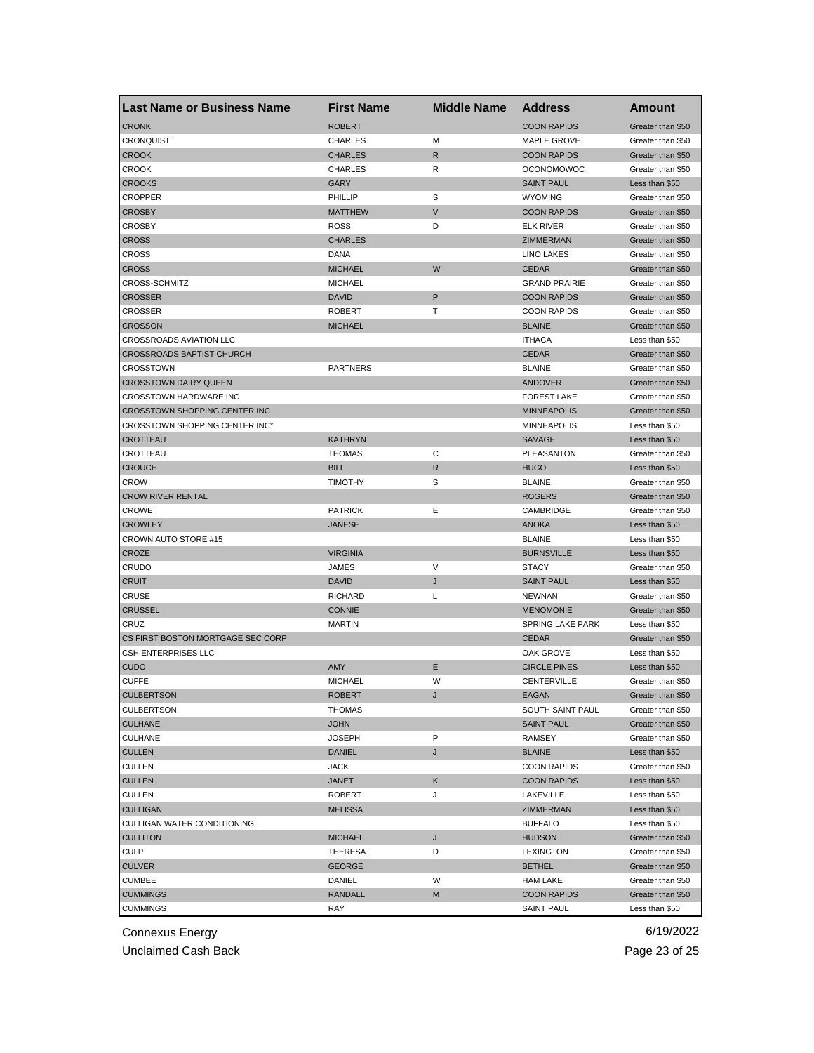| <b>Last Name or Business Name</b> | <b>First Name</b> | <b>Middle Name</b> | <b>Address</b>       | Amount            |
|-----------------------------------|-------------------|--------------------|----------------------|-------------------|
| <b>CRONK</b>                      | <b>ROBERT</b>     |                    | <b>COON RAPIDS</b>   | Greater than \$50 |
| <b>CRONQUIST</b>                  | <b>CHARLES</b>    | M                  | MAPLE GROVE          | Greater than \$50 |
| <b>CROOK</b>                      | <b>CHARLES</b>    | R                  | <b>COON RAPIDS</b>   | Greater than \$50 |
| <b>CROOK</b>                      | <b>CHARLES</b>    | R                  | <b>OCONOMOWOC</b>    | Greater than \$50 |
| <b>CROOKS</b>                     | <b>GARY</b>       |                    | <b>SAINT PAUL</b>    | Less than \$50    |
| <b>CROPPER</b>                    | PHILLIP           | S                  | <b>WYOMING</b>       | Greater than \$50 |
| <b>CROSBY</b>                     | <b>MATTHEW</b>    | $\vee$             | <b>COON RAPIDS</b>   | Greater than \$50 |
| <b>CROSBY</b>                     | <b>ROSS</b>       | D                  | <b>ELK RIVER</b>     | Greater than \$50 |
| <b>CROSS</b>                      | <b>CHARLES</b>    |                    | ZIMMERMAN            | Greater than \$50 |
| <b>CROSS</b>                      | DANA              |                    | LINO LAKES           | Greater than \$50 |
| <b>CROSS</b>                      | <b>MICHAEL</b>    | W                  | <b>CEDAR</b>         | Greater than \$50 |
| <b>CROSS-SCHMITZ</b>              | <b>MICHAEL</b>    |                    | <b>GRAND PRAIRIE</b> | Greater than \$50 |
| <b>CROSSER</b>                    | <b>DAVID</b>      | P                  | <b>COON RAPIDS</b>   | Greater than \$50 |
| CROSSER                           | <b>ROBERT</b>     | т                  | <b>COON RAPIDS</b>   | Greater than \$50 |
| <b>CROSSON</b>                    | <b>MICHAEL</b>    |                    | <b>BLAINE</b>        | Greater than \$50 |
| CROSSROADS AVIATION LLC           |                   |                    | <b>ITHACA</b>        | Less than \$50    |
| <b>CROSSROADS BAPTIST CHURCH</b>  |                   |                    | <b>CEDAR</b>         | Greater than \$50 |
| CROSSTOWN                         | <b>PARTNERS</b>   |                    | <b>BLAINE</b>        | Greater than \$50 |
| <b>CROSSTOWN DAIRY QUEEN</b>      |                   |                    | ANDOVER              | Greater than \$50 |
| <b>CROSSTOWN HARDWARE INC</b>     |                   |                    | <b>FOREST LAKE</b>   | Greater than \$50 |
| CROSSTOWN SHOPPING CENTER INC     |                   |                    | <b>MINNEAPOLIS</b>   | Greater than \$50 |
| CROSSTOWN SHOPPING CENTER INC*    |                   |                    | <b>MINNEAPOLIS</b>   | Less than \$50    |
| <b>CROTTEAU</b>                   | <b>KATHRYN</b>    |                    | <b>SAVAGE</b>        | Less than \$50    |
| CROTTEAU                          | <b>THOMAS</b>     | C                  | PLEASANTON           | Greater than \$50 |
| <b>CROUCH</b>                     | <b>BILL</b>       | $\mathsf{R}$       | <b>HUGO</b>          | Less than \$50    |
| <b>CROW</b>                       | <b>TIMOTHY</b>    | S                  | <b>BLAINE</b>        | Greater than \$50 |
| <b>CROW RIVER RENTAL</b>          |                   |                    | <b>ROGERS</b>        | Greater than \$50 |
| <b>CROWE</b>                      | <b>PATRICK</b>    | Е                  | CAMBRIDGE            | Greater than \$50 |
| <b>CROWLEY</b>                    | <b>JANESE</b>     |                    | <b>ANOKA</b>         | Less than \$50    |
| CROWN AUTO STORE #15              |                   |                    | <b>BLAINE</b>        | Less than \$50    |
| <b>CROZE</b>                      | <b>VIRGINIA</b>   |                    | <b>BURNSVILLE</b>    | Less than \$50    |
| CRUDO                             | JAMES             | V                  | <b>STACY</b>         | Greater than \$50 |
| <b>CRUIT</b>                      | <b>DAVID</b>      | J                  | <b>SAINT PAUL</b>    | Less than \$50    |
| <b>CRUSE</b>                      | <b>RICHARD</b>    | L                  | <b>NEWNAN</b>        | Greater than \$50 |
| <b>CRUSSEL</b>                    | <b>CONNIE</b>     |                    | <b>MENOMONIE</b>     | Greater than \$50 |
| CRUZ                              | <b>MARTIN</b>     |                    | SPRING LAKE PARK     | Less than \$50    |
| CS FIRST BOSTON MORTGAGE SEC CORP |                   |                    | <b>CEDAR</b>         | Greater than \$50 |
| <b>CSH ENTERPRISES LLC</b>        |                   |                    | OAK GROVE            | Less than \$50    |
| <b>CUDO</b>                       | AMY               | E                  | <b>CIRCLE PINES</b>  | Less than \$50    |
| <b>CUFFE</b>                      | <b>MICHAEL</b>    | W                  | CENTERVILLE          | Greater than \$50 |
| <b>CULBERTSON</b>                 | ROBERT            |                    | EAGAN                | Greater than \$50 |
| <b>CULBERTSON</b>                 | <b>THOMAS</b>     |                    | SOUTH SAINT PAUL     | Greater than \$50 |
| <b>CULHANE</b>                    | <b>JOHN</b>       |                    | <b>SAINT PAUL</b>    | Greater than \$50 |
| CULHANE                           | <b>JOSEPH</b>     | P                  | RAMSEY               | Greater than \$50 |
| <b>CULLEN</b>                     | DANIEL            | J                  | <b>BLAINE</b>        | Less than \$50    |
| <b>CULLEN</b>                     | JACK              |                    | <b>COON RAPIDS</b>   | Greater than \$50 |
| <b>CULLEN</b>                     | JANET             | Κ                  | <b>COON RAPIDS</b>   | Less than \$50    |
| CULLEN                            | <b>ROBERT</b>     | J                  | LAKEVILLE            | Less than \$50    |
| <b>CULLIGAN</b>                   | <b>MELISSA</b>    |                    | ZIMMERMAN            | Less than \$50    |
| CULLIGAN WATER CONDITIONING       |                   |                    | <b>BUFFALO</b>       | Less than \$50    |
| <b>CULLITON</b>                   | <b>MICHAEL</b>    | J                  | <b>HUDSON</b>        | Greater than \$50 |
| <b>CULP</b>                       | THERESA           | D                  | <b>LEXINGTON</b>     | Greater than \$50 |
| <b>CULVER</b>                     | <b>GEORGE</b>     |                    | <b>BETHEL</b>        | Greater than \$50 |
| <b>CUMBEE</b>                     | DANIEL            | W                  | <b>HAM LAKE</b>      | Greater than \$50 |
| <b>CUMMINGS</b>                   | RANDALL           | M                  | <b>COON RAPIDS</b>   | Greater than \$50 |
| <b>CUMMINGS</b>                   | RAY               |                    | <b>SAINT PAUL</b>    | Less than \$50    |
|                                   |                   |                    |                      |                   |

Unclaimed Cash Back **Page 23 of 25**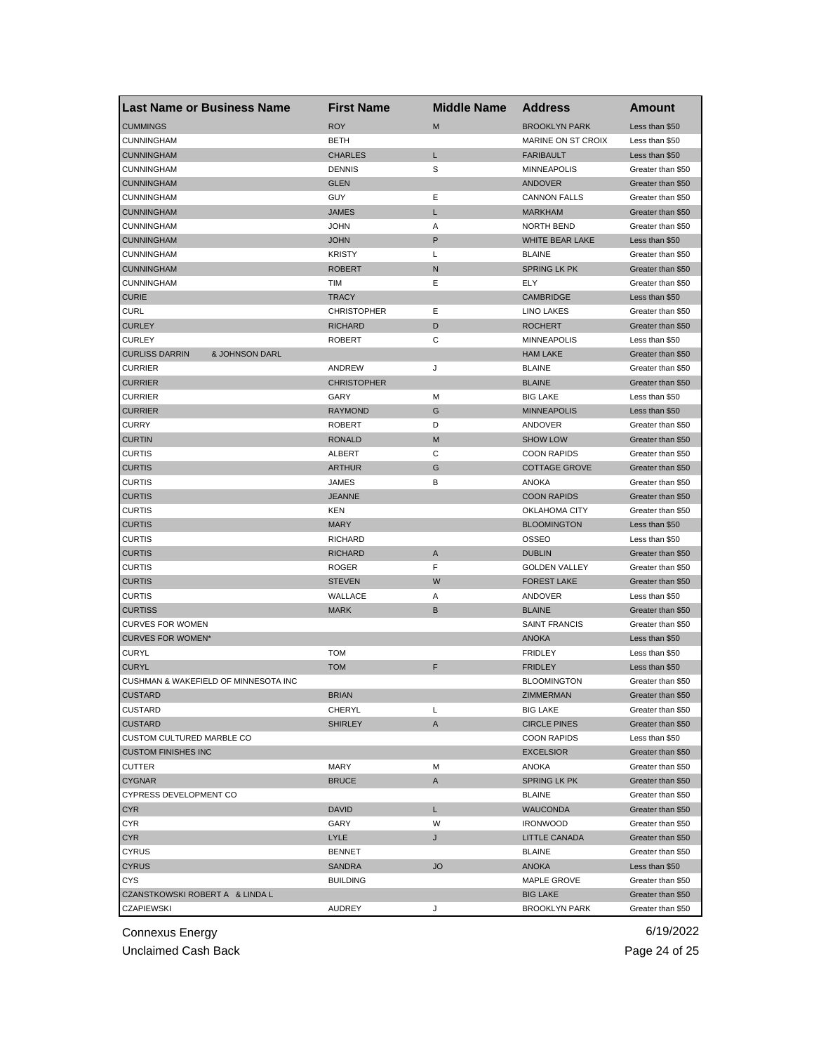| <b>Last Name or Business Name</b>       | <b>First Name</b>  | <b>Middle Name</b> | <b>Address</b>         | Amount            |
|-----------------------------------------|--------------------|--------------------|------------------------|-------------------|
| <b>CUMMINGS</b>                         | <b>ROY</b>         | M                  | <b>BROOKLYN PARK</b>   | Less than \$50    |
| <b>CUNNINGHAM</b>                       | BETH               |                    | MARINE ON ST CROIX     | Less than \$50    |
| <b>CUNNINGHAM</b>                       | <b>CHARLES</b>     | L                  | <b>FARIBAULT</b>       | Less than \$50    |
| <b>CUNNINGHAM</b>                       | <b>DENNIS</b>      | S                  | <b>MINNEAPOLIS</b>     | Greater than \$50 |
| <b>CUNNINGHAM</b>                       | <b>GLEN</b>        |                    | <b>ANDOVER</b>         | Greater than \$50 |
| <b>CUNNINGHAM</b>                       | GUY                | Ε                  | <b>CANNON FALLS</b>    | Greater than \$50 |
| <b>CUNNINGHAM</b>                       | <b>JAMES</b>       | L                  | <b>MARKHAM</b>         | Greater than \$50 |
| <b>CUNNINGHAM</b>                       | JOHN               | Α                  | NORTH BEND             | Greater than \$50 |
| <b>CUNNINGHAM</b>                       | <b>JOHN</b>        | P                  | <b>WHITE BEAR LAKE</b> | Less than \$50    |
| <b>CUNNINGHAM</b>                       | <b>KRISTY</b>      | Г                  | <b>BLAINE</b>          | Greater than \$50 |
| <b>CUNNINGHAM</b>                       | ROBERT             | N                  | <b>SPRING LK PK</b>    | Greater than \$50 |
| <b>CUNNINGHAM</b>                       | TIM                | Ε                  | ELY                    | Greater than \$50 |
| <b>CURIE</b>                            | <b>TRACY</b>       |                    | <b>CAMBRIDGE</b>       | Less than \$50    |
| <b>CURL</b>                             | <b>CHRISTOPHER</b> | Ε                  | <b>LINO LAKES</b>      | Greater than \$50 |
| <b>CURLEY</b>                           | <b>RICHARD</b>     | D                  | <b>ROCHERT</b>         | Greater than \$50 |
| <b>CURLEY</b>                           | <b>ROBERT</b>      | С                  | <b>MINNEAPOLIS</b>     | Less than \$50    |
| <b>CURLISS DARRIN</b><br>& JOHNSON DARL |                    |                    | <b>HAM LAKE</b>        | Greater than \$50 |
| <b>CURRIER</b>                          | ANDREW             | J                  | <b>BLAINE</b>          | Greater than \$50 |
| <b>CURRIER</b>                          | <b>CHRISTOPHER</b> |                    | <b>BLAINE</b>          | Greater than \$50 |
| <b>CURRIER</b>                          | GARY               | м                  | <b>BIG LAKE</b>        | Less than \$50    |
| <b>CURRIER</b>                          | <b>RAYMOND</b>     | G                  | <b>MINNEAPOLIS</b>     | Less than \$50    |
| <b>CURRY</b>                            | <b>ROBERT</b>      | D                  | ANDOVER                | Greater than \$50 |
| <b>CURTIN</b>                           | <b>RONALD</b>      | M                  | <b>SHOW LOW</b>        | Greater than \$50 |
| <b>CURTIS</b>                           | ALBERT             | С                  | <b>COON RAPIDS</b>     | Greater than \$50 |
| <b>CURTIS</b>                           | <b>ARTHUR</b>      | G                  | <b>COTTAGE GROVE</b>   | Greater than \$50 |
| <b>CURTIS</b>                           | JAMES              | В                  | <b>ANOKA</b>           | Greater than \$50 |
| <b>CURTIS</b>                           | <b>JEANNE</b>      |                    | <b>COON RAPIDS</b>     | Greater than \$50 |
| <b>CURTIS</b>                           | KEN                |                    | OKLAHOMA CITY          | Greater than \$50 |
| <b>CURTIS</b>                           | <b>MARY</b>        |                    | <b>BLOOMINGTON</b>     | Less than \$50    |
| <b>CURTIS</b>                           | <b>RICHARD</b>     |                    | OSSEO                  | Less than \$50    |
| <b>CURTIS</b>                           | <b>RICHARD</b>     | A                  | <b>DUBLIN</b>          | Greater than \$50 |
| <b>CURTIS</b>                           | <b>ROGER</b>       | F                  | <b>GOLDEN VALLEY</b>   | Greater than \$50 |
| <b>CURTIS</b>                           | <b>STEVEN</b>      | W                  | <b>FOREST LAKE</b>     | Greater than \$50 |
| <b>CURTIS</b>                           | WALLACE            | Α                  | ANDOVER                | Less than \$50    |
| <b>CURTISS</b>                          |                    | B                  | <b>BLAINE</b>          | Greater than \$50 |
| <b>CURVES FOR WOMEN</b>                 | <b>MARK</b>        |                    | <b>SAINT FRANCIS</b>   |                   |
|                                         |                    |                    |                        | Greater than \$50 |
| <b>CURVES FOR WOMEN*</b>                | <b>TOM</b>         |                    | <b>ANOKA</b>           | Less than \$50    |
| <b>CURYL</b>                            |                    |                    | <b>FRIDLEY</b>         | Less than \$50    |
| <b>CURYL</b>                            | <b>TOM</b>         | F                  | <b>FRIDLEY</b>         | Less than \$50    |
| CUSHMAN & WAKEFIELD OF MINNESOTA INC    |                    |                    | <b>BLOOMINGTON</b>     | Greater than \$50 |
| <b>CUSTARD</b>                          | BRIAN              |                    | ZIMMERMAN              | Greater than \$50 |
| CUSTARD                                 | CHERYL             | Г                  | <b>BIG LAKE</b>        | Greater than \$50 |
| <b>CUSTARD</b>                          | <b>SHIRLEY</b>     | A                  | <b>CIRCLE PINES</b>    | Greater than \$50 |
| CUSTOM CULTURED MARBLE CO               |                    |                    | <b>COON RAPIDS</b>     | Less than \$50    |
| <b>CUSTOM FINISHES INC</b>              |                    |                    | <b>EXCELSIOR</b>       | Greater than \$50 |
| <b>CUTTER</b>                           | MARY               | М                  | ANOKA                  | Greater than \$50 |
| <b>CYGNAR</b>                           | <b>BRUCE</b>       | A                  | <b>SPRING LK PK</b>    | Greater than \$50 |
| CYPRESS DEVELOPMENT CO                  |                    |                    | <b>BLAINE</b>          | Greater than \$50 |
| <b>CYR</b>                              | DAVID              | L                  | <b>WAUCONDA</b>        | Greater than \$50 |
| CYR                                     | GARY               | W                  | <b>IRONWOOD</b>        | Greater than \$50 |
| <b>CYR</b>                              | LYLE               | J                  | LITTLE CANADA          | Greater than \$50 |
| <b>CYRUS</b>                            | <b>BENNET</b>      |                    | <b>BLAINE</b>          | Greater than \$50 |
| <b>CYRUS</b>                            | SANDRA             | <b>JO</b>          | ANOKA                  | Less than \$50    |
| <b>CYS</b>                              | <b>BUILDING</b>    |                    | MAPLE GROVE            | Greater than \$50 |
| CZANSTKOWSKI ROBERT A & LINDA L         |                    |                    | <b>BIG LAKE</b>        | Greater than \$50 |
| <b>CZAPIEWSKI</b>                       | AUDREY             | J                  | <b>BROOKLYN PARK</b>   | Greater than \$50 |

Unclaimed Cash Back **Page 24 of 25**